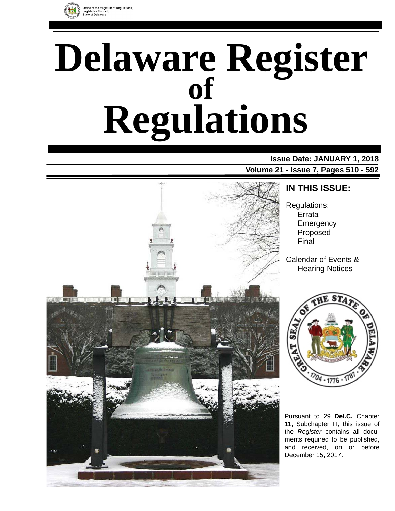

# **Delaware Register Regulations of**

# **Issue Date: JANUARY 1, 2018**

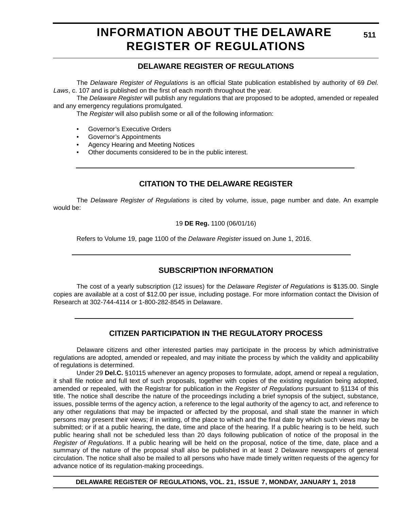### **INFORMATION ABOUT THE DELAWARE REGISTER OF REGULATIONS**

### **DELAWARE REGISTER OF REGULATIONS**

The *Delaware Register of Regulations* is an official State publication established by authority of 69 *Del. Laws*, c. 107 and is published on the first of each month throughout the year.

The *Delaware Register* will publish any regulations that are proposed to be adopted, amended or repealed and any emergency regulations promulgated.

The *Register* will also publish some or all of the following information:

- Governor's Executive Orders
- Governor's Appointments
- Agency Hearing and Meeting Notices
- Other documents considered to be in the public interest.

### **CITATION TO THE DELAWARE REGISTER**

The *Delaware Register of Regulations* is cited by volume, issue, page number and date. An example would be:

19 **DE Reg.** 1100 (06/01/16)

Refers to Volume 19, page 1100 of the *Delaware Register* issued on June 1, 2016.

### **SUBSCRIPTION INFORMATION**

The cost of a yearly subscription (12 issues) for the *Delaware Register of Regulations* is \$135.00. Single copies are available at a cost of \$12.00 per issue, including postage. For more information contact the Division of Research at 302-744-4114 or 1-800-282-8545 in Delaware.

### **CITIZEN PARTICIPATION IN THE REGULATORY PROCESS**

Delaware citizens and other interested parties may participate in the process by which administrative regulations are adopted, amended or repealed, and may initiate the process by which the validity and applicability of regulations is determined.

Under 29 **Del.C.** §10115 whenever an agency proposes to formulate, adopt, amend or repeal a regulation, it shall file notice and full text of such proposals, together with copies of the existing regulation being adopted, amended or repealed, with the Registrar for publication in the *Register of Regulations* pursuant to §1134 of this title. The notice shall describe the nature of the proceedings including a brief synopsis of the subject, substance, issues, possible terms of the agency action, a reference to the legal authority of the agency to act, and reference to any other regulations that may be impacted or affected by the proposal, and shall state the manner in which persons may present their views; if in writing, of the place to which and the final date by which such views may be submitted; or if at a public hearing, the date, time and place of the hearing. If a public hearing is to be held, such public hearing shall not be scheduled less than 20 days following publication of notice of the proposal in the *Register of Regulations*. If a public hearing will be held on the proposal, notice of the time, date, place and a summary of the nature of the proposal shall also be published in at least 2 Delaware newspapers of general circulation. The notice shall also be mailed to all persons who have made timely written requests of the agency for advance notice of its regulation-making proceedings.

**DELAWARE REGISTER OF REGULATIONS, VOL. 21, ISSUE 7, MONDAY, JANUARY 1, 2018**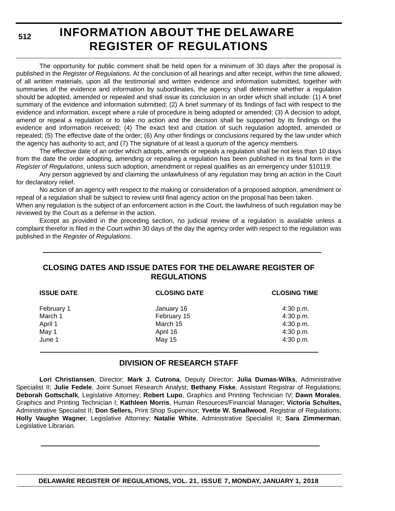**512**

# **INFORMATION ABOUT THE DELAWARE REGISTER OF REGULATIONS**

The opportunity for public comment shall be held open for a minimum of 30 days after the proposal is published in the *Register of Regulations*. At the conclusion of all hearings and after receipt, within the time allowed, of all written materials, upon all the testimonial and written evidence and information submitted, together with summaries of the evidence and information by subordinates, the agency shall determine whether a regulation should be adopted, amended or repealed and shall issue its conclusion in an order which shall include: (1) A brief summary of the evidence and information submitted; (2) A brief summary of its findings of fact with respect to the evidence and information, except where a rule of procedure is being adopted or amended; (3) A decision to adopt, amend or repeal a regulation or to take no action and the decision shall be supported by its findings on the evidence and information received; (4) The exact text and citation of such regulation adopted, amended or repealed; (5) The effective date of the order; (6) Any other findings or conclusions required by the law under which the agency has authority to act; and (7) The signature of at least a quorum of the agency members.

The effective date of an order which adopts, amends or repeals a regulation shall be not less than 10 days from the date the order adopting, amending or repealing a regulation has been published in its final form in the *Register of Regulations*, unless such adoption, amendment or repeal qualifies as an emergency under §10119.

Any person aggrieved by and claiming the unlawfulness of any regulation may bring an action in the Court for declaratory relief.

No action of an agency with respect to the making or consideration of a proposed adoption, amendment or repeal of a regulation shall be subject to review until final agency action on the proposal has been taken.

When any regulation is the subject of an enforcement action in the Court, the lawfulness of such regulation may be reviewed by the Court as a defense in the action.

Except as provided in the preceding section, no judicial review of a regulation is available unless a complaint therefor is filed in the Court within 30 days of the day the agency order with respect to the regulation was published in the *Register of Regulations*.

### **CLOSING DATES AND ISSUE DATES FOR THE DELAWARE REGISTER OF REGULATIONS**

| <b>ISSUE DATE</b> | <b>CLOSING DATE</b> | <b>CLOSING TIME</b> |
|-------------------|---------------------|---------------------|
| February 1        | January 16          | $4:30$ p.m.         |
| March 1           | February 15         | 4:30 p.m.           |
| April 1           | March 15            | 4:30 p.m.           |
| May 1             | April 16            | 4:30 p.m.           |
| June 1            | May 15              | 4:30 p.m.           |

### **DIVISION OF RESEARCH STAFF**

**Lori Christiansen**, Director; **Mark J. Cutrona**, Deputy Director; **Julia Dumas-Wilks**, Administrative Specialist II; **Julie Fedele**, Joint Sunset Research Analyst; **Bethany Fiske**, Assistant Registrar of Regulations; **Deborah Gottschalk**, Legislative Attorney; **Robert Lupo**, Graphics and Printing Technician IV; **Dawn Morales**, Graphics and Printing Technician I; **Kathleen Morris**, Human Resources/Financial Manager; **Victoria Schultes,** Administrative Specialist II; **Don Sellers,** Print Shop Supervisor; **Yvette W. Smallwood**, Registrar of Regulations; **Holly Vaughn Wagner**, Legislative Attorney; **Natalie White**, Administrative Specialist II; **Sara Zimmerman**, Legislative Librarian.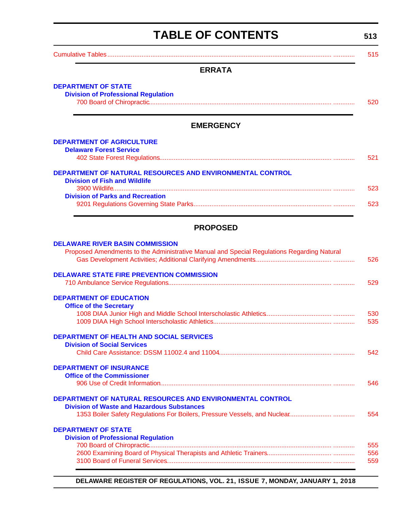# **TABLE OF CONTENTS**

**513**

<span id="page-3-0"></span>

| I ADLE UF VUNTENTJ                                                                                                                   | 513        |
|--------------------------------------------------------------------------------------------------------------------------------------|------------|
|                                                                                                                                      | 515        |
| <b>ERRATA</b>                                                                                                                        |            |
| <b>DEPARTMENT OF STATE</b><br><b>Division of Professional Regulation</b>                                                             | 520        |
| <b>EMERGENCY</b>                                                                                                                     |            |
| <b>DEPARTMENT OF AGRICULTURE</b><br><b>Delaware Forest Service</b>                                                                   |            |
|                                                                                                                                      | 521        |
| DEPARTMENT OF NATURAL RESOURCES AND ENVIRONMENTAL CONTROL<br><b>Division of Fish and Wildlife</b>                                    |            |
| <b>Division of Parks and Recreation</b>                                                                                              | 523        |
|                                                                                                                                      | 523        |
| <b>PROPOSED</b>                                                                                                                      |            |
| <b>DELAWARE RIVER BASIN COMMISSION</b><br>Proposed Amendments to the Administrative Manual and Special Regulations Regarding Natural | 526        |
| <b>DELAWARE STATE FIRE PREVENTION COMMISSION</b>                                                                                     | 529        |
| <b>DEPARTMENT OF EDUCATION</b><br><b>Office of the Secretary</b>                                                                     |            |
|                                                                                                                                      | 530<br>535 |
| <b>DEPARTMENT OF HEALTH AND SOCIAL SERVICES</b><br><b>Division of Social Services</b>                                                |            |
|                                                                                                                                      | 542        |
| <b>DEPARTMENT OF INSURANCE</b><br><b>Office of the Commissioner</b>                                                                  | 546        |
| DEPARTMENT OF NATURAL RESOURCES AND ENVIRONMENTAL CONTROL<br><b>Division of Waste and Hazardous Substances</b>                       |            |
|                                                                                                                                      | 554        |
| <b>DEPARTMENT OF STATE</b><br><b>Division of Professional Regulation</b>                                                             |            |
|                                                                                                                                      | 555<br>556 |

**DELAWARE REGISTER OF REGULATIONS, VOL. 21, ISSUE 7, MONDAY, JANUARY 1, 2018**

[3100 Board of Funeral Services............................................................................................ ............ 559](#page-49-0)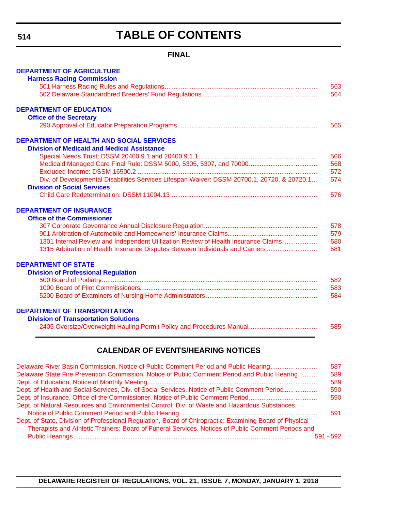# **TABLE OF CONTENTS**

### **FINAL**

| 563<br>564<br><b>DEPARTMENT OF EDUCATION</b><br><b>Office of the Secretary</b><br><b>DEPARTMENT OF HEALTH AND SOCIAL SERVICES</b><br><b>Division of Medicaid and Medical Assistance</b><br>572<br>Div. of Developmental Disabilities Services Lifespan Waiver: DSSM 20700.1, 20720, & 20720.1<br>574<br><b>Division of Social Services</b><br>576<br><b>DEPARTMENT OF INSURANCE</b><br><b>Office of the Commissioner</b><br>1301 Internal Review and Independent Utilization Review of Health Insurance Claims<br>580<br>1315 Arbitration of Health Insurance Disputes Between Individuals and Carriers<br><b>DEPARTMENT OF STATE</b><br><b>Division of Professional Regulation</b><br>584<br><b>DEPARTMENT OF TRANSPORTATION</b><br><b>Division of Transportation Solutions</b><br><b>CALENDAR OF EVENTS/HEARING NOTICES</b> | <b>DEPARTMENT OF AGRICULTURE</b>                                                    |     |
|-------------------------------------------------------------------------------------------------------------------------------------------------------------------------------------------------------------------------------------------------------------------------------------------------------------------------------------------------------------------------------------------------------------------------------------------------------------------------------------------------------------------------------------------------------------------------------------------------------------------------------------------------------------------------------------------------------------------------------------------------------------------------------------------------------------------------------|-------------------------------------------------------------------------------------|-----|
|                                                                                                                                                                                                                                                                                                                                                                                                                                                                                                                                                                                                                                                                                                                                                                                                                               | <b>Harness Racing Commission</b>                                                    |     |
|                                                                                                                                                                                                                                                                                                                                                                                                                                                                                                                                                                                                                                                                                                                                                                                                                               |                                                                                     |     |
|                                                                                                                                                                                                                                                                                                                                                                                                                                                                                                                                                                                                                                                                                                                                                                                                                               |                                                                                     |     |
|                                                                                                                                                                                                                                                                                                                                                                                                                                                                                                                                                                                                                                                                                                                                                                                                                               |                                                                                     |     |
|                                                                                                                                                                                                                                                                                                                                                                                                                                                                                                                                                                                                                                                                                                                                                                                                                               |                                                                                     | 565 |
|                                                                                                                                                                                                                                                                                                                                                                                                                                                                                                                                                                                                                                                                                                                                                                                                                               |                                                                                     |     |
|                                                                                                                                                                                                                                                                                                                                                                                                                                                                                                                                                                                                                                                                                                                                                                                                                               |                                                                                     | 566 |
|                                                                                                                                                                                                                                                                                                                                                                                                                                                                                                                                                                                                                                                                                                                                                                                                                               |                                                                                     | 568 |
|                                                                                                                                                                                                                                                                                                                                                                                                                                                                                                                                                                                                                                                                                                                                                                                                                               |                                                                                     |     |
|                                                                                                                                                                                                                                                                                                                                                                                                                                                                                                                                                                                                                                                                                                                                                                                                                               |                                                                                     |     |
|                                                                                                                                                                                                                                                                                                                                                                                                                                                                                                                                                                                                                                                                                                                                                                                                                               |                                                                                     |     |
|                                                                                                                                                                                                                                                                                                                                                                                                                                                                                                                                                                                                                                                                                                                                                                                                                               |                                                                                     |     |
|                                                                                                                                                                                                                                                                                                                                                                                                                                                                                                                                                                                                                                                                                                                                                                                                                               |                                                                                     | 578 |
|                                                                                                                                                                                                                                                                                                                                                                                                                                                                                                                                                                                                                                                                                                                                                                                                                               |                                                                                     | 579 |
|                                                                                                                                                                                                                                                                                                                                                                                                                                                                                                                                                                                                                                                                                                                                                                                                                               |                                                                                     | 581 |
|                                                                                                                                                                                                                                                                                                                                                                                                                                                                                                                                                                                                                                                                                                                                                                                                                               |                                                                                     |     |
|                                                                                                                                                                                                                                                                                                                                                                                                                                                                                                                                                                                                                                                                                                                                                                                                                               |                                                                                     |     |
|                                                                                                                                                                                                                                                                                                                                                                                                                                                                                                                                                                                                                                                                                                                                                                                                                               |                                                                                     | 582 |
|                                                                                                                                                                                                                                                                                                                                                                                                                                                                                                                                                                                                                                                                                                                                                                                                                               |                                                                                     | 583 |
|                                                                                                                                                                                                                                                                                                                                                                                                                                                                                                                                                                                                                                                                                                                                                                                                                               |                                                                                     |     |
|                                                                                                                                                                                                                                                                                                                                                                                                                                                                                                                                                                                                                                                                                                                                                                                                                               |                                                                                     |     |
|                                                                                                                                                                                                                                                                                                                                                                                                                                                                                                                                                                                                                                                                                                                                                                                                                               |                                                                                     |     |
|                                                                                                                                                                                                                                                                                                                                                                                                                                                                                                                                                                                                                                                                                                                                                                                                                               |                                                                                     | 585 |
|                                                                                                                                                                                                                                                                                                                                                                                                                                                                                                                                                                                                                                                                                                                                                                                                                               |                                                                                     |     |
|                                                                                                                                                                                                                                                                                                                                                                                                                                                                                                                                                                                                                                                                                                                                                                                                                               | Delaware River Rasin Commission, Notice of Public Comment Period and Public Hearing | 587 |

| Delaware River Basin Commission, Notice of Public Comment Period and Public Hearing                     |           | 587 |
|---------------------------------------------------------------------------------------------------------|-----------|-----|
| Delaware State Fire Prevention Commission, Notice of Public Comment Period and Public Hearing           |           | 589 |
|                                                                                                         |           | 589 |
| Dept. of Health and Social Services, Div. of Social Services, Notice of Public Comment Period           |           | 590 |
|                                                                                                         |           | 590 |
| Dept. of Natural Resources and Environmental Control, Div. of Waste and Hazardous Substances,           |           |     |
|                                                                                                         |           | 591 |
| Dept. of State, Division of Professional Regulation, Board of Chiropractic; Examining Board of Physical |           |     |
| Therapists and Athletic Trainers; Board of Funeral Services, Notices of Public Comment Periods and      |           |     |
|                                                                                                         | 591 - 592 |     |
|                                                                                                         |           |     |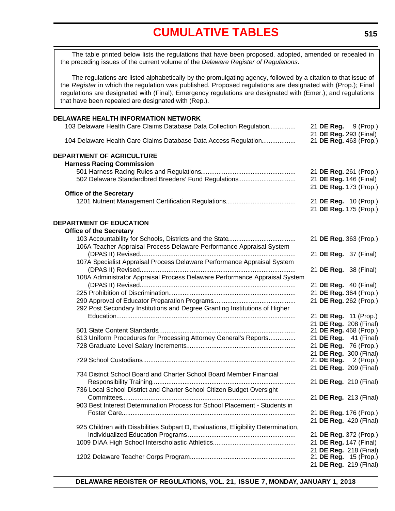<span id="page-5-0"></span>The table printed below lists the regulations that have been proposed, adopted, amended or repealed in the preceding issues of the current volume of the *Delaware Register of Regulations*.

The regulations are listed alphabetically by the promulgating agency, followed by a citation to that issue of the *Register* in which the regulation was published. Proposed regulations are designated with (Prop.); Final regulations are designated with (Final); Emergency regulations are designated with (Emer.); and regulations that have been repealed are designated with (Rep.).

| DELAWARE HEALTH INFORMATION NETWORK                                               |                                                  |  |
|-----------------------------------------------------------------------------------|--------------------------------------------------|--|
| 103 Delaware Health Care Claims Database Data Collection Regulation               | 21 <b>DE Reg.</b> 9 (Prop.)                      |  |
| 104 Delaware Health Care Claims Database Data Access Regulation                   | 21 DE Reg. 293 (Final)<br>21 DE Reg. 463 (Prop.) |  |
| <b>DEPARTMENT OF AGRICULTURE</b>                                                  |                                                  |  |
| <b>Harness Racing Commission</b>                                                  |                                                  |  |
|                                                                                   | 21 DE Reg. 261 (Prop.)                           |  |
| 502 Delaware Standardbred Breeders' Fund Regulations                              | 21 DE Reg. 146 (Final)<br>21 DE Reg. 173 (Prop.) |  |
| <b>Office of the Secretary</b>                                                    |                                                  |  |
|                                                                                   | 21 DE Reg. 10 (Prop.)                            |  |
|                                                                                   | 21 DE Reg. 175 (Prop.)                           |  |
| <b>DEPARTMENT OF EDUCATION</b>                                                    |                                                  |  |
| <b>Office of the Secretary</b>                                                    |                                                  |  |
|                                                                                   | 21 DE Reg. 363 (Prop.)                           |  |
| 106A Teacher Appraisal Process Delaware Performance Appraisal System              |                                                  |  |
|                                                                                   | 21 DE Reg. 37 (Final)                            |  |
| 107A Specialist Appraisal Process Delaware Performance Appraisal System           |                                                  |  |
|                                                                                   | 21 DE Reg. 38 (Final)                            |  |
| 108A Administrator Appraisal Process Delaware Performance Appraisal System        |                                                  |  |
|                                                                                   | 21 DE Reg. 40 (Final)                            |  |
|                                                                                   | 21 DE Reg. 364 (Prop.)                           |  |
|                                                                                   | 21 DE Reg. 262 (Prop.)                           |  |
| 292 Post Secondary Institutions and Degree Granting Institutions of Higher        |                                                  |  |
|                                                                                   | 21 DE Reg. 11 (Prop.)<br>21 DE Reg. 208 (Final)  |  |
|                                                                                   | 21 DE Reg. 468 (Prop.)                           |  |
| 613 Uniform Procedures for Processing Attorney General's Reports                  | 21 DE Reg. 41 (Final)                            |  |
|                                                                                   | 21 DE Reg. 76 (Prop.)                            |  |
|                                                                                   | 21 DE Reg. 300 (Final)                           |  |
|                                                                                   | 21 <b>DE Reg.</b> 2 (Prop.)                      |  |
|                                                                                   | 21 DE Reg. 209 (Final)                           |  |
| 734 District School Board and Charter School Board Member Financial               |                                                  |  |
|                                                                                   | 21 DE Reg. 210 (Final)                           |  |
| 736 Local School District and Charter School Citizen Budget Oversight             | 21 DE Reg. 213 (Final)                           |  |
| 903 Best Interest Determination Process for School Placement - Students in        |                                                  |  |
|                                                                                   | 21 DE Reg. 176 (Prop.)                           |  |
|                                                                                   | 21 DE Reg. 420 (Final)                           |  |
| 925 Children with Disabilities Subpart D, Evaluations, Eligibility Determination, |                                                  |  |
|                                                                                   | 21 DE Reg. 372 (Prop.)                           |  |
|                                                                                   | 21 DE Reg. 147 (Final)                           |  |
|                                                                                   | 21 DE Reg. 218 (Final)                           |  |
|                                                                                   | 21 DE Reg. 15 (Prop.)                            |  |
|                                                                                   | 21 DE Reg. 219 (Final)                           |  |

**DELAWARE REGISTER OF REGULATIONS, VOL. 21, ISSUE 7, MONDAY, JANUARY 1, 2018**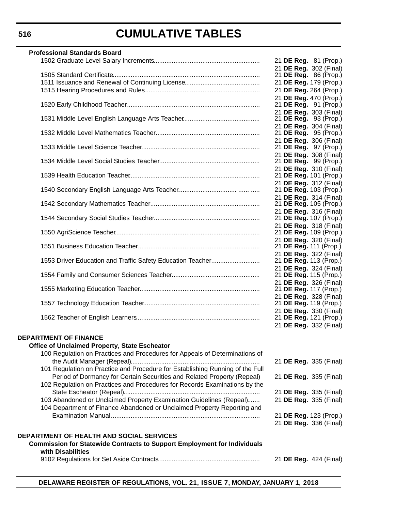| <b>Professional Standards Board</b>                                                                                                                   |                                                        |
|-------------------------------------------------------------------------------------------------------------------------------------------------------|--------------------------------------------------------|
|                                                                                                                                                       | 21 DE Reg. 81 (Prop.)                                  |
|                                                                                                                                                       | 21 DE Reg. 302 (Final)<br>21 DE Reg. 86 (Prop.)        |
|                                                                                                                                                       | 21 DE Reg. 179 (Prop.)                                 |
|                                                                                                                                                       | 21 DE Reg. 264 (Prop.)                                 |
|                                                                                                                                                       | 21 DE Reg. 470 (Prop.)<br>21 <b>DE Reg.</b> 91 (Prop.) |
|                                                                                                                                                       | 21 DE Reg. 303 (Final)                                 |
|                                                                                                                                                       | 21 DE Reg. 93 (Prop.)                                  |
|                                                                                                                                                       | 21 DE Reg. 304 (Final)<br>21 <b>DE Reg.</b> 95 (Prop.) |
|                                                                                                                                                       | 21 DE Reg. 306 (Final)                                 |
|                                                                                                                                                       | 21 DE Reg. 97 (Prop.)                                  |
|                                                                                                                                                       | 21 DE Reg. 308 (Final)<br>21 DE Reg. 99 (Prop.)        |
|                                                                                                                                                       | 21 DE Reg. 310 (Final)                                 |
|                                                                                                                                                       | 21 DE Reg. 101 (Prop.)                                 |
|                                                                                                                                                       | 21 DE Reg. 312 (Final)<br>21 DE Reg. 103 (Prop.)       |
|                                                                                                                                                       | 21 DE Reg. 314 (Final)                                 |
|                                                                                                                                                       | 21 DE Reg. 105 (Prop.)                                 |
|                                                                                                                                                       | 21 DE Reg. 316 (Final)<br>21 DE Reg. 107 (Prop.)       |
|                                                                                                                                                       | 21 DE Reg. 318 (Final)                                 |
|                                                                                                                                                       | 21 DE Reg. 109 (Prop.)<br>21 DE Reg. 320 (Final)       |
|                                                                                                                                                       | 21 DE Reg. 111 (Prop.)                                 |
|                                                                                                                                                       | 21 DE Reg. 322 (Final)                                 |
| 1553 Driver Education and Traffic Safety Education Teacher                                                                                            | 21 DE Reg. 113 (Prop.)<br>21 DE Reg. 324 (Final)       |
|                                                                                                                                                       | 21 DE Reg. 115 (Prop.)                                 |
|                                                                                                                                                       | 21 DE Reg. 326 (Final)<br>21 DE Reg. 117 (Prop.)       |
|                                                                                                                                                       | 21 DE Reg. 328 (Final)                                 |
|                                                                                                                                                       | 21 DE Reg. 119 (Prop.)                                 |
|                                                                                                                                                       | 21 DE Reg. 330 (Final)<br>21 DE Reg. 121 (Prop.)       |
|                                                                                                                                                       | 21 DE Reg. 332 (Final)                                 |
| <b>DEPARTMENT OF FINANCE</b>                                                                                                                          |                                                        |
| <b>Office of Unclaimed Property, State Escheator</b>                                                                                                  |                                                        |
| 100 Regulation on Practices and Procedures for Appeals of Determinations of                                                                           |                                                        |
|                                                                                                                                                       | 21 DE Reg. 335 (Final)                                 |
| 101 Regulation on Practice and Procedure for Establishing Running of the Full                                                                         |                                                        |
| Period of Dormancy for Certain Securities and Related Property (Repeal)<br>102 Regulation on Practices and Procedures for Records Examinations by the | 21 DE Reg. 335 (Final)                                 |
|                                                                                                                                                       | 21 DE Reg. 335 (Final)                                 |
| 103 Abandoned or Unclaimed Property Examination Guidelines (Repeal)                                                                                   | 21 DE Reg. 335 (Final)                                 |
| 104 Department of Finance Abandoned or Unclaimed Property Reporting and                                                                               |                                                        |
|                                                                                                                                                       | 21 DE Reg. 123 (Prop.)<br>21 DE Reg. 336 (Final)       |
|                                                                                                                                                       |                                                        |
| DEPARTMENT OF HEALTH AND SOCIAL SERVICES<br><b>Commission for Statewide Contracts to Support Employment for Individuals</b>                           |                                                        |
| with Disabilities                                                                                                                                     |                                                        |
|                                                                                                                                                       | 21 DE Reg. 424 (Final)                                 |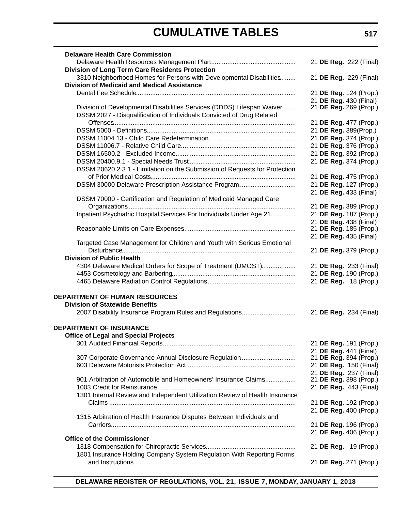| <b>Delaware Health Care Commission</b>                                      |                                                  |
|-----------------------------------------------------------------------------|--------------------------------------------------|
|                                                                             | 21 DE Reg. 222 (Final)                           |
| <b>Division of Long Term Care Residents Protection</b>                      |                                                  |
| 3310 Neighborhood Homes for Persons with Developmental Disabilities         | 21 DE Reg. 229 (Final)                           |
| <b>Division of Medicaid and Medical Assistance</b>                          |                                                  |
|                                                                             | 21 DE Reg. 124 (Prop.)                           |
|                                                                             | 21 DE Reg. 430 (Final)                           |
| Division of Developmental Disabilities Services (DDDS) Lifespan Waiver      | 21 DE Reg. 269 (Prop.)                           |
| DSSM 2027 - Disqualification of Individuals Convicted of Drug Related       |                                                  |
|                                                                             | 21 DE Reg. 477 (Prop.)                           |
|                                                                             | 21 DE Reg. 389(Prop.)                            |
|                                                                             | 21 DE Reg. 374 (Prop.)                           |
|                                                                             | 21 DE Reg. 376 (Prop.)                           |
|                                                                             | 21 DE Reg. 392 (Prop.)                           |
|                                                                             | 21 DE Reg. 374 (Prop.)                           |
| DSSM 20620.2.3.1 - Limitation on the Submission of Requests for Protection  |                                                  |
|                                                                             | 21 DE Reg. 475 (Prop.)                           |
| DSSM 30000 Delaware Prescription Assistance Program                         | 21 DE Reg. 127 (Prop.)                           |
|                                                                             | 21 DE Reg. 433 (Final)                           |
| DSSM 70000 - Certification and Regulation of Medicaid Managed Care          |                                                  |
|                                                                             | 21 DE Reg. 389 (Prop.)                           |
| Inpatient Psychiatric Hospital Services For Individuals Under Age 21        | 21 DE Reg. 187 (Prop.)                           |
|                                                                             | 21 DE Reg. 438 (Final)<br>21 DE Reg. 185 (Prop.) |
|                                                                             | 21 DE Reg. 435 (Final)                           |
| Targeted Case Management for Children and Youth with Serious Emotional      |                                                  |
|                                                                             | 21 DE Reg. 379 (Prop.)                           |
| <b>Division of Public Health</b>                                            |                                                  |
| 4304 Delaware Medical Orders for Scope of Treatment (DMOST)                 | 21 DE Reg. 233 (Final)                           |
|                                                                             | 21 DE Reg. 190 (Prop.)                           |
|                                                                             | 21 DE Reg. 18 (Prop.)                            |
|                                                                             |                                                  |
| <b>DEPARTMENT OF HUMAN RESOURCES</b>                                        |                                                  |
| <b>Division of Statewide Benefits</b>                                       |                                                  |
| 2007 Disability Insurance Program Rules and Regulations                     | 21 DE Reg. 234 (Final)                           |
|                                                                             |                                                  |
| <b>DEPARTMENT OF INSURANCE</b>                                              |                                                  |
| <b>Office of Legal and Special Projects</b>                                 |                                                  |
|                                                                             | 21 DE Reg. 191 (Prop.)                           |
|                                                                             | 21 DE Reg. 441 (Final)                           |
| 307 Corporate Governance Annual Disclosure Regulation                       | 21 DE Reg. 394 (Prop.)                           |
|                                                                             | 21 DE Reg. 150 (Final)                           |
| 901 Arbitration of Automobile and Homeowners' Insurance Claims              | 21 DE Reg. 237 (Final)<br>21 DE Reg. 398 (Prop.) |
|                                                                             | 21 DE Reg. 443 (Final)                           |
| 1301 Internal Review and Independent Utilization Review of Health Insurance |                                                  |
|                                                                             | 21 DE Reg. 192 (Prop.)                           |
|                                                                             | 21 DE Reg. 400 (Prop.)                           |
| 1315 Arbitration of Health Insurance Disputes Between Individuals and       |                                                  |
|                                                                             | 21 DE Reg. 196 (Prop.)                           |
|                                                                             | 21 DE Reg. 406 (Prop.)                           |
| <b>Office of the Commissioner</b>                                           |                                                  |
|                                                                             | 21 DE Reg. 19 (Prop.)                            |
| 1801 Insurance Holding Company System Regulation With Reporting Forms       |                                                  |
|                                                                             | 21 DE Reg. 271 (Prop.)                           |

**DELAWARE REGISTER OF REGULATIONS, VOL. 21, ISSUE 7, MONDAY, JANUARY 1, 2018**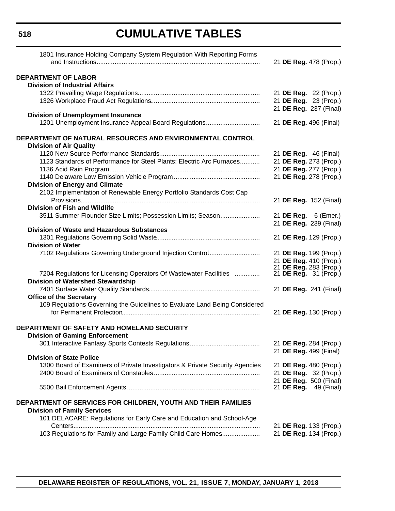| 1801 Insurance Holding Company System Regulation With Reporting Forms                       | 21 DE Reg. 478 (Prop.)       |
|---------------------------------------------------------------------------------------------|------------------------------|
| <b>DEPARTMENT OF LABOR</b>                                                                  |                              |
| <b>Division of Industrial Affairs</b>                                                       |                              |
|                                                                                             | 21 DE Reg. 22 (Prop.)        |
|                                                                                             | 21 DE Reg. 23 (Prop.)        |
|                                                                                             | 21 DE Reg. 237 (Final)       |
| <b>Division of Unemployment Insurance</b>                                                   |                              |
| 1201 Unemployment Insurance Appeal Board Regulations                                        | 21 DE Reg. 496 (Final)       |
| DEPARTMENT OF NATURAL RESOURCES AND ENVIRONMENTAL CONTROL<br><b>Division of Air Quality</b> |                              |
|                                                                                             | 21 <b>DE Reg.</b> 46 (Final) |
| 1123 Standards of Performance for Steel Plants: Electric Arc Furnaces                       | 21 DE Reg. 273 (Prop.)       |
|                                                                                             | 21 DE Reg. 277 (Prop.)       |
|                                                                                             | 21 DE Reg. 278 (Prop.)       |
| <b>Division of Energy and Climate</b>                                                       |                              |
| 2102 Implementation of Renewable Energy Portfolio Standards Cost Cap                        |                              |
|                                                                                             | 21 DE Reg. 152 (Final)       |
| <b>Division of Fish and Wildlife</b>                                                        |                              |
| 3511 Summer Flounder Size Limits; Possession Limits; Season                                 | 21 DE Reg. 6 (Emer.)         |
|                                                                                             | 21 DE Reg. 239 (Final)       |
| <b>Division of Waste and Hazardous Substances</b>                                           |                              |
|                                                                                             | 21 DE Reg. 129 (Prop.)       |
| <b>Division of Water</b>                                                                    |                              |
| 7102 Regulations Governing Underground Injection Control                                    | 21 DE Reg. 199 (Prop.)       |
|                                                                                             | 21 DE Reg. 410 (Prop.)       |
|                                                                                             | 21 DE Reg. 283 (Prop.)       |
| 7204 Regulations for Licensing Operators Of Wastewater Facilities                           | 21 <b>DE Reg.</b> 31 (Prop.) |
| <b>Division of Watershed Stewardship</b>                                                    |                              |
|                                                                                             | 21 DE Reg. 241 (Final)       |
| <b>Office of the Secretary</b>                                                              |                              |
| 109 Regulations Governing the Guidelines to Evaluate Land Being Considered                  |                              |
|                                                                                             | 21 DE Reg. 130 (Prop.)       |
| DEPARTMENT OF SAFETY AND HOMELAND SECURITY<br><b>Division of Gaming Enforcement</b>         |                              |
|                                                                                             | 21 DE Reg. 284 (Prop.)       |
|                                                                                             | 21 DE Reg. 499 (Final)       |
| <b>Division of State Police</b>                                                             |                              |
| 1300 Board of Examiners of Private Investigators & Private Security Agencies                | 21 DE Reg. 480 (Prop.)       |
|                                                                                             | 21 DE Reg. 32 (Prop.)        |
|                                                                                             | 21 DE Reg. 500 (Final)       |
|                                                                                             | 21 <b>DE Reg.</b> 49 (Final) |
| DEPARTMENT OF SERVICES FOR CHILDREN, YOUTH AND THEIR FAMILIES                               |                              |
| <b>Division of Family Services</b>                                                          |                              |
| 101 DELACARE: Regulations for Early Care and Education and School-Age                       |                              |
|                                                                                             | 21 DE Reg. 133 (Prop.)       |
| 103 Regulations for Family and Large Family Child Care Homes                                | 21 DE Reg. 134 (Prop.)       |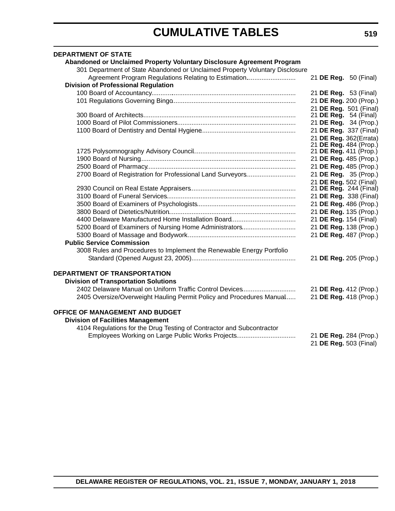| <b>DEPARTMENT OF STATE</b>                                                   |                                                  |  |
|------------------------------------------------------------------------------|--------------------------------------------------|--|
| Abandoned or Unclaimed Property Voluntary Disclosure Agreement Program       |                                                  |  |
| 301 Department of State Abandoned or Unclaimed Property Voluntary Disclosure |                                                  |  |
| Agreement Program Regulations Relating to Estimation                         | 21 DE Reg. 50 (Final)                            |  |
| <b>Division of Professional Regulation</b>                                   |                                                  |  |
|                                                                              | 21 DE Reg. 53 (Final)                            |  |
|                                                                              | 21 DE Reg. 200 (Prop.)                           |  |
|                                                                              | 21 DE Reg. 501 (Final)                           |  |
|                                                                              | 21 DE Reg. 54 (Final)                            |  |
|                                                                              | 21 DE Reg. 34 (Prop.)                            |  |
|                                                                              | 21 DE Reg. 337 (Final)                           |  |
|                                                                              | 21 DE Reg. 362(Errata)                           |  |
|                                                                              | 21 DE Reg. 484 (Prop.)                           |  |
|                                                                              | 21 DE Reg. 411 (Prop.)                           |  |
|                                                                              | 21 DE Reg. 485 (Prop.)                           |  |
|                                                                              | 21 DE Reg. 485 (Prop.)                           |  |
| 2700 Board of Registration for Professional Land Surveyors                   | 21 DE Reg. 35 (Prop.)                            |  |
|                                                                              | 21 DE Reg. 502 (Final)<br>21 DE Reg. 244 (Final) |  |
|                                                                              | 21 DE Reg. 338 (Final)                           |  |
|                                                                              | 21 DE Reg. 486 (Prop.)                           |  |
|                                                                              | 21 DE Reg. 135 (Prop.)                           |  |
|                                                                              | 21 DE Reg. 154 (Final)                           |  |
| 5200 Board of Examiners of Nursing Home Administrators                       | 21 DE Reg. 138 (Prop.)                           |  |
|                                                                              | 21 DE Reg. 487 (Prop.)                           |  |
| <b>Public Service Commission</b>                                             |                                                  |  |
| 3008 Rules and Procedures to Implement the Renewable Energy Portfolio        |                                                  |  |
|                                                                              | 21 DE Reg. 205 (Prop.)                           |  |
|                                                                              |                                                  |  |
| <b>DEPARTMENT OF TRANSPORTATION</b>                                          |                                                  |  |
| <b>Division of Transportation Solutions</b>                                  |                                                  |  |
| 2402 Delaware Manual on Uniform Traffic Control Devices                      | 21 DE Reg. 412 (Prop.)                           |  |
| 2405 Oversize/Overweight Hauling Permit Policy and Procedures Manual         | 21 DE Reg. 418 (Prop.)                           |  |
|                                                                              |                                                  |  |
| OFFICE OF MANAGEMENT AND BUDGET                                              |                                                  |  |
| <b>Division of Facilities Management</b>                                     |                                                  |  |
| 4104 Regulations for the Drug Testing of Contractor and Subcontractor        |                                                  |  |
| Employees Working on Large Public Works Projects                             | 21 DE Reg. 284 (Prop.)                           |  |
|                                                                              | 21 DE Reg. 503 (Final)                           |  |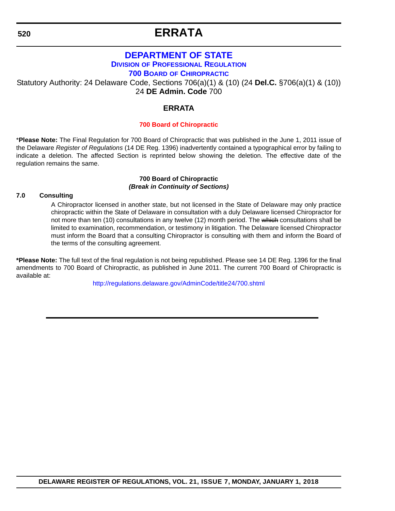# **ERRATA**

### **[DEPARTMENT OF STATE](https://dpr.delaware.gov/boards/chiropractic/) DIVISION OF PROFESSIONAL REGULATION 700 BOARD OF CHIROPRACTIC**

<span id="page-10-0"></span>Statutory Authority: 24 Delaware Code, Sections 706(a)(1) & (10) (24 **Del.C.** §706(a)(1) & (10)) 24 **DE Admin. Code** 700

### **ERRATA**

### **[700 Board of Chiropractic](#page-3-0)**

\***Please Note:** The Final Regulation for 700 Board of Chiropractic that was published in the June 1, 2011 issue of the Delaware *Register of Regulations* (14 DE Reg. 1396) inadvertently contained a typographical error by failing to indicate a deletion. The affected Section is reprinted below showing the deletion. The effective date of the regulation remains the same.

### **700 Board of Chiropractic** *(Break in Continuity of Sections)*

### **7.0 Consulting**

A Chiropractor licensed in another state, but not licensed in the State of Delaware may only practice chiropractic within the State of Delaware in consultation with a duly Delaware licensed Chiropractor for not more than ten (10) consultations in any twelve (12) month period. The which consultations shall be limited to examination, recommendation, or testimony in litigation. The Delaware licensed Chiropractor must inform the Board that a consulting Chiropractor is consulting with them and inform the Board of the terms of the consulting agreement.

**\*Please Note:** The full text of the final regulation is not being republished. Please see 14 DE Reg. 1396 for the final amendments to 700 Board of Chiropractic, as published in June 2011. The current 700 Board of Chiropractic is available at:

<http://regulations.delaware.gov/AdminCode/title24/700.shtml>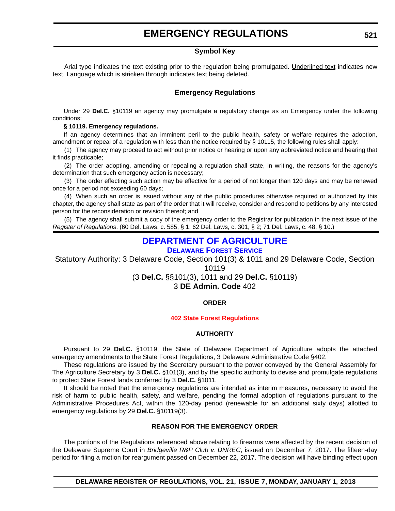### **EMERGENCY REGULATIONS**

### **Symbol Key**

<span id="page-11-0"></span>Arial type indicates the text existing prior to the regulation being promulgated. Underlined text indicates new text. Language which is stricken through indicates text being deleted.

### **Emergency Regulations**

Under 29 **Del.C.** §10119 an agency may promulgate a regulatory change as an Emergency under the following conditions:

#### **§ 10119. Emergency regulations.**

If an agency determines that an imminent peril to the public health, safety or welfare requires the adoption, amendment or repeal of a regulation with less than the notice required by § 10115, the following rules shall apply:

(1) The agency may proceed to act without prior notice or hearing or upon any abbreviated notice and hearing that it finds practicable;

(2) The order adopting, amending or repealing a regulation shall state, in writing, the reasons for the agency's determination that such emergency action is necessary;

(3) The order effecting such action may be effective for a period of not longer than 120 days and may be renewed once for a period not exceeding 60 days;

(4) When such an order is issued without any of the public procedures otherwise required or authorized by this chapter, the agency shall state as part of the order that it will receive, consider and respond to petitions by any interested person for the reconsideration or revision thereof; and

(5) The agency shall submit a copy of the emergency order to the Registrar for publication in the next issue of the *Register of Regulations*. (60 Del. Laws, c. 585, § 1; 62 Del. Laws, c. 301, § 2; 71 Del. Laws, c. 48, § 10.)

### **[DEPARTMENT OF AGRICULTURE](https://dda.delaware.gov/forestry/index.shtml)**

**[DELAWARE FOREST SERVICE](https://dda.delaware.gov/forestry/index.shtml)**

Statutory Authority: 3 Delaware Code, Section 101(3) & 1011 and 29 Delaware Code, Section 10119

(3 **Del.C.** §§101(3), 1011 and 29 **Del.C.** §10119) 3 **DE Admin. Code** 402

### **ORDER**

### **[402 State Forest Regulations](#page-3-0)**

### **AUTHORITY**

Pursuant to 29 **Del.C.** §10119, the State of Delaware Department of Agriculture adopts the attached emergency amendments to the State Forest Regulations, 3 Delaware Administrative Code §402.

These regulations are issued by the Secretary pursuant to the power conveyed by the General Assembly for The Agriculture Secretary by 3 **Del.C.** §101(3), and by the specific authority to devise and promulgate regulations to protect State Forest lands conferred by 3 **Del.C.** §1011.

It should be noted that the emergency regulations are intended as interim measures, necessary to avoid the risk of harm to public health, safety, and welfare, pending the formal adoption of regulations pursuant to the Administrative Procedures Act, within the 120-day period (renewable for an additional sixty days) allotted to emergency regulations by 29 **Del.C.** §10119(3).

### **REASON FOR THE EMERGENCY ORDER**

The portions of the Regulations referenced above relating to firearms were affected by the recent decision of the Delaware Supreme Court in *Bridgeville R&P Club v. DNREC*, issued on December 7, 2017. The fifteen-day period for filing a motion for reargument passed on December 22, 2017. The decision will have binding effect upon

**DELAWARE REGISTER OF REGULATIONS, VOL. 21, ISSUE 7, MONDAY, JANUARY 1, 2018**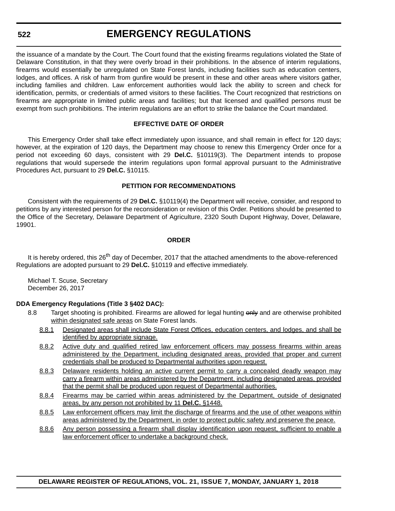**522**

the issuance of a mandate by the Court. The Court found that the existing firearms regulations violated the State of Delaware Constitution, in that they were overly broad in their prohibitions. In the absence of interim regulations, firearms would essentially be unregulated on State Forest lands, including facilities such as education centers, lodges, and offices. A risk of harm from gunfire would be present in these and other areas where visitors gather, including families and children. Law enforcement authorities would lack the ability to screen and check for identification, permits, or credentials of armed visitors to these facilities. The Court recognized that restrictions on firearms are appropriate in limited public areas and facilities; but that licensed and qualified persons must be exempt from such prohibitions. The interim regulations are an effort to strike the balance the Court mandated.

### **EFFECTIVE DATE OF ORDER**

This Emergency Order shall take effect immediately upon issuance, and shall remain in effect for 120 days; however, at the expiration of 120 days, the Department may choose to renew this Emergency Order once for a period not exceeding 60 days, consistent with 29 **Del.C.** §10119(3). The Department intends to propose regulations that would supersede the interim regulations upon formal approval pursuant to the Administrative Procedures Act, pursuant to 29 **Del.C.** §10115.

### **PETITION FOR RECOMMENDATIONS**

Consistent with the requirements of 29 **Del.C.** §10119(4) the Department will receive, consider, and respond to petitions by any interested person for the reconsideration or revision of this Order. Petitions should be presented to the Office of the Secretary, Delaware Department of Agriculture, 2320 South Dupont Highway, Dover, Delaware, 19901.

### **ORDER**

It is hereby ordered, this 26<sup>th</sup> day of December, 2017 that the attached amendments to the above-referenced Regulations are adopted pursuant to 29 **Del.C.** §10119 and effective immediately.

Michael T. Scuse, Secretary December 26, 2017

### **DDA Emergency Regulations (Title 3 §402 DAC):**

- 8.8 Target shooting is prohibited. Firearms are allowed for legal hunting only and are otherwise prohibited within designated safe areas on State Forest lands.
	- 8.8.1 Designated areas shall include State Forest Offices, education centers, and lodges, and shall be identified by appropriate signage.
	- 8.8.2 Active duty and qualified retired law enforcement officers may possess firearms within areas administered by the Department, including designated areas, provided that proper and current credentials shall be produced to Departmental authorities upon request.
	- 8.8.3 Delaware residents holding an active current permit to carry a concealed deadly weapon may carry a firearm within areas administered by the Department, including designated areas, provided that the permit shall be produced upon request of Departmental authorities.
	- 8.8.4 Firearms may be carried within areas administered by the Department, outside of designated areas, by any person not prohibited by 11 **Del.C.** §1448.
	- 8.8.5 Law enforcement officers may limit the discharge of firearms and the use of other weapons within areas administered by the Department, in order to protect public safety and preserve the peace.
	- 8.8.6 Any person possessing a firearm shall display identification upon request, sufficient to enable a law enforcement officer to undertake a background check.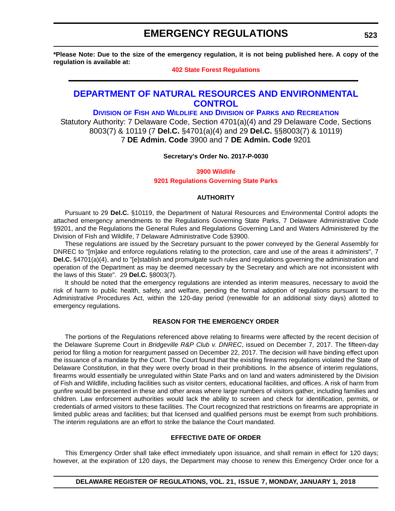### **EMERGENCY REGULATIONS**

<span id="page-13-0"></span>**\*Please Note: Due to the size of the emergency regulation, it is not being published here. A copy of the regulation is available at:**

#### **[402 State Forest Regulations](http://regulations.delaware.gov/register/january2018/emergency/21 DE Reg 521 01-01-18.htm)**

### **[DEPARTMENT OF NATURAL RESOURCES AND ENVIRONMENTAL](http://dnrec.alpha.delaware.gov/)  CONTROL**

### **DIVISION OF FISH AND WILDLIFE AND DIVISION OF PARKS AND RECREATION**

Statutory Authority: 7 Delaware Code, Section 4701(a)(4) and 29 Delaware Code, Sections 8003(7) & 10119 (7 **Del.C.** §4701(a)(4) and 29 **Del.C.** §§8003(7) & 10119) 7 **DE Admin. Code** 3900 and 7 **DE Admin. Code** 9201

### **Secretary's Order No. 2017-P-0030**

### **3900 Wildlife [9201 Regulations Governing State Parks](#page-3-0)**

### **AUTHORITY**

Pursuant to 29 **Del.C.** §10119, the Department of Natural Resources and Environmental Control adopts the attached emergency amendments to the Regulations Governing State Parks, 7 Delaware Administrative Code §9201, and the Regulations the General Rules and Regulations Governing Land and Waters Administered by the Division of Fish and Wildlife, 7 Delaware Administrative Code §3900.

These regulations are issued by the Secretary pursuant to the power conveyed by the General Assembly for DNREC to "[m]ake and enforce regulations relating to the protection, care and use of the areas it administers", 7 **Del.C.** §4701(a)(4), and to "[e]stablish and promulgate such rules and regulations governing the administration and operation of the Department as may be deemed necessary by the Secretary and which are not inconsistent with the laws of this State". 29 **Del.C.** §8003(7).

It should be noted that the emergency regulations are intended as interim measures, necessary to avoid the risk of harm to public health, safety, and welfare, pending the formal adoption of regulations pursuant to the Administrative Procedures Act, within the 120-day period (renewable for an additional sixty days) allotted to emergency regulations.

#### **REASON FOR THE EMERGENCY ORDER**

The portions of the Regulations referenced above relating to firearms were affected by the recent decision of the Delaware Supreme Court in *Bridgeville R&P Club v. DNREC*, issued on December 7, 2017. The fifteen-day period for filing a motion for reargument passed on December 22, 2017. The decision will have binding effect upon the issuance of a mandate by the Court. The Court found that the existing firearms regulations violated the State of Delaware Constitution, in that they were overly broad in their prohibitions. In the absence of interim regulations, firearms would essentially be unregulated within State Parks and on land and waters administered by the Division of Fish and Wildlife, including facilities such as visitor centers, educational facilities, and offices. A risk of harm from gunfire would be presented in these and other areas where large numbers of visitors gather, including families and children. Law enforcement authorities would lack the ability to screen and check for identification, permits, or credentials of armed visitors to these facilities. The Court recognized that restrictions on firearms are appropriate in limited public areas and facilities; but that licensed and qualified persons must be exempt from such prohibitions. The interim regulations are an effort to strike the balance the Court mandated.

#### **EFFECTIVE DATE OF ORDER**

This Emergency Order shall take effect immediately upon issuance, and shall remain in effect for 120 days; however, at the expiration of 120 days, the Department may choose to renew this Emergency Order once for a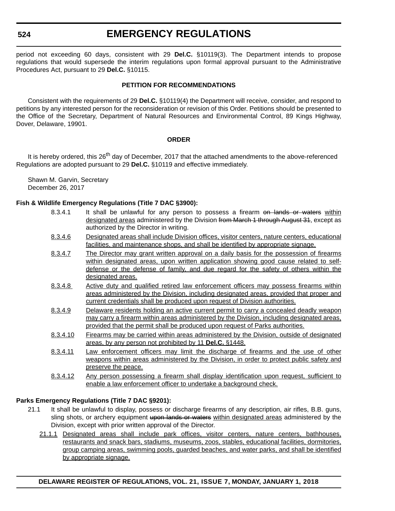**524**

### **EMERGENCY REGULATIONS**

period not exceeding 60 days, consistent with 29 **Del.C.** §10119(3). The Department intends to propose regulations that would supersede the interim regulations upon formal approval pursuant to the Administrative Procedures Act, pursuant to 29 **Del.C.** §10115.

### **PETITION FOR RECOMMENDATIONS**

Consistent with the requirements of 29 **Del.C.** §10119(4) the Department will receive, consider, and respond to petitions by any interested person for the reconsideration or revision of this Order. Petitions should be presented to the Office of the Secretary, Department of Natural Resources and Environmental Control, 89 Kings Highway, Dover, Delaware, 19901.

### **ORDER**

It is hereby ordered, this 26<sup>th</sup> day of December, 2017 that the attached amendments to the above-referenced Regulations are adopted pursuant to 29 **Del.C.** §10119 and effective immediately.

Shawn M. Garvin, Secretary December 26, 2017

### **Fish & Wildlife Emergency Regulations (Title 7 DAC §3900):**

- 8.3.4.1 It shall be unlawful for any person to possess a firearm on lands or waters within designated areas administered by the Division from March 1 through August 31, except as authorized by the Director in writing.
- 8.3.4.6 Designated areas shall include Division offices, visitor centers, nature centers, educational facilities, and maintenance shops, and shall be identified by appropriate signage.
- 8.3.4.7 The Director may grant written approval on a daily basis for the possession of firearms within designated areas, upon written application showing good cause related to selfdefense or the defense of family, and due regard for the safety of others within the designated areas.
- 8.3.4.8 Active duty and qualified retired law enforcement officers may possess firearms within areas administered by the Division, including designated areas, provided that proper and current credentials shall be produced upon request of Division authorities.
- 8.3.4.9 Delaware residents holding an active current permit to carry a concealed deadly weapon may carry a firearm within areas administered by the Division, including designated areas, provided that the permit shall be produced upon request of Parks authorities.
- 8.3.4.10 Firearms may be carried within areas administered by the Division, outside of designated areas, by any person not prohibited by 11 **Del.C.** §1448.
- 8.3.4.11 Law enforcement officers may limit the discharge of firearms and the use of other weapons within areas administered by the Division, in order to protect public safety and preserve the peace.
- 8.3.4.12 Any person possessing a firearm shall display identification upon request, sufficient to enable a law enforcement officer to undertake a background check.

### **Parks Emergency Regulations (Title 7 DAC §9201):**

- 21.1 It shall be unlawful to display, possess or discharge firearms of any description, air rifles, B.B. guns, sling shots, or archery equipment upon lands or waters within designated areas administered by the Division, except with prior written approval of the Director.
	- 21.1.1 Designated areas shall include park offices, visitor centers, nature centers, bathhouses, restaurants and snack bars, stadiums, museums, zoos, stables, educational facilities, dormitories, group camping areas, swimming pools, guarded beaches, and water parks, and shall be identified by appropriate signage.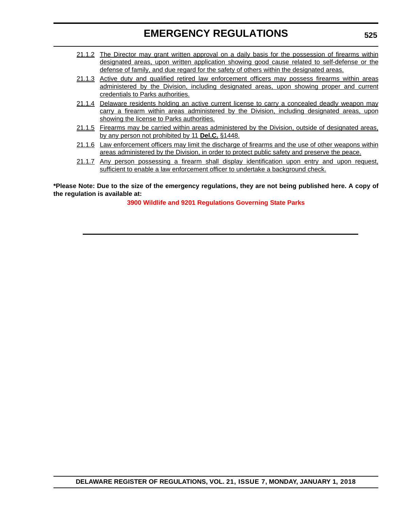### **EMERGENCY REGULATIONS**

- 21.1.2 The Director may grant written approval on a daily basis for the possession of firearms within designated areas, upon written application showing good cause related to self-defense or the defense of family, and due regard for the safety of others within the designated areas.
- 21.1.3 Active duty and qualified retired law enforcement officers may possess firearms within areas administered by the Division, including designated areas, upon showing proper and current credentials to Parks authorities.
- 21.1.4 Delaware residents holding an active current license to carry a concealed deadly weapon may carry a firearm within areas administered by the Division, including designated areas, upon showing the license to Parks authorities.
- 21.1.5 Firearms may be carried within areas administered by the Division, outside of designated areas, by any person not prohibited by 11 **Del.C.** §1448.
- 21.1.6 Law enforcement officers may limit the discharge of firearms and the use of other weapons within areas administered by the Division, in order to protect public safety and preserve the peace.
- 21.1.7 Any person possessing a firearm shall display identification upon entry and upon request, sufficient to enable a law enforcement officer to undertake a background check.

**\*Please Note: Due to the size of the emergency regulations, they are not being published here. A copy of the regulation is available at:**

**[3900 Wildlife and 9201 Regulations Governing State Parks](http://regulations.delaware.gov/register/january2018/emergency/21 DE Reg 523 01-01-18.htm)**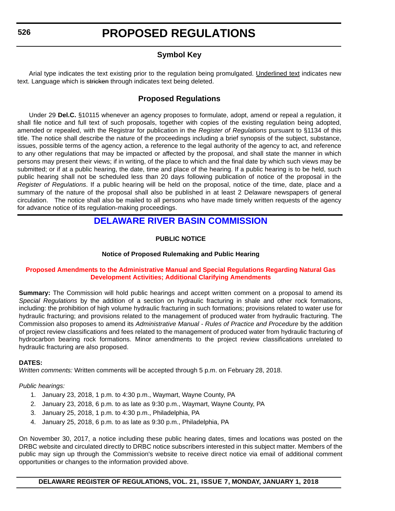### **Symbol Key**

<span id="page-16-0"></span>Arial type indicates the text existing prior to the regulation being promulgated. Underlined text indicates new text. Language which is stricken through indicates text being deleted.

### **Proposed Regulations**

Under 29 **Del.C.** §10115 whenever an agency proposes to formulate, adopt, amend or repeal a regulation, it shall file notice and full text of such proposals, together with copies of the existing regulation being adopted, amended or repealed, with the Registrar for publication in the *Register of Regulations* pursuant to §1134 of this title. The notice shall describe the nature of the proceedings including a brief synopsis of the subject, substance, issues, possible terms of the agency action, a reference to the legal authority of the agency to act, and reference to any other regulations that may be impacted or affected by the proposal, and shall state the manner in which persons may present their views; if in writing, of the place to which and the final date by which such views may be submitted; or if at a public hearing, the date, time and place of the hearing. If a public hearing is to be held, such public hearing shall not be scheduled less than 20 days following publication of notice of the proposal in the *Register of Regulations*. If a public hearing will be held on the proposal, notice of the time, date, place and a summary of the nature of the proposal shall also be published in at least 2 Delaware newspapers of general circulation. The notice shall also be mailed to all persons who have made timely written requests of the agency for advance notice of its regulation-making proceedings.

### **[DELAWARE RIVER BASIN COMMISSION](http://www.state.nj.us/drbc/)**

### **PUBLIC NOTICE**

### **Notice of Proposed Rulemaking and Public Hearing**

### **[Proposed Amendments to the Administrative Manual and Special Regulations Regarding Natural Gas](#page-3-0)  Development Activities; Additional Clarifying Amendments**

**Summary:** The Commission will hold public hearings and accept written comment on a proposal to amend its *Special Regulations* by the addition of a section on hydraulic fracturing in shale and other rock formations, including: the prohibition of high volume hydraulic fracturing in such formations; provisions related to water use for hydraulic fracturing; and provisions related to the management of produced water from hydraulic fracturing. The Commission also proposes to amend its *Administrative Manual - Rules of Practice and Procedure* by the addition of project review classifications and fees related to the management of produced water from hydraulic fracturing of hydrocarbon bearing rock formations. Minor amendments to the project review classifications unrelated to hydraulic fracturing are also proposed.

### **DATES:**

*Written comments:* Written comments will be accepted through 5 p.m. on February 28, 2018.

### *Public hearings:*

- 1. January 23, 2018, 1 p.m. to 4:30 p.m., Waymart, Wayne County, PA
- 2. January 23, 2018, 6 p.m. to as late as 9:30 p.m., Waymart, Wayne County, PA
- 3. January 25, 2018, 1 p.m. to 4:30 p.m., Philadelphia, PA
- 4. January 25, 2018, 6 p.m. to as late as 9:30 p.m., Philadelphia, PA

On November 30, 2017, a notice including these public hearing dates, times and locations was posted on the DRBC website and circulated directly to DRBC notice subscribers interested in this subject matter. Members of the public may sign up through the Commission's website to receive direct notice via email of additional comment opportunities or changes to the information provided above.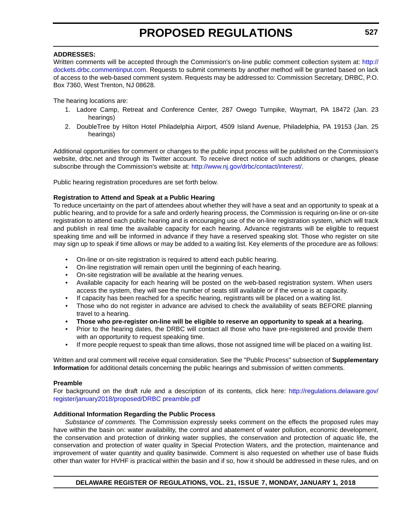### **ADDRESSES:**

Written comments will be accepted through the Commission's on-line public comment collection system at: [http://](http://dockets.drbc.commentinput.com) [dockets.drbc.commentinput.com](http://dockets.drbc.commentinput.com). Requests to submit comments by another method will be granted based on lack of access to the web-based comment system. Requests may be addressed to: Commission Secretary, DRBC, P.O. Box 7360, West Trenton, NJ 08628.

The hearing locations are:

- 1. Ladore Camp, Retreat and Conference Center, 287 Owego Turnpike, Waymart, PA 18472 (Jan. 23 hearings)
- 2. DoubleTree by Hilton Hotel Philadelphia Airport, 4509 Island Avenue, Philadelphia, PA 19153 (Jan. 25 hearings)

Additional opportunities for comment or changes to the public input process will be published on the Commission's website, drbc.net and through its Twitter account. To receive direct notice of such additions or changes, please subscribe through the Commission's website at: [http://www.nj.gov/drbc/contact/interest/.](http://www.nj.gov/drbc/contact/interest/)

Public hearing registration procedures are set forth below.

### **Registration to Attend and Speak at a Public Hearing**

To reduce uncertainty on the part of attendees about whether they will have a seat and an opportunity to speak at a public hearing, and to provide for a safe and orderly hearing process, the Commission is requiring on-line or on-site registration to attend each public hearing and is encouraging use of the on-line registration system, which will track and publish in real time the available capacity for each hearing. Advance registrants will be eligible to request speaking time and will be informed in advance if they have a reserved speaking slot. Those who register on site may sign up to speak if time allows or may be added to a waiting list. Key elements of the procedure are as follows:

- On-line or on-site registration is required to attend each public hearing.
- On-line registration will remain open until the beginning of each hearing.
- On-site registration will be available at the hearing venues.
- Available capacity for each hearing will be posted on the web-based registration system. When users access the system, they will see the number of seats still available or if the venue is at capacity.
- If capacity has been reached for a specific hearing, registrants will be placed on a waiting list.
- Those who do not register in advance are advised to check the availability of seats BEFORE planning travel to a hearing.
- **Those who pre-register on-line will be eligible to reserve an opportunity to speak at a hearing.**
- Prior to the hearing dates, the DRBC will contact all those who have pre-registered and provide them with an opportunity to request speaking time.
- If more people request to speak than time allows, those not assigned time will be placed on a waiting list.

Written and oral comment will receive equal consideration. See the "Public Process" subsection of **Supplementary Information** for additional details concerning the public hearings and submission of written comments.

#### **Preamble**

For background on the draft rule and a description of its contents, click here: [http://regulations.delaware.gov/](http://regulations.delaware.gov/register/january2018/proposed/DRBC preamble.pdf) [register/january2018/proposed/DRBC preamble.pdf](http://regulations.delaware.gov/register/january2018/proposed/DRBC preamble.pdf)

#### **Additional Information Regarding the Public Process**

*Substance of comments.* The Commission expressly seeks comment on the effects the proposed rules may have within the basin on: water availability, the control and abatement of water pollution, economic development, the conservation and protection of drinking water supplies, the conservation and protection of aquatic life, the conservation and protection of water quality in Special Protection Waters, and the protection, maintenance and improvement of water quantity and quality basinwide. Comment is also requested on whether use of base fluids other than water for HVHF is practical within the basin and if so, how it should be addressed in these rules, and on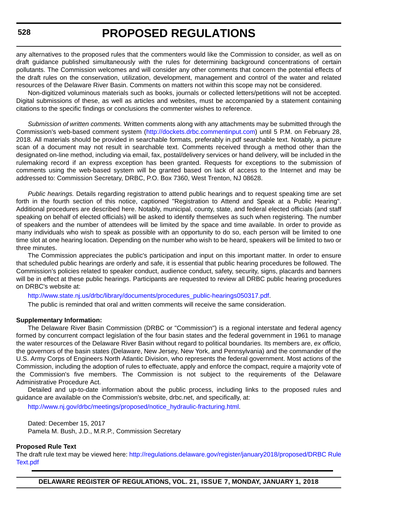any alternatives to the proposed rules that the commenters would like the Commission to consider, as well as on draft guidance published simultaneously with the rules for determining background concentrations of certain pollutants. The Commission welcomes and will consider any other comments that concern the potential effects of the draft rules on the conservation, utilization, development, management and control of the water and related resources of the Delaware River Basin. Comments on matters not within this scope may not be considered.

Non-digitized voluminous materials such as books, journals or collected letters/petitions will not be accepted. Digital submissions of these, as well as articles and websites, must be accompanied by a statement containing citations to the specific findings or conclusions the commenter wishes to reference.

*Submission of written comments.* Written comments along with any attachments may be submitted through the Commission's web-based comment system ([http://dockets.drbc.commentinput.com\)](http://dockets.drbc.commentinput.com) until 5 P.M. on February 28, 2018. All materials should be provided in searchable formats, preferably in.pdf searchable text. Notably, a picture scan of a document may not result in searchable text. Comments received through a method other than the designated on-line method, including via email, fax, postal/delivery services or hand delivery, will be included in the rulemaking record if an express exception has been granted. Requests for exceptions to the submission of comments using the web-based system will be granted based on lack of access to the Internet and may be addressed to: Commission Secretary, DRBC, P.O. Box 7360, West Trenton, NJ 08628.

*Public hearings.* Details regarding registration to attend public hearings and to request speaking time are set forth in the fourth section of this notice, captioned "Registration to Attend and Speak at a Public Hearing". Additional procedures are described here. Notably, municipal, county, state, and federal elected officials (and staff speaking on behalf of elected officials) will be asked to identify themselves as such when registering. The number of speakers and the number of attendees will be limited by the space and time available. In order to provide as many individuals who wish to speak as possible with an opportunity to do so, each person will be limited to one time slot at one hearing location. Depending on the number who wish to be heard, speakers will be limited to two or three minutes.

The Commission appreciates the public's participation and input on this important matter. In order to ensure that scheduled public hearings are orderly and safe, it is essential that public hearing procedures be followed. The Commission's policies related to speaker conduct, audience conduct, safety, security, signs, placards and banners will be in effect at these public hearings. Participants are requested to review all DRBC public hearing procedures on DRBC's website at:

[http://www.state.nj.us/drbc/library/documents/procedures\\_public-hearings050317.pdf](http://www.state.nj.us/drbc/library/documents/procedures_public-hearings050317.pdf).

The public is reminded that oral and written comments will receive the same consideration.

#### **Supplementary Information:**

The Delaware River Basin Commission (DRBC or "Commission") is a regional interstate and federal agency formed by concurrent compact legislation of the four basin states and the federal government in 1961 to manage the water resources of the Delaware River Basin without regard to political boundaries. Its members are, *ex officio,* the governors of the basin states (Delaware, New Jersey, New York, and Pennsylvania) and the commander of the U.S. Army Corps of Engineers North Atlantic Division, who represents the federal government. Most actions of the Commission, including the adoption of rules to effectuate, apply and enforce the compact, require a majority vote of the Commission's five members. The Commission is not subject to the requirements of the Delaware Administrative Procedure Act.

Detailed and up-to-date information about the public process, including links to the proposed rules and guidance are available on the Commission's website, drbc.net, and specifically, at:

[http://www.nj.gov/drbc/meetings/proposed/notice\\_hydraulic-fracturing.html](http://www.nj.gov/drbc/meetings/proposed/notice_hydraulic-fracturing.html).

Dated: December 15, 2017 Pamela M. Bush, J.D., M.R.P., Commission Secretary

#### **Proposed Rule Text**

The draft rule text may be viewed here: [http://regulations.delaware.gov/register/january2018/proposed/DRBC Rule](http://regulations.delaware.gov/register/january2018/proposed/DRBC Rule Text.pdf) [Text.pdf](http://regulations.delaware.gov/register/january2018/proposed/DRBC Rule Text.pdf)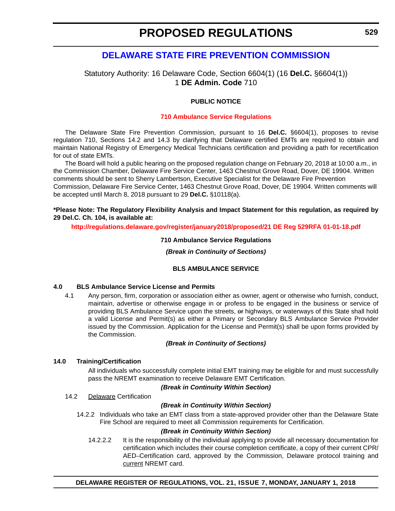### <span id="page-19-0"></span>**[DELAWARE STATE FIRE PREVENTION COMMISSION](https://statefirecommission.delaware.gov/)**

### Statutory Authority: 16 Delaware Code, Section 6604(1) (16 **Del.C.** §6604(1)) 1 **DE Admin. Code** 710

### **PUBLIC NOTICE**

#### **[710 Ambulance Service Regulations](#page-3-0)**

The Delaware State Fire Prevention Commission, pursuant to 16 **Del.C.** §6604(1), proposes to revise regulation 710, Sections 14.2 and 14.3 by clarifying that Delaware certified EMTs are required to obtain and maintain National Registry of Emergency Medical Technicians certification and providing a path for recertification for out of state EMTs.

The Board will hold a public hearing on the proposed regulation change on February 20, 2018 at 10:00 a.m., in the Commission Chamber, Delaware Fire Service Center, 1463 Chestnut Grove Road, Dover, DE 19904. Written comments should be sent to Sherry Lambertson, Executive Specialist for the Delaware Fire Prevention

Commission, Delaware Fire Service Center, 1463 Chestnut Grove Road, Dover, DE 19904. Written comments will be accepted until March 8, 2018 pursuant to 29 **Del.C.** §10118(a).

### **\*Please Note: The Regulatory Flexibility Analysis and Impact Statement for this regulation, as required by 29 Del.C. Ch. 104, is available at:**

**<http://regulations.delaware.gov/register/january2018/proposed/21 DE Reg 529RFA 01-01-18.pdf>**

#### **710 Ambulance Service Regulations**

*(Break in Continuity of Sections)*

#### **BLS AMBULANCE SERVICE**

#### **4.0 BLS Ambulance Service License and Permits**

4.1 Any person, firm, corporation or association either as owner, agent or otherwise who furnish, conduct, maintain, advertise or otherwise engage in or profess to be engaged in the business or service of providing BLS Ambulance Service upon the streets, or highways, or waterways of this State shall hold a valid License and Permit(s) as either a Primary or Secondary BLS Ambulance Service Provider issued by the Commission. Application for the License and Permit(s) shall be upon forms provided by the Commission.

#### *(Break in Continuity of Sections)*

### **14.0 Training/Certification**

All individuals who successfully complete initial EMT training may be eligible for and must successfully pass the NREMT examination to receive Delaware EMT Certification.

#### *(Break in Continuity Within Section)*

14.2 Delaware Certification

#### *(Break in Continuity Within Section)*

14.2.2 Individuals who take an EMT class from a state-approved provider other than the Delaware State Fire School are required to meet all Commission requirements for Certification.

#### *(Break in Continuity Within Section)*

14.2.2.2 It is the responsibility of the individual applying to provide all necessary documentation for certification which includes their course completion certificate, a copy of their current CPR/ AED–Certification card, approved by the Commission, Delaware protocol training and current NREMT card.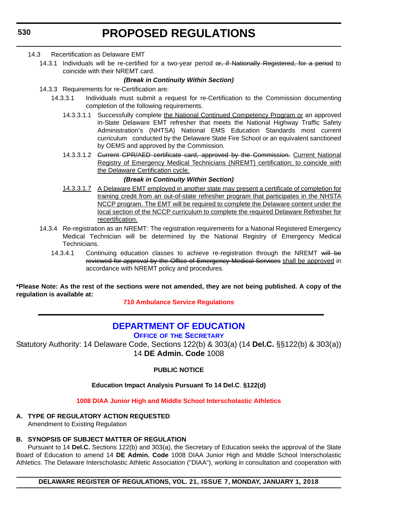### <span id="page-20-0"></span>14.3 Recertification as Delaware EMT

14.3.1 Individuals will be re-certified for a two-year period or, if Nationally Registered, for a period to coincide with their NREMT card.

### *(Break in Continuity Within Section)*

- 14.3.3 Requirements for re-Certification are:
	- 14.3.3.1 Individuals must submit a request for re-Certification to the Commission documenting completion of the following requirements.
		- 14.3.3.1.1 Successfully complete the National Continued Competency Program or an approved in-State Delaware EMT refresher that meets the National Highway Traffic Safety Administration's (NHTSA) National EMS Education Standards most current curriculum conducted by the Delaware State Fire School or an equivalent sanctioned by OEMS and approved by the Commission.
		- 14.3.3.1.2 <del>Current CPR/AED certificate card, approved by the Commission.</del> Current National Registry of Emergency Medical Technicians (NREMT) certification; to coincide with the Delaware Certification cycle.

### *(Break in Continuity Within Section)*

- 14.3.3.1.7 A Delaware EMT employed in another state may present a certificate of completion for training credit from an out-of-state refresher program that participates in the NHSTA NCCP program. The EMT will be required to complete the Delaware content under the local section of the NCCP curriculum to complete the required Delaware Refresher for recertification.
- 14.3.4 Re-registration as an NREMT: The registration requirements for a National Registered Emergency Medical Technician will be determined by the National Registry of Emergency Medical Technicians.
	- 14.3.4.1 Continuing education classes to achieve re-registration through the NREMT will be reviewed for approval by the Office of Emergency Medical Services shall be approved in accordance with NREMT policy and procedures.

**\*Please Note: As the rest of the sections were not amended, they are not being published. A copy of the regulation is available at:**

**[710 Ambulance Service Regulations](http://regulations.delaware.gov/register/january2018/proposed/21 DE Reg 529 01-01-18.htm)** 

### **[DEPARTMENT OF EDUCATION](https://pubapps.doe.k12.de.us/EducationalDirectoryPublic/pages/DDOE/Branches.aspx?page=branches&BID=1)**

**OFFICE OF THE SECRETARY**

Statutory Authority: 14 Delaware Code, Sections 122(b) & 303(a) (14 **Del.C.** §§122(b) & 303(a)) 14 **DE Admin. Code** 1008

**PUBLIC NOTICE**

### **Education Impact Analysis Pursuant To 14 Del.C**. **§122(d)**

**[1008 DIAA Junior High and Middle School Interscholastic Athletics](#page-3-0)**

#### **A. TYPE OF REGULATORY ACTION REQUESTED** Amendment to Existing Regulation

### **B. SYNOPSIS OF SUBJECT MATTER OF REGULATION**

Pursuant to 14 **Del.C.** Sections 122(b) and 303(a), the Secretary of Education seeks the approval of the State Board of Education to amend 14 **DE Admin. Code** 1008 DIAA Junior High and Middle School Interscholastic Athletics. The Delaware Interscholastic Athletic Association ("DIAA"), working in consultation and cooperation with

### **DELAWARE REGISTER OF REGULATIONS, VOL. 21, ISSUE 7, MONDAY, JANUARY 1, 2018**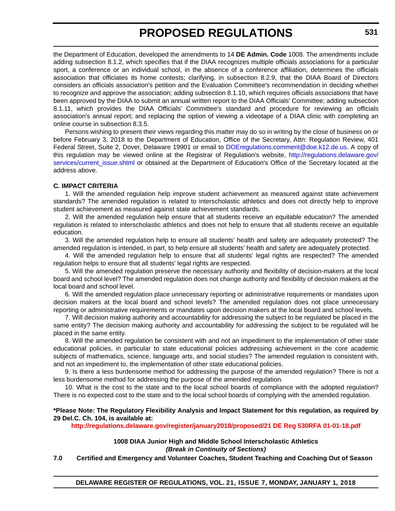the Department of Education, developed the amendments to 14 **DE Admin. Code** 1008. The amendments include adding subsection 8.1.2, which specifies that if the DIAA recognizes multiple officials associations for a particular sport, a conference or an individual school, in the absence of a conference affiliation, determines the officials association that officiates its home contests; clarifying, in subsection 8.2.9, that the DIAA Board of Directors considers an officials association's petition and the Evaluation Committee's recommendation in deciding whether to recognize and approve the association; adding subsection 8.1.10, which requires officials associations that have been approved by the DIAA to submit an annual written report to the DIAA Officials' Committee; adding subsection 8.1.11, which provides the DIAA Officials' Committee's standard and procedure for reviewing an officials association's annual report; and replacing the option of viewing a videotape of a DIAA clinic with completing an online course in subsection 8.3.5.

Persons wishing to present their views regarding this matter may do so in writing by the close of business on or before February 3, 2018 to the Department of Education, Office of the Secretary, Attn: Regulation Review, 401 Federal Street, Suite 2, Dover, Delaware 19901 or email to [DOEregulations.comment@doe.k12.de.us.](mailto:DOEregulations.comment@doe.k12.de.us) A copy of this regulation may be viewed online at the Registrar of Regulation's website, [http://regulations.delaware.gov/](http://regulations.delaware.gov/services/current_issue.shtml) [services/current\\_issue.shtml](http://regulations.delaware.gov/services/current_issue.shtml) or obtained at the Department of Education's Office of the Secretary located at the address above.

### **C. IMPACT CRITERIA**

1. Will the amended regulation help improve student achievement as measured against state achievement standards? The amended regulation is related to interscholastic athletics and does not directly help to improve student achievement as measured against state achievement standards.

2. Will the amended regulation help ensure that all students receive an equitable education? The amended regulation is related to interscholastic athletics and does not help to ensure that all students receive an equitable education.

3. Will the amended regulation help to ensure all students' health and safety are adequately protected? The amended regulation is intended, in part, to help ensure all students' health and safety are adequately protected.

4. Will the amended regulation help to ensure that all students' legal rights are respected? The amended regulation helps to ensure that all students' legal rights are respected.

5. Will the amended regulation preserve the necessary authority and flexibility of decision-makers at the local board and school level? The amended regulation does not change authority and flexibility of decision makers at the local board and school level.

6. Will the amended regulation place unnecessary reporting or administrative requirements or mandates upon decision makers at the local board and school levels? The amended regulation does not place unnecessary reporting or administrative requirements or mandates upon decision makers at the local board and school levels.

7. Will decision making authority and accountability for addressing the subject to be regulated be placed in the same entity? The decision making authority and accountability for addressing the subject to be regulated will be placed in the same entity.

8. Will the amended regulation be consistent with and not an impediment to the implementation of other state educational policies, in particular to state educational policies addressing achievement in the core academic subjects of mathematics, science, language arts, and social studies? The amended regulation is consistent with, and not an impediment to, the implementation of other state educational policies.

9. Is there a less burdensome method for addressing the purpose of the amended regulation? There is not a less burdensome method for addressing the purpose of the amended regulation.

10. What is the cost to the state and to the local school boards of compliance with the adopted regulation? There is no expected cost to the state and to the local school boards of complying with the amended regulation.

### **\*Please Note: The Regulatory Flexibility Analysis and Impact Statement for this regulation, as required by 29 Del.C. Ch. 104, is available at:**

**<http://regulations.delaware.gov/register/january2018/proposed/21 DE Reg 530RFA 01-01-18.pdf>**

**1008 DIAA Junior High and Middle School Interscholastic Athletics** *(Break in Continuity of Sections)*

### **7.0 Certified and Emergency and Volunteer Coaches, Student Teaching and Coaching Out of Season**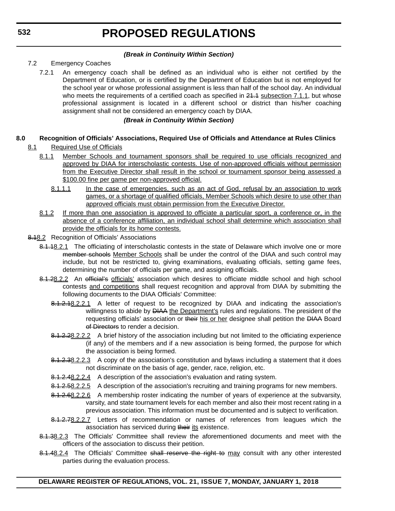### *(Break in Continuity Within Section)*

### 7.2 Emergency Coaches

7.2.1 An emergency coach shall be defined as an individual who is either not certified by the Department of Education, or is certified by the Department of Education but is not employed for the school year or whose professional assignment is less than half of the school day. An individual who meets the requirements of a certified coach as specified in  $24.4$  subsection  $7.1.1$ , but whose professional assignment is located in a different school or district than his/her coaching assignment shall not be considered an emergency coach by DIAA.

### *(Break in Continuity Within Section)*

### **8.0 Recognition of Officials' Associations, Required Use of Officials and Attendance at Rules Clinics**

- 8.1 Required Use of Officials
	- 8.1.1 Member Schools and tournament sponsors shall be required to use officials recognized and approved by DIAA for interscholastic contests. Use of non-approved officials without permission from the Executive Director shall result in the school or tournament sponsor being assessed a \$100.00 fine per game per non-approved official.
		- 8.1.1.1 In the case of emergencies, such as an act of God, refusal by an association to work games, or a shortage of qualified officials, Member Schools which desire to use other than approved officials must obtain permission from the Executive Director.
	- 8.1.2 If more than one association is approved to officiate a particular sport, a conference or, in the absence of a conference affiliation, an individual school shall determine which association shall provide the officials for its home contests.
- 8.18.2 Recognition of Officials' Associations
	- 8.1.18.2.1 The officiating of interscholastic contests in the state of Delaware which involve one or more member schools Member Schools shall be under the control of the DIAA and such control may include, but not be restricted to, giving examinations, evaluating officials, setting game fees, determining the number of officials per game, and assigning officials.
	- 8.1.28.2.2 An official's officials' association which desires to officiate middle school and high school contests and competitions shall request recognition and approval from DIAA by submitting the following documents to the DIAA Officials' Committee:
		- 8.1.2.18.2.2.1 A letter of request to be recognized by DIAA and indicating the association's willingness to abide by **DIAA** the Department's rules and regulations. The president of the requesting officials' association or their his or her designee shall petition the DIAA Board of Directors to render a decision.
		- 8.1.2.28.2.2.2 A brief history of the association including but not limited to the officiating experience (if any) of the members and if a new association is being formed, the purpose for which the association is being formed.
		- 8.1.2.38.2.2.3 A copy of the association's constitution and bylaws including a statement that it does not discriminate on the basis of age, gender, race, religion, etc.
		- 8.1.2.48.2.2.4 A description of the association's evaluation and rating system.
		- 8.1.2.58.2.2.5 A description of the association's recruiting and training programs for new members.
		- 8.1.2.68.2.2.6 A membership roster indicating the number of years of experience at the subvarsity, varsity, and state tournament levels for each member and also their most recent rating in a previous association. This information must be documented and is subject to verification.
		- 8.1.2.78.2.2.7 Letters of recommendation or names of references from leagues which the association has serviced during their its existence.
	- 8.1.38.2.3 The Officials' Committee shall review the aforementioned documents and meet with the officers of the association to discuss their petition.
	- 8.1.48.2.4 The Officials' Committee shall reserve the right to may consult with any other interested parties during the evaluation process.

**DELAWARE REGISTER OF REGULATIONS, VOL. 21, ISSUE 7, MONDAY, JANUARY 1, 2018**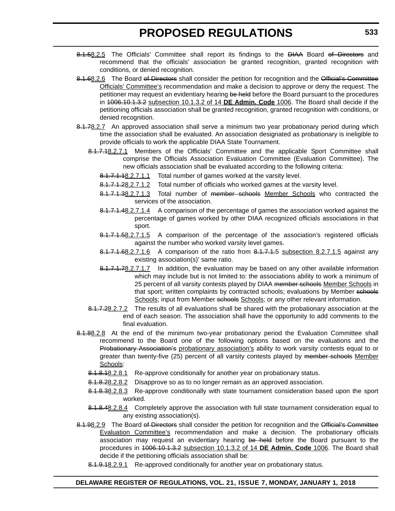- 8.1.58.2.5 The Officials' Committee shall report its findings to the DIAA Board of Directors and recommend that the officials' association be granted recognition, granted recognition with conditions, or denied recognition.
- 8.1.68.2.6 The Board of Directors shall consider the petition for recognition and the Official's Committee Officials' Committee's recommendation and make a decision to approve or deny the request. The petitioner may request an evidentiary hearing be held before the Board pursuant to the procedures in 1006.10.1.3.2 subsection 10.1.3.2 of 14 **DE Admin. Code** 1006. The Board shall decide if the petitioning officials association shall be granted recognition, granted recognition with conditions, or denied recognition.
- 8.1.78.2.7 An approved association shall serve a minimum two year probationary period during which time the association shall be evaluated. An association designated as probationary is ineligible to provide officials to work the applicable DIAA State Tournament.
	- 8.1.7.18.2.7.1 Members of the Officials' Committee and the applicable Sport Committee shall comprise the Officials Association Evaluation Committee (Evaluation Committee). The new officials association shall be evaluated according to the following criteria:
		- 8.1.7.1.18.2.7.1.1 Total number of games worked at the varsity level.
		- 8.1.7.1.28.2.7.1.2 Total number of officials who worked games at the varsity level.
		- 8.1.7.1.38.2.7.1.3 Total number of member schools Member Schools who contracted the services of the association.
		- 8.1.7.1.48.2.7.1.4 A comparison of the percentage of games the association worked against the percentage of games worked by other DIAA recognized officials associations in that sport.
		- 8.1.7.1.58.2.7.1.5 A comparison of the percentage of the association's registered officials against the number who worked varsity level games.
		- $8.1.7.1.68.2.7.1.6$  A comparison of the ratio from  $8.1.7.1.5$  subsection 8.2.7.1.5 against any existing association(s)' same ratio.
		- 8.1.7.1.78.2.7.1.7 In addition, the evaluation may be based on any other available information which may include but is not limited to: the associations ability to work a minimum of 25 percent of all varsity contests played by DIAA member schools Member Schools in that sport; written complaints by contracted schools; evaluations by Member schools Schools; input from Member schools Schools; or any other relevant information.
	- 8.1.7.28.2.7.2 The results of all evaluations shall be shared with the probationary association at the end of each season. The association shall have the opportunity to add comments to the final evaluation.
- 8.1.88.2.8 At the end of the minimum two-year probationary period the Evaluation Committee shall recommend to the Board one of the following options based on the evaluations and the Probationary Association's probationary association's ability to work varsity contests equal to or greater than twenty-five (25) percent of all varsity contests played by member schools Member Schools:
	- 8.1.8.18.2.8.1 Re-approve conditionally for another year on probationary status.
	- 8.1.8.28.2.8.2 Disapprove so as to no longer remain as an approved association.
	- 8.1.8.38.2.8.3 Re-approve conditionally with state tournament consideration based upon the sport worked.
	- 8.1.8.48.2.8.4 Completely approve the association with full state tournament consideration equal to any existing association(s).
- 8.1.98.2.9 The Board of Directors shall consider the petition for recognition and the Official's Committee Evaluation Committee's recommendation and make a decision. The probationary officials association may request an evidentiary hearing be held before the Board pursuant to the procedures in 1006.10.1.3.2 subsection 10.1.3.2 of 14 **DE Admin. Code** 1006. The Board shall decide if the petitioning officials association shall be:
	- 8.1.9.18.2.9.1 Re-approved conditionally for another year on probationary status.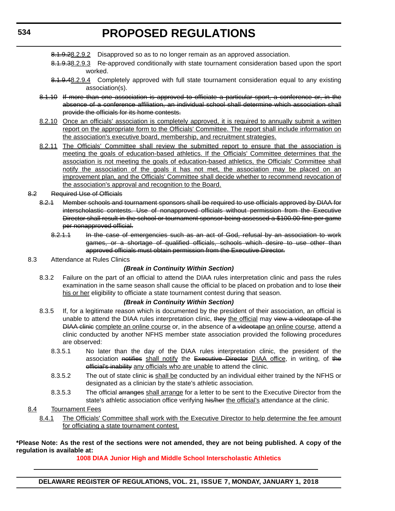- 8.1.9.28.2.9.2 Disapproved so as to no longer remain as an approved association.
- 8.1.9.38.2.9.3 Re-approved conditionally with state tournament consideration based upon the sport worked.
- 8.1.9.48.2.9.4 Completely approved with full state tournament consideration equal to any existing association(s).
- 8.1.10 If more than one association is approved to officiate a particular sport, a conference or, in the absence of a conference affiliation, an individual school shall determine which association shall provide the officials for its home contests.
- 8.2.10 Once an officials' association is completely approved, it is required to annually submit a written report on the appropriate form to the Officials' Committee. The report shall include information on the association's executive board, membership, and recruitment strategies.
- 8.2.11 The Officials' Committee shall review the submitted report to ensure that the association is meeting the goals of education-based athletics. If the Officials' Committee determines that the association is not meeting the goals of education-based athletics, the Officials' Committee shall notify the association of the goals it has not met, the association may be placed on an improvement plan, and the Officials' Committee shall decide whether to recommend revocation of the association's approval and recognition to the Board.
- 8.2 Required Use of Officials
	- 8.2.1 Member schools and tournament sponsors shall be required to use officials approved by DIAA for interscholastic contests. Use of nonapproved officials without permission from the Executive Director shall result in the school or tournament sponsor being assessed a \$100.00 fine per game per nonapproved official.
		- 8.2.1.1 In the case of emergencies such as an act of God, refusal by an association to work games, or a shortage of qualified officials, schools which desire to use other than approved officials must obtain permission from the Executive Director.
- 8.3 Attendance at Rules Clinics

### *(Break in Continuity Within Section)*

8.3.2 Failure on the part of an official to attend the DIAA rules interpretation clinic and pass the rules examination in the same season shall cause the official to be placed on probation and to lose their his or her eligibility to officiate a state tournament contest during that season.

#### *(Break in Continuity Within Section)*

- 8.3.5 If, for a legitimate reason which is documented by the president of their association, an official is unable to attend the DIAA rules interpretation clinic, they the official may view a videotape of the DIAA clinic complete an online course or, in the absence of a videotape an online course, attend a clinic conducted by another NFHS member state association provided the following procedures are observed:
	- 8.3.5.1 No later than the day of the DIAA rules interpretation clinic, the president of the association notifies shall notify the Executive Director DIAA office, in writing, of the official's inability any officials who are unable to attend the clinic.
	- 8.3.5.2 The out of state clinic is shall be conducted by an individual either trained by the NFHS or designated as a clinician by the state's athletic association.
	- 8.3.5.3 The official arranges shall arrange for a letter to be sent to the Executive Director from the state's athletic association office verifying his/her the official's attendance at the clinic.

### 8.4 Tournament Fees

8.4.1 The Officials' Committee shall work with the Executive Director to help determine the fee amount for officiating a state tournament contest.

**\*Please Note: As the rest of the sections were not amended, they are not being published. A copy of the regulation is available at:**

**[1008 DIAA Junior High and Middle School Interscholastic Athletics](http://regulations.delaware.gov/register/january2018/proposed/21 DE Reg 530 01-01-18.htm)**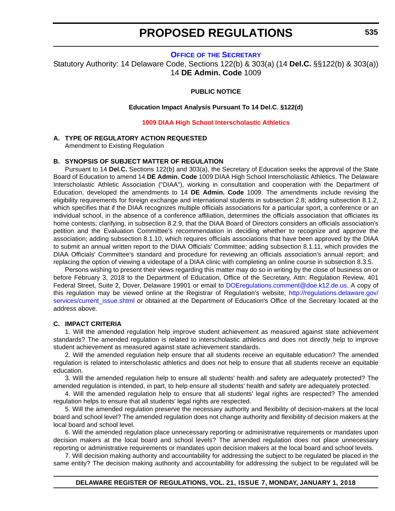### **OFFICE OF [THE SECRETARY](https://pubapps.doe.k12.de.us/EducationalDirectoryPublic/pages/DDOE/Branches.aspx?page=branches&BID=1)**

<span id="page-25-0"></span>Statutory Authority: 14 Delaware Code, Sections 122(b) & 303(a) (14 **Del.C.** §§122(b) & 303(a)) 14 **DE Admin. Code** 1009

### **PUBLIC NOTICE**

**Education Impact Analysis Pursuant To 14 Del.C**. **§122(d)**

#### **[1009 DIAA High School Interscholastic Athletics](#page-3-0)**

#### **A. TYPE OF REGULATORY ACTION REQUESTED**

Amendment to Existing Regulation

#### **B. SYNOPSIS OF SUBJECT MATTER OF REGULATION**

Pursuant to 14 **Del.C.** Sections 122(b) and 303(a), the Secretary of Education seeks the approval of the State Board of Education to amend 14 **DE Admin. Code** 1009 DIAA High School Interscholastic Athletics. The Delaware Interscholastic Athletic Association ("DIAA"), working in consultation and cooperation with the Department of Education, developed the amendments to 14 **DE Admin. Code** 1009. The amendments include revising the eligibility requirements for foreign exchange and international students in subsection 2.8; adding subsection 8.1.2, which specifies that if the DIAA recognizes multiple officials associations for a particular sport, a conference or an individual school, in the absence of a conference affiliation, determines the officials association that officiates its home contests; clarifying, in subsection 8.2.9, that the DIAA Board of Directors considers an officials association's petition and the Evaluation Committee's recommendation in deciding whether to recognize and approve the association; adding subsection 8.1.10, which requires officials associations that have been approved by the DIAA to submit an annual written report to the DIAA Officials' Committee; adding subsection 8.1.11, which provides the DIAA Officials' Committee's standard and procedure for reviewing an officials association's annual report; and replacing the option of viewing a videotape of a DIAA clinic with completing an online course in subsection 8.3.5.

Persons wishing to present their views regarding this matter may do so in writing by the close of business on or before February 3, 2018 to the Department of Education, Office of the Secretary, Attn: Regulation Review, 401 Federal Street, Suite 2, Dover, Delaware 19901 or email to [DOEregulations.comment@doe.k12.de.us.](mailto:DOEregulations.comment@doe.k12.de.us) A copy of this regulation may be viewed online at the Registrar of Regulation's website, [http://regulations.delaware.gov/](http://regulations.delaware.gov/services/current_issue.shtml) [services/current\\_issue.shtml](http://regulations.delaware.gov/services/current_issue.shtml) or obtained at the Department of Education's Office of the Secretary located at the address above.

#### **C. IMPACT CRITERIA**

1. Will the amended regulation help improve student achievement as measured against state achievement standards? The amended regulation is related to interscholastic athletics and does not directly help to improve student achievement as measured against state achievement standards.

2. Will the amended regulation help ensure that all students receive an equitable education? The amended regulation is related to interscholastic athletics and does not help to ensure that all students receive an equitable education.

3. Will the amended regulation help to ensure all students' health and safety are adequately protected? The amended regulation is intended, in part, to help ensure all students' health and safety are adequately protected.

4. Will the amended regulation help to ensure that all students' legal rights are respected? The amended regulation helps to ensure that all students' legal rights are respected.

5. Will the amended regulation preserve the necessary authority and flexibility of decision-makers at the local board and school level? The amended regulation does not change authority and flexibility of decision makers at the local board and school level.

6. Will the amended regulation place unnecessary reporting or administrative requirements or mandates upon decision makers at the local board and school levels? The amended regulation does not place unnecessary reporting or administrative requirements or mandates upon decision makers at the local board and school levels.

7. Will decision making authority and accountability for addressing the subject to be regulated be placed in the same entity? The decision making authority and accountability for addressing the subject to be regulated will be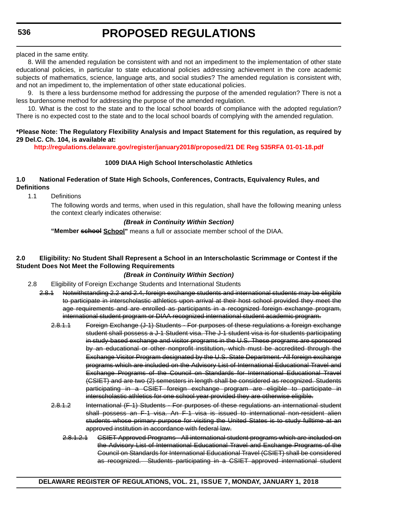placed in the same entity.

8. Will the amended regulation be consistent with and not an impediment to the implementation of other state educational policies, in particular to state educational policies addressing achievement in the core academic subjects of mathematics, science, language arts, and social studies? The amended regulation is consistent with, and not an impediment to, the implementation of other state educational policies.

9. Is there a less burdensome method for addressing the purpose of the amended regulation? There is not a less burdensome method for addressing the purpose of the amended regulation.

10. What is the cost to the state and to the local school boards of compliance with the adopted regulation? There is no expected cost to the state and to the local school boards of complying with the amended regulation.

### **\*Please Note: The Regulatory Flexibility Analysis and Impact Statement for this regulation, as required by 29 Del.C. Ch. 104, is available at:**

**<http://regulations.delaware.gov/register/january2018/proposed/21 DE Reg 535RFA 01-01-18.pdf>**

### **1009 DIAA High School Interscholastic Athletics**

### **1.0 National Federation of State High Schools, Conferences, Contracts, Equivalency Rules, and Definitions**

1.1 Definitions

The following words and terms, when used in this regulation, shall have the following meaning unless the context clearly indicates otherwise:

### *(Break in Continuity Within Section)*

**"Member school School"** means a full or associate member school of the DIAA.

### **2.0 Eligibility: No Student Shall Represent a School in an Interscholastic Scrimmage or Contest if the Student Does Not Meet the Following Requirements**

### *(Break in Continuity Within Section)*

- 2.8 Eligibility of Foreign Exchange Students and International Students
	- 2.8.1 Notwithstanding 2.2 and 2.4, foreign exchange students and international students may be eligible to participate in interscholastic athletics upon arrival at their host school provided they meet the age requirements and are enrolled as participants in a recognized foreign exchange program, international student program or DIAA recognized international student academic program.
		- 2.8.1.1 Foreign Exchange (J-1) Students For purposes of these regulations a foreign exchange student shall possess a J-1 Student visa. The J-1 student visa is for students participating in study-based exchange and visitor programs in the U.S. These programs are sponsored by an educational or other nonprofit institution, which must be accredited through the Exchange Visitor Program designated by the U.S. State Department. All foreign exchange programs which are included on the Advisory List of International Educational Travel and Exchange Programs of the Council on Standards for International Educational Travel (CSIET) and are two (2) semesters in length shall be considered as recognized. Students participating in a CSIET foreign exchange program are eligible to participate in interscholastic athletics for one school year provided they are otherwise eligible.
		- 2.8.1.2 International (F-1) Students For purposes of these regulations an international student shall possess an F-1 visa. An F-1 visa is issued to international non-resident alien students whose primary purpose for visiting the United States is to study fulltime at an approved institution in accordance with federal law.
			- 2.8.1.2.1 CSIET Approved Programs All international student programs which are included on the Advisory List of International Educational Travel and Exchange Programs of the Council on Standards for International Educational Travel (CSIET) shall be considered as recognized. Students participating in a CSIET approved international student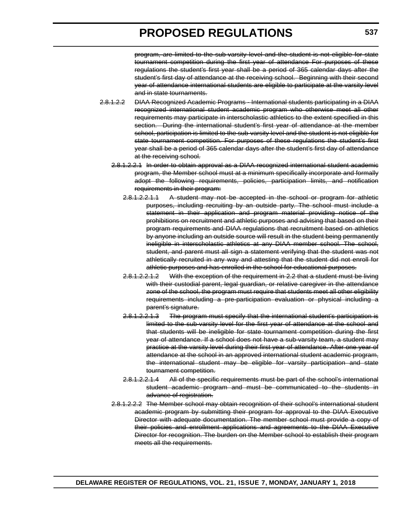program, are limited to the sub-varsity level and the student is not eligible for state tournament competition during the first year of attendance For purposes of these regulations the student's first year shall be a period of 365 calendar days after the student's first day of attendance at the receiving school. Beginning with their second year of attendance international students are eligible to participate at the varsity level and in state tournaments.

- 2.8.1.2.2 DIAA Recognized Academic Programs International students participating in a DIAA recognized international student academic program who otherwise meet all other requirements may participate in interscholastic athletics to the extent specified in this section. During the international student's first year of attendance at the member school, participation is limited to the sub-varsity level and the student is not eligible for state tournament competition. For purposes of these regulations the student's first year shall be a period of 365 calendar days after the student's first day of attendance at the receiving school.
	- 2.8.1.2.2.1 In order to obtain approval as a DIAA recognized international student academic program, the Member school must at a minimum specifically incorporate and formally adopt the following requirements, policies, participation limits, and notification requirements in their program:
		- 2.8.1.2.2.1.1 A student may not be accepted in the school or program for athletic purposes, including recruiting by an outside party. The school must include a statement in their application and program material providing notice of the prohibitions on recruitment and athletic purposes and advising that based on their program requirements and DIAA regulations that recruitment based on athletics by anyone including an outside source will result in the student being permanently ineligible in interscholastic athletics at any DIAA member school. The school, student, and parent must all sign a statement verifying that the student was not athletically recruited in any way and attesting that the student did not enroll for athletic purposes and has enrolled in the school for educational purposes.
		- 2.8.1.2.2.1.2 With the exception of the requirement in 2.2 that a student must be living with their custodial parent, legal guardian, or relative caregiver in the attendance zone of the school, the program must require that students meet all other eligibility requirements including a pre-participation evaluation or physical including a parent's signature.
		- 2.8.1.2.2.1.3 The program must specify that the international student's participation is limited to the sub-varsity level for the first year of attendance at the school and that students will be ineligible for state tournament competition during the first year of attendance. If a school does not have a sub-varsity team, a student may practice at the varsity level during their first year of attendance. After one year of attendance at the school in an approved international student academic program, the international student may be eligible for varsity participation and state tournament competition.
		- 2.8.1.2.2.1.4 All of the specific requirements must be part of the school's international student academic program and must be communicated to the students in advance of registration.
	- 2.8.1.2.2.2 The Member school may obtain recognition of their school's international student academic program by submitting their program for approval to the DIAA Executive Director with adequate documentation. The member school must provide a copy of their policies and enrollment applications and agreements to the DIAA Executive Director for recognition. The burden on the Member school to establish their program meets all the requirements.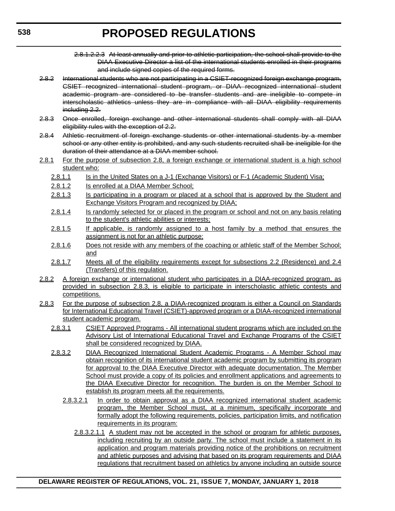- 2.8.1.2.2.3 At least annually and prior to athletic participation, the school shall provide to the DIAA Executive Director a list of the international students enrolled in their programs and include signed copies of the required forms.
- 2.8.2 International students who are not participating in a CSIET-recognized foreign exchange program, CSIET recognized international student program, or DIAA recognized international student academic program are considered to be transfer students and are ineligible to compete in interscholastic athletics unless they are in compliance with all DIAA eligibility requirements including 2.2.
- 2.8.3 Once enrolled, foreign exchange and other international students shall comply with all DIAA eligibility rules with the exception of 2.2.
- 2.8.4 Athletic recruitment of foreign exchange students or other international students by a member school or any other entity is prohibited, and any such students recruited shall be ineligible for the duration of their attendance at a DIAA member school.
- 2.8.1 For the purpose of subsection 2.8, a foreign exchange or international student is a high school student who:
	- 2.8.1.1 Is in the United States on a J-1 (Exchange Visitors) or F-1 (Academic Student) Visa;
	- 2.8.1.2 Is enrolled at a DIAA Member School;
	- 2.8.1.3 Is participating in a program or placed at a school that is approved by the Student and Exchange Visitors Program and recognized by DIAA;
	- 2.8.1.4 Is randomly selected for or placed in the program or school and not on any basis relating to the student's athletic abilities or interests;
	- 2.8.1.5 If applicable, is randomly assigned to a host family by a method that ensures the assignment is not for an athletic purpose;
	- 2.8.1.6 Does not reside with any members of the coaching or athletic staff of the Member School; and
	- 2.8.1.7 Meets all of the eligibility requirements except for subsections 2.2 (Residence) and 2.4 (Transfers) of this regulation.
- 2.8.2 A foreign exchange or international student who participates in a DIAA-recognized program, as provided in subsection 2.8.3, is eligible to participate in interscholastic athletic contests and competitions.
- 2.8.3 For the purpose of subsection 2.8, a DIAA-recognized program is either a Council on Standards for International Educational Travel (CSIET)-approved program or a DIAA-recognized international student academic program.
	- 2.8.3.1 CSIET Approved Programs All international student programs which are included on the Advisory List of International Educational Travel and Exchange Programs of the CSIET shall be considered recognized by DIAA.
	- 2.8.3.2 DIAA Recognized International Student Academic Programs A Member School may obtain recognition of its international student academic program by submitting its program for approval to the DIAA Executive Director with adequate documentation. The Member School must provide a copy of its policies and enrollment applications and agreements to the DIAA Executive Director for recognition. The burden is on the Member School to establish its program meets all the requirements.
		- 2.8.3.2.1 In order to obtain approval as a DIAA recognized international student academic program, the Member School must, at a minimum, specifically incorporate and formally adopt the following requirements, policies, participation limits, and notification requirements in its program:
			- 2.8.3.2.1.1 A student may not be accepted in the school or program for athletic purposes, including recruiting by an outside party. The school must include a statement in its application and program materials providing notice of the prohibitions on recruitment and athletic purposes and advising that based on its program requirements and DIAA regulations that recruitment based on athletics by anyone including an outside source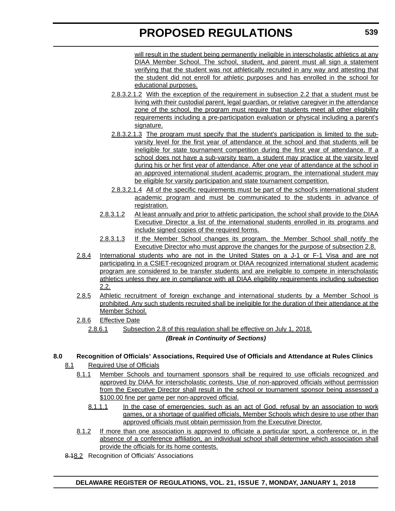will result in the student being permanently ineligible in interscholastic athletics at any DIAA Member School. The school, student, and parent must all sign a statement verifying that the student was not athletically recruited in any way and attesting that the student did not enroll for athletic purposes and has enrolled in the school for educational purposes.

- 2.8.3.2.1.2 With the exception of the requirement in subsection 2.2 that a student must be living with their custodial parent, legal guardian, or relative caregiver in the attendance zone of the school, the program must require that students meet all other eligibility requirements including a pre-participation evaluation or physical including a parent's signature.
- 2.8.3.2.1.3 The program must specify that the student's participation is limited to the subvarsity level for the first year of attendance at the school and that students will be ineligible for state tournament competition during the first year of attendance. If a school does not have a sub-varsity team, a student may practice at the varsity level during his or her first year of attendance. After one year of attendance at the school in an approved international student academic program, the international student may be eligible for varsity participation and state tournament competition.
- 2.8.3.2.1.4 All of the specific requirements must be part of the school's international student academic program and must be communicated to the students in advance of registration.
- 2.8.3.1.2 At least annually and prior to athletic participation, the school shall provide to the DIAA Executive Director a list of the international students enrolled in its programs and include signed copies of the required forms.
- 2.8.3.1.3 If the Member School changes its program, the Member School shall notify the Executive Director who must approve the changes for the purpose of subsection 2.8.
- 2.8.4 International students who are not in the United States on a J-1 or F-1 Visa and are not participating in a CSIET-recognized program or DIAA recognized international student academic program are considered to be transfer students and are ineligible to compete in interscholastic athletics unless they are in compliance with all DIAA eligibility requirements including subsection 2.2.
- 2.8.5 Athletic recruitment of foreign exchange and international students by a Member School is prohibited. Any such students recruited shall be ineligible for the duration of their attendance at the Member School.
- 2.8.6 Effective Date
	- 2.8.6.1 Subsection 2.8 of this regulation shall be effective on July 1, 2018.

### *(Break in Continuity of Sections)*

### **8.0 Recognition of Officials' Associations, Required Use of Officials and Attendance at Rules Clinics**

- 8.1 Required Use of Officials
	- 8.1.1 Member Schools and tournament sponsors shall be required to use officials recognized and approved by DIAA for interscholastic contests. Use of non-approved officials without permission from the Executive Director shall result in the school or tournament sponsor being assessed a \$100.00 fine per game per non-approved official.
		- 8.1.1.1 In the case of emergencies, such as an act of God, refusal by an association to work games, or a shortage of qualified officials, Member Schools which desire to use other than approved officials must obtain permission from the Executive Director.
	- 8.1.2 If more than one association is approved to officiate a particular sport, a conference or, in the absence of a conference affiliation, an individual school shall determine which association shall provide the officials for its home contests.
- 8.18.2 Recognition of Officials' Associations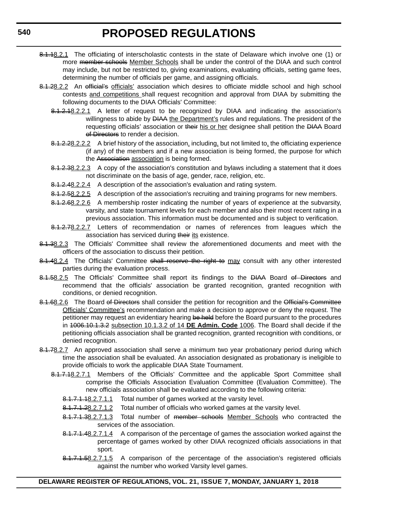- 8.1.18.2.1 The officiating of interscholastic contests in the state of Delaware which involve one (1) or more member schools Member Schools shall be under the control of the DIAA and such control may include, but not be restricted to, giving examinations, evaluating officials, setting game fees, determining the number of officials per game, and assigning officials.
- 8.1.28.2.2 An official's officials' association which desires to officiate middle school and high school contests and competitions shall request recognition and approval from DIAA by submitting the following documents to the DIAA Officials' Committee:
	- 8.1.2.18.2.2.1 A letter of request to be recognized by DIAA and indicating the association's willingness to abide by **DIAA** the Department's rules and regulations. The president of the requesting officials' association or their his or her designee shall petition the DIAA Board of Directors to render a decision.
	- 8.1.2.28.2.2.2 A brief history of the association, including, but not limited to, the officiating experience (if any) of the members and if a new association is being formed, the purpose for which the Association association is being formed.
	- 8.1.2.38.2.2.3 A copy of the association's constitution and bylaws including a statement that it does not discriminate on the basis of age, gender, race, religion, etc.
	- 8.1.2.48.2.2.4 A description of the association's evaluation and rating system.
	- 8.1.2.58.2.2.5 A description of the association's recruiting and training programs for new members.
	- 8.1.2.68.2.2.6 A membership roster indicating the number of years of experience at the subvarsity, varsity, and state tournament levels for each member and also their most recent rating in a previous association. This information must be documented and is subject to verification.
	- 8.1.2.78.2.2.7 Letters of recommendation or names of references from leagues which the association has serviced during their its existence.
- 8.1.38.2.3 The Officials' Committee shall review the aforementioned documents and meet with the officers of the association to discuss their petition.
- 8.1.48.2.4 The Officials' Committee shall reserve the right to may consult with any other interested parties during the evaluation process.
- 8.1.58.2.5 The Officials' Committee shall report its findings to the DIAA Board of Directors and recommend that the officials' association be granted recognition, granted recognition with conditions, or denied recognition.
- 8.1.68.2.6 The Board of Directors shall consider the petition for recognition and the Official's Committee Officials' Committee's recommendation and make a decision to approve or deny the request. The petitioner may request an evidentiary hearing be held before the Board pursuant to the procedures in 1006.10.1.3.2 subsection 10.1.3.2 of 14 **DE Admin. Code** 1006. The Board shall decide if the petitioning officials association shall be granted recognition, granted recognition with conditions, or denied recognition.
- 8.1.78.2.7 An approved association shall serve a minimum two year probationary period during which time the association shall be evaluated. An association designated as probationary is ineligible to provide officials to work the applicable DIAA State Tournament.
	- 8.1.7.18.2.7.1 Members of the Officials' Committee and the applicable Sport Committee shall comprise the Officials Association Evaluation Committee (Evaluation Committee). The new officials association shall be evaluated according to the following criteria:
		- 8.1.7.1.18.2.7.1.1 Total number of games worked at the varsity level.
		- 8.1.7.1.28.2.7.1.2 Total number of officials who worked games at the varsity level.
		- 8.1.7.1.38.2.7.1.3 Total number of member schools Member Schools who contracted the services of the association.
		- 8.1.7.1.48.2.7.1.4 A comparison of the percentage of games the association worked against the percentage of games worked by other DIAA recognized officials associations in that sport.
		- 8.1.7.1.58.2.7.1.5 A comparison of the percentage of the association's registered officials against the number who worked Varsity level games.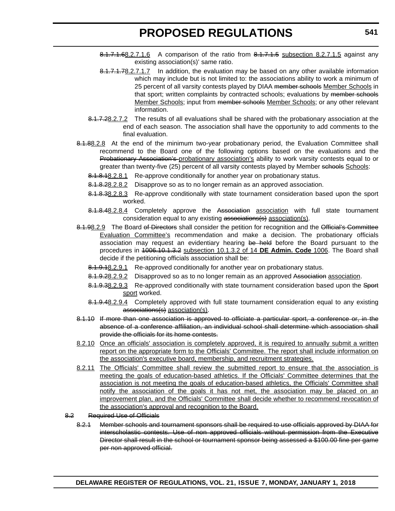- $8.1.7.1.68.2.7.1.6$  A comparison of the ratio from  $8.1.7.1.5$  subsection 8.2.7.1.5 against any existing association(s)' same ratio.
- 8.1.7.1.78.2.7.1.7 In addition, the evaluation may be based on any other available information which may include but is not limited to: the associations ability to work a minimum of 25 percent of all varsity contests played by DIAA member schools Member Schools in that sport; written complaints by contracted schools; evaluations by member schools Member Schools; input from member schools Member Schools; or any other relevant information.
- 8.1.7.28.2.7.2 The results of all evaluations shall be shared with the probationary association at the end of each season. The association shall have the opportunity to add comments to the final evaluation.
- 8.1.88.2.8 At the end of the minimum two-year probationary period, the Evaluation Committee shall recommend to the Board one of the following options based on the evaluations and the Probationary Association's probationary association's ability to work varsity contests equal to or greater than twenty-five (25) percent of all varsity contests played by Member schools:
	- 8.1.8.18.2.8.1 Re-approve conditionally for another year on probationary status.
	- 8.1.8.28.2.8.2 Disapprove so as to no longer remain as an approved association.
	- 8.1.8.38.2.8.3 Re-approve conditionally with state tournament consideration based upon the sport worked.
	- 8.1.8.48.2.8.4 Completely approve the Association association with full state tournament consideration equal to any existing associations(s) association(s).
- 8.1.98.2.9 The Board of Directors shall consider the petition for recognition and the Official's Committee Evaluation Committee's recommendation and make a decision. The probationary officials association may request an evidentiary hearing be held before the Board pursuant to the procedures in 1006.10.1.3.2 subsection 10.1.3.2 of 14 **DE Admin. Code** 1006. The Board shall decide if the petitioning officials association shall be:
	- 8.1.9.18.2.9.1 Re-approved conditionally for another year on probationary status.
	- 8.1.9.28.2.9.2 Disapproved so as to no longer remain as an approved Association association.
	- 8.1.9.38.2.9.3 Re-approved conditionally with state tournament consideration based upon the Sport sport worked.
	- 8.1.9.48.2.9.4 Completely approved with full state tournament consideration equal to any existing associations(s) association(s).
- 8.1.10 If more than one association is approved to officiate a particular sport, a conference or, in the absence of a conference affiliation, an individual school shall determine which association shall provide the officials for its home contests.
- 8.2.10 Once an officials' association is completely approved, it is required to annually submit a written report on the appropriate form to the Officials' Committee. The report shall include information on the association's executive board, membership, and recruitment strategies.
- 8.2.11 The Officials' Committee shall review the submitted report to ensure that the association is meeting the goals of education-based athletics. If the Officials' Committee determines that the association is not meeting the goals of education-based athletics, the Officials' Committee shall notify the association of the goals it has not met, the association may be placed on an improvement plan, and the Officials' Committee shall decide whether to recommend revocation of the association's approval and recognition to the Board.
- 8.2 Required Use of Officials
	- 8.2.1 Member schools and tournament sponsors shall be required to use officials approved by DIAA for interscholastic contests. Use of non approved officials without permission from the Executive Director shall result in the school or tournament sponsor being assessed a \$100.00 fine per game per non approved official.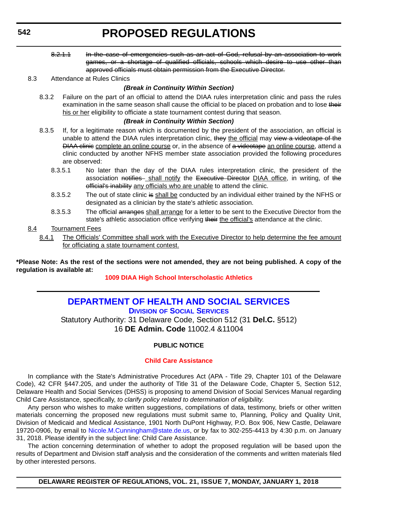<span id="page-32-0"></span>8.2.1.1 In the case of emergencies such as an act of God, refusal by an association to work games, or a shortage of qualified officials, schools which desire to use other than approved officials must obtain permission from the Executive Director.

#### 8.3 Attendance at Rules Clinics

### *(Break in Continuity Within Section)*

8.3.2 Failure on the part of an official to attend the DIAA rules interpretation clinic and pass the rules examination in the same season shall cause the official to be placed on probation and to lose their his or her eligibility to officiate a state tournament contest during that season.

### *(Break in Continuity Within Section)*

- 8.3.5 If, for a legitimate reason which is documented by the president of the association, an official is unable to attend the DIAA rules interpretation clinic, they the official may view a videotape of the DIAA clinic complete an online course or, in the absence of a videotape an online course, attend a clinic conducted by another NFHS member state association provided the following procedures are observed:
	- 8.3.5.1 No later than the day of the DIAA rules interpretation clinic, the president of the association notifies shall notify the Executive Director DIAA office, in writing, of the official's inability any officials who are unable to attend the clinic.
	- 8.3.5.2 The out of state clinic is shall be conducted by an individual either trained by the NFHS or designated as a clinician by the state's athletic association.
	- 8.3.5.3 The official arranges shall arrange for a letter to be sent to the Executive Director from the state's athletic association office verifying their the official's attendance at the clinic.

### 8.4 Tournament Fees

8.4.1 The Officials' Committee shall work with the Executive Director to help determine the fee amount for officiating a state tournament contest.

**\*Please Note: As the rest of the sections were not amended, they are not being published. A copy of the regulation is available at:**

**[1009 DIAA High School Interscholastic Athletics](http://regulations.delaware.gov/register/january2018/proposed/21 DE Reg 535 01-01-18.htm)** 

### **[DEPARTMENT OF HEALTH AND SOCIAL SERVICES](http://www.dhss.delaware.gov/dhss/dss/) DIVISION OF SOCIAL SERVICES**

Statutory Authority: 31 Delaware Code, Section 512 (31 **Del.C.** §512) 16 **DE Admin. Code** 11002.4 &11004

### **PUBLIC NOTICE**

### **[Child Care Assistance](#page-3-0)**

In compliance with the State's Administrative Procedures Act (APA - Title 29, Chapter 101 of the Delaware Code), 42 CFR §447.205, and under the authority of Title 31 of the Delaware Code, Chapter 5, Section 512, Delaware Health and Social Services (DHSS) is proposing to amend Division of Social Services Manual regarding Child Care Assistance, specifically, *to clarify policy related to determination of eligibility*.

Any person who wishes to make written suggestions, compilations of data, testimony, briefs or other written materials concerning the proposed new regulations must submit same to, Planning, Policy and Quality Unit, Division of Medicaid and Medical Assistance, 1901 North DuPont Highway, P.O. Box 906, New Castle, Delaware 19720-0906, by email to [Nicole.M.Cunningham@state.de.us](mailto:Nicole.M.Cunningham@state.de.us), or by fax to 302-255-4413 by 4:30 p.m. on January 31, 2018. Please identify in the subject line: Child Care Assistance.

The action concerning determination of whether to adopt the proposed regulation will be based upon the results of Department and Division staff analysis and the consideration of the comments and written materials filed by other interested persons.

**DELAWARE REGISTER OF REGULATIONS, VOL. 21, ISSUE 7, MONDAY, JANUARY 1, 2018**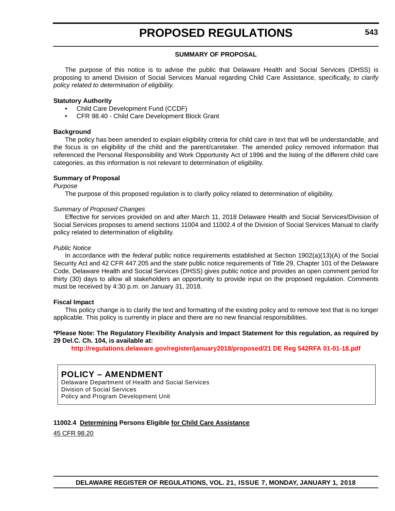### **SUMMARY OF PROPOSAL**

The purpose of this notice is to advise the public that Delaware Health and Social Services (DHSS) is proposing to amend Division of Social Services Manual regarding Child Care Assistance, specifically, *to clarify policy related to determination of eligibility*.

#### **Statutory Authority**

- Child Care Development Fund (CCDF)
- CFR 98.40 Child Care Development Block Grant

### **Background**

The policy has been amended to explain eligibility criteria for child care in text that will be understandable, and the focus is on eligibility of the child and the parent/caretaker. The amended policy removed information that referenced the Personal Responsibility and Work Opportunity Act of 1996 and the listing of the different child care categories, as this information is not relevant to determination of eligibility.

#### **Summary of Proposal**

*Purpose*

The purpose of this proposed regulation is to clarify policy related to determination of eligibility.

#### *Summary of Proposed Changes*

Effective for services provided on and after March 11, 2018 Delaware Health and Social Services/Division of Social Services proposes to amend sections 11004 and 11002.4 of the Division of Social Services Manual to clarify policy related to determination of eligibility.

#### *Public Notice*

In accordance with the *federal* public notice requirements established at Section 1902(a)(13)(A) of the Social Security Act and 42 CFR 447.205 and the *state* public notice requirements of Title 29, Chapter 101 of the Delaware Code, Delaware Health and Social Services (DHSS) gives public notice and provides an open comment period for thirty (30) days to allow all stakeholders an opportunity to provide input on the proposed regulation. Comments must be received by 4:30 p.m. on January 31, 2018.

#### **Fiscal Impact**

This policy change is to clarify the text and formatting of the existing policy and to remove text that is no longer applicable. This policy is currently in place and there are no new financial responsibilities.

#### **\*Please Note: The Regulatory Flexibility Analysis and Impact Statement for this regulation, as required by 29 Del.C. Ch. 104, is available at:**

**<http://regulations.delaware.gov/register/january2018/proposed/21 DE Reg 542RFA 01-01-18.pdf>**

### **POLICY – AMENDMENT**

Delaware Department of Health and Social Services Division of Social Services Policy and Program Development Unit

### **11002.4 Determining Persons Eligible for Child Care Assistance**

45 CFR 98.20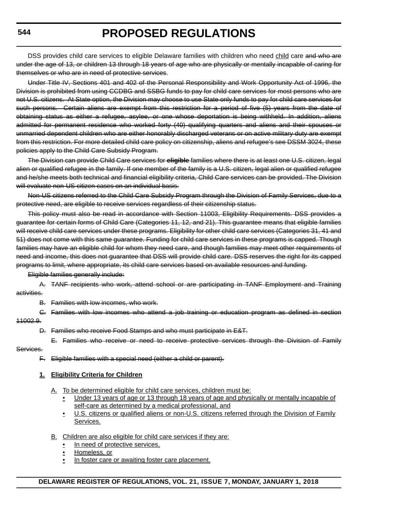DSS provides child care services to eligible Delaware families with children who need child care and who are under the age of 13, or children 13 through 18 years of age who are physically or mentally incapable of caring for themselves or who are in need of protective services.

Under Title IV, Sections 401 and 402 of the Personal Responsibility and Work Opportunity Act of 1996, the Division is prohibited from using CCDBG and SSBG funds to pay for child care services for most persons who are not U.S. citizens. At State option, the Division may choose to use State only funds to pay for child care services for such persons. Certain aliens are exempt from this restriction for a period of five (5) years from the date of obtaining status as either a refugee, asylee, or one whose deportation is being withheld. In addition, aliens admitted for permanent residence who worked forty (40) qualifying quarters and aliens and their spouses or unmarried dependent children who are either honorably discharged veterans or on active military duty are exempt from this restriction. For more detailed child care policy on citizenship, aliens and refugee's see DSSM 3024, these policies apply to the Child Care Subsidy Program.

The Division can provide Child Care services for **eligible** families where there is at least one U.S. citizen, legal alien or qualified refugee in the family. If one member of the family is a U.S. citizen, legal alien or qualified refugee and he/she meets both technical and financial eligibility criteria, Child Care services can be provided. The Division will evaluate non-US citizen cases on an individual basis.

Non-US citizens referred to the Child Care Subsidy Program through the Division of Family Services, due to a protective need, are eligible to receive services regardless of their citizenship status.

This policy must also be read in accordance with Section 11003, Eligibility Requirements. DSS provides a guarantee for certain forms of Child Care (Categories 11, 12, and 21). This guarantee means that eligible families will receive child care services under these programs. Eligibility for other child care services (Categories 31, 41 and 51) does not come with this same guarantee. Funding for child care services in these programs is capped. Though families may have an eligible child for whom they need care, and though families may meet other requirements of need and income, this does not guarantee that DSS will provide child care. DSS reserves the right for its capped programs to limit, where appropriate, its child care services based on available resources and funding.

Eligible families generally include:

A. TANF recipients who work, attend school or are participating in TANF Employment and Training activities.

B. Families with low incomes, who work.

C. Families with low incomes who attend a job training or education program as defined in section 11002.9.

- D. Families who receive Food Stamps and who must participate in E&T.
- E. Families who receive or need to receive protective services through the Division of Family

#### Services.

F. Eligible families with a special need (either a child or parent).

### **1. Eligibility Criteria for Children**

- A. To be determined eligible for child care services, children must be:
	- Under 13 years of age or 13 through 18 years of age and physically or mentally incapable of self-care as determined by a medical professional, and
	- U.S. citizens or qualified aliens or non-U.S. citizens referred through the Division of Family Services.
- B. Children are also eligible for child care services if they are:
	- In need of protective services,
	- Homeless, or
	- In foster care or awaiting foster care placement.

**544**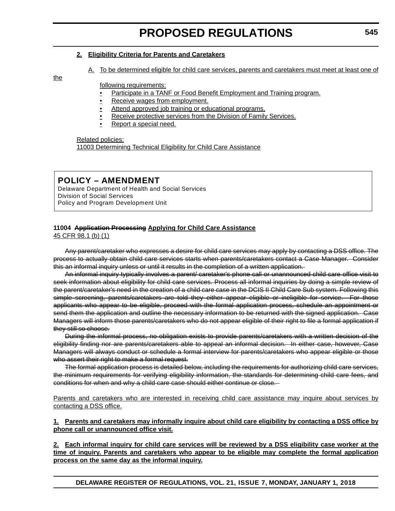### **2. Eligibility Criteria for Parents and Caretakers**

A. To be determined eligible for child care services, parents and caretakers must meet at least one of

the

following requirements:

- Participate in a TANF or Food Benefit Employment and Training program.
- Receive wages from employment.
- Attend approved job training or educational programs.
- Receive protective services from the Division of Family Services.
- Report a special need.

Related policies: 11003 Determining Technical Eligibility for Child Care Assistance

### **POLICY – AMENDMENT**

Delaware Department of Health and Social Services Division of Social Services Policy and Program Development Unit

### **11004 Application Processing Applying for Child Care Assistance**

45 CFR 98.1 (b) (1)

Any parent/caretaker who expresses a desire for child care services may apply by contacting a DSS office. The process to actually obtain child care services starts when parents/caretakers contact a Case Manager. Consider this an informal inquiry unless or until it results in the completion of a written application.

An informal inquiry typically involves a parent/ caretaker's phone call or unannounced child care office visit to seek information about eligibility for child care services. Process all informal inquiries by doing a simple review of the parent/caretaker's need in the creation of a child care case in the DCIS II Child Care Sub system. Following this simple screening, parents/caretakers are told they either appear eligible or ineligible for service. For those applicants who appear to be eligible, proceed with the formal application process, schedule an appointment or send them the application and outline the necessary information to be returned with the signed application. Case Managers will inform those parents/caretakers who do not appear eligible of their right to file a formal application if they still so choose.

During the informal process, no obligation exists to provide parents/caretakers with a written decision of the eligibility finding nor are parents/caretakers able to appeal an informal decision. In either case, however, Case Managers will always conduct or schedule a formal interview for parents/caretakers who appear eligible or those who assert their right to make a formal request.

The formal application process is detailed below, including the requirements for authorizing child care services, the minimum requirements for verifying eligibility information, the standards for determining child care fees, and conditions for when and why a child care case should either continue or close.

Parents and caretakers who are interested in receiving child care assistance may inquire about services by contacting a DSS office.

**1. Parents and caretakers may informally inquire about child care eligibility by contacting a DSS office by phone call or unannounced office visit.**

**2. Each informal inquiry for child care services will be reviewed by a DSS eligibility case worker at the time of inquiry. Parents and caretakers who appear to be eligible may complete the formal application process on the same day as the informal inquiry.**

**DELAWARE REGISTER OF REGULATIONS, VOL. 21, ISSUE 7, MONDAY, JANUARY 1, 2018**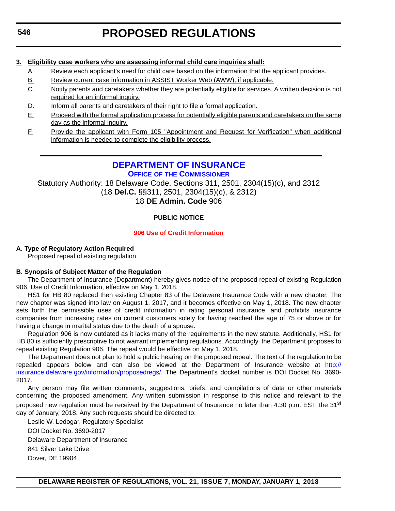## **3. Eligibility case workers who are assessing informal child care inquiries shall:**

- A. Review each applicant's need for child care based on the information that the applicant provides.
- B. Review current case information in ASSIST Worker Web (AWW), if applicable.
- C. Notify parents and caretakers whether they are potentially eligible for services. A written decision is not required for an informal inquiry.
- D. Inform all parents and caretakers of their right to file a formal application.
- E. Proceed with the formal application process for potentially eligible parents and caretakers on the same day as the informal inquiry.
- F. Provide the applicant with Form 105 "Appointment and Request for Verification" when additional information is needed to complete the eligibility process.

## **[DEPARTMENT OF INSURANCE](https://insurance.delaware.gov/)**

**OFFICE OF THE COMMISSIONER**

Statutory Authority: 18 Delaware Code, Sections 311, 2501, 2304(15)(c), and 2312 (18 **Del.C.** §§311, 2501, 2304(15)(c), & 2312) 18 **DE Admin. Code** 906

## **PUBLIC NOTICE**

## **[906 Use of Credit Information](#page-3-0)**

## **A. Type of Regulatory Action Required**

Proposed repeal of existing regulation

## **B. Synopsis of Subject Matter of the Regulation**

The Department of Insurance (Department) hereby gives notice of the proposed repeal of existing Regulation 906, Use of Credit Information, effective on May 1, 2018.

HS1 for HB 80 replaced then existing Chapter 83 of the Delaware Insurance Code with a new chapter. The new chapter was signed into law on August 1, 2017, and it becomes effective on May 1, 2018. The new chapter sets forth the permissible uses of credit information in rating personal insurance, and prohibits insurance companies from increasing rates on current customers solely for having reached the age of 75 or above or for having a change in marital status due to the death of a spouse.

Regulation 906 is now outdated as it lacks many of the requirements in the new statute. Additionally, HS1 for HB 80 is sufficiently prescriptive to not warrant implementing regulations. Accordingly, the Department proposes to repeal existing Regulation 906. The repeal would be effective on May 1, 2018.

The Department does not plan to hold a public hearing on the proposed repeal. The text of the regulation to be repealed appears below and can also be viewed at the Department of Insurance website at [http://](http://insurance.delaware.gov/information/proposedregs/) [insurance.delaware.gov/information/proposedregs/.](http://insurance.delaware.gov/information/proposedregs/) The Department's docket number is DOI Docket No. 3690- 2017.

Any person may file written comments, suggestions, briefs, and compilations of data or other materials concerning the proposed amendment. Any written submission in response to this notice and relevant to the proposed new regulation must be received by the Department of Insurance no later than 4:30 p.m. EST, the 31<sup>st</sup> day of January, 2018. Any such requests should be directed to:

Leslie W. Ledogar, Regulatory Specialist DOI Docket No. 3690-2017 Delaware Department of Insurance 841 Silver Lake Drive Dover, DE 19904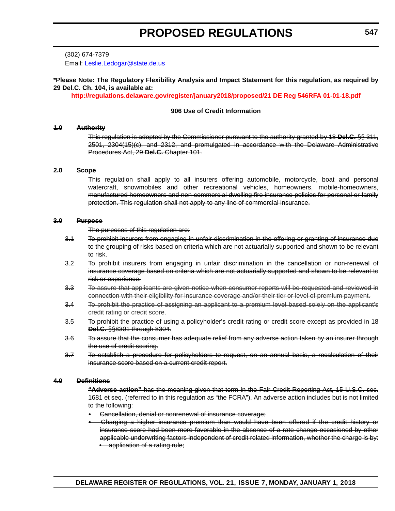(302) 674-7379 Email: [Leslie.Ledogar@state.de.us](mailto:Leslie.Ledogar@state.de.us)

## **\*Please Note: The Regulatory Flexibility Analysis and Impact Statement for this regulation, as required by 29 Del.C. Ch. 104, is available at:**

**<http://regulations.delaware.gov/register/january2018/proposed/21 DE Reg 546RFA 01-01-18.pdf>**

#### **906 Use of Credit Information**

#### **1.0 Authority**

This regulation is adopted by the Commissioner pursuant to the authority granted by 18 **Del.C.** §§ 311, 2501, 2304(15)(c), and 2312, and promulgated in accordance with the Delaware Administrative Procedures Act, 29 **Del.C.** Chapter 101.

#### **2.0 Scope**

This regulation shall apply to all insurers offering automobile, motorcycle, boat and personal watercraft, snowmobiles and other recreational vehicles, homeowners, mobile-homeowners, manufactured homeowners and non-commercial dwelling fire insurance policies for personal or family protection. This regulation shall not apply to any line of commercial insurance.

#### **3.0 Purpose**

The purposes of this regulation are:

- 3.1 To prohibit insurers from engaging in unfair discrimination in the offering or granting of insurance due to the grouping of risks based on criteria which are not actuarially supported and shown to be relevant to risk.
- 3.2 To prohibit insurers from engaging in unfair discrimination in the cancellation or non-renewal of insurance coverage based on criteria which are not actuarially supported and shown to be relevant to risk or experience.
- 3.3 To assure that applicants are given notice when consumer reports will be requested and reviewed in connection with their eligibility for insurance coverage and/or their tier or level of premium payment.
- 3.4 To prohibit the practice of assigning an applicant to a premium level based solely on the applicant's credit rating or credit score.
- 3.5 To prohibit the practice of using a policyholder's credit rating or credit score except as provided in 18 **Del.C.** §§8301 through 8304.
- 3.6 To assure that the consumer has adequate relief from any adverse action taken by an insurer through the use of credit scoring.
- 3.7 To establish a procedure for policyholders to request, on an annual basis, a recalculation of their insurance score based on a current credit report.

#### **4.0 Definitions**

**"Adverse action"** has the meaning given that term in the Fair Credit Reporting Act, 15 U.S.C. sec. 1681 et seq. (referred to in this regulation as "the FCRA"). An adverse action includes but is not limited to the following:

- Cancellation, denial or nonrenewal of insurance coverage;
- Charging a higher insurance premium than would have been offered if the credit history or insurance score had been more favorable in the absence of a rate change occasioned by other applicable underwriting factors independent of credit related information, whether the charge is by: • application of a rating rule;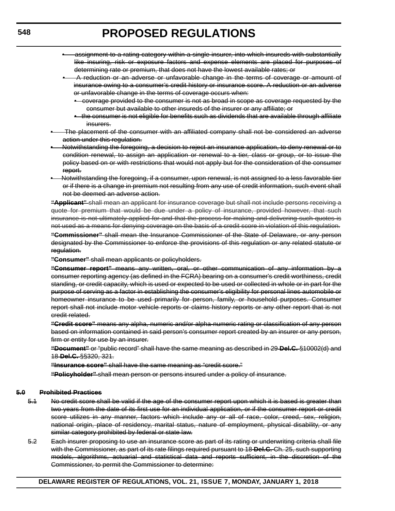- assignment to a rating category within a single insurer, into which insureds with substantially like insuring, risk or exposure factors and expense elements are placed for purposes of determining rate or premium, that does not have the lowest available rates; or
	- A reduction or an adverse or unfavorable change in the terms of coverage or amount of insurance owing to a consumer's credit history or insurance score. A reduction or an adverse or unfavorable change in the terms of coverage occurs when:
		- coverage provided to the consumer is not as broad in scope as coverage requested by the consumer but available to other insureds of the insurer or any affiliate; or
		- the consumer is not eligible for benefits such as dividends that are available through affiliate insurers.
- The placement of the consumer with an affiliated company shall not be considered an adverse action under this regulation.
- Notwithstanding the foregoing, a decision to reject an insurance application, to deny renewal or to condition renewal, to assign an application or renewal to a tier, class or group, or to issue the policy based on or with restrictions that would not apply but for the consideration of the consumer report.
- Notwithstanding the foregoing, if a consumer, upon renewal, is not assigned to a less favorable tier or if there is a change in premium not resulting from any use of credit information, such event shall not be deemed an adverse action.

**"Applicant"** shall mean an applicant for insurance coverage but shall not include persons receiving a quote for premium that would be due under a policy of insurance, provided however, that such insurance is not ultimately applied for and that the process for making and delivering such quotes is not used as a means for denying coverage on the basis of a credit score in violation of this regulation.

**"Commissioner"** shall mean the Insurance Commissioner of the State of Delaware, or any person designated by the Commissioner to enforce the provisions of this regulation or any related statute or regulation.

**"Consumer"** shall mean applicants or policyholders.

**"Consumer report"** means any written, oral, or other communication of any information by a consumer reporting agency (as defined in the FCRA) bearing on a consumer's credit worthiness, credit standing, or credit capacity, which is used or expected to be used or collected in whole or in part for the purpose of serving as a factor in establishing the consumer's eligibility for personal lines automobile or homeowner insurance to be used primarily for person, family, or household purposes. Consumer report shall not include motor vehicle reports or claims history reports or any other report that is not credit related.

**"Credit score"** means any alpha, numeric and/or alpha-numeric rating or classification of any person based on information contained in said person's consumer report created by an insurer or any person, firm or entity for use by an insurer.

**"Document"** or "public record" shall have the same meaning as described in 29 **Del.C.** §10002(d) and 18 **Del.C.** §§320, 321.

**"Insurance score"** shall have the same meaning as "credit score."

**"Policyholder"** shall mean person or persons insured under a policy of insurance.

#### **5.0 Prohibited Practices**

- 5.1 No credit score shall be valid if the age of the consumer report upon which it is based is greater than two years from the date of its first use for an individual application, or if the consumer report or credit score utilizes in any manner, factors which include any or all of race, color, creed, sex, religion, national origin, place of residency, marital status, nature of employment, physical disability, or any similar category prohibited by federal or state law.
- 5.2 Each insurer proposing to use an insurance score as part of its rating or underwriting criteria shall file with the Commissioner, as part of its rate filings required pursuant to 18 **Del.C.** Ch. 25, such supporting models, algorithms, actuarial and statistical data and reports sufficient, in the discretion of the Commissioner, to permit the Commissioner to determine: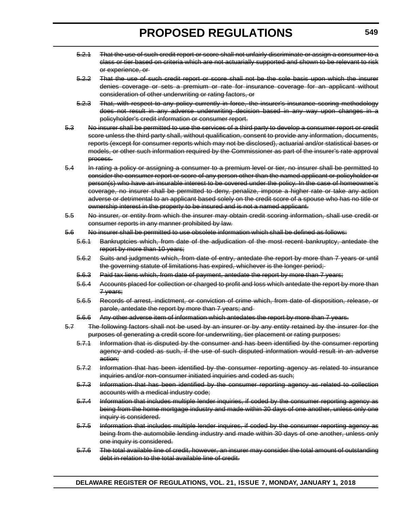- 5.2.1 That the use of such credit report or score shall not unfairly discriminate or assign a consumer to a class or tier based on criteria which are not actuarially supported and shown to be relevant to risk or experience, or
- 5.2.2 That the use of such credit report or score shall not be the sole basis upon which the insurer denies coverage or sets a premium or rate for insurance coverage for an applicant without consideration of other underwriting or rating factors, or
- 5.2.3 That, with respect to any policy currently in force, the insurer's insurance scoring methodology does not result in any adverse underwriting decision based in any way upon changes in a policyholder's credit information or consumer report.
- 5.3 No insurer shall be permitted to use the services of a third party to develop a consumer report or credit score unless the third party shall, without qualification, consent to provide any information, documents, reports (except for consumer reports which may not be disclosed), actuarial and/or statistical bases or models, or other such information required by the Commissioner as part of the insurer's rate approval process.
- 5.4 In rating a policy or assigning a consumer to a premium level or tier, no insurer shall be permitted to consider the consumer report or score of any person other than the named applicant or policyholder or person(s) who have an insurable interest to be covered under the policy. In the case of homeowner's coverage, no insurer shall be permitted to deny, penalize, impose a higher rate or take any action adverse or detrimental to an applicant based solely on the credit score of a spouse who has no title or ownership interest in the property to be insured and is not a named applicant.
- 5.5 No insurer, or entity from which the insurer may obtain credit scoring information, shall use credit or consumer reports in any manner prohibited by law.
- 5.6 No insurer shall be permitted to use obsolete information which shall be defined as follows:
	- 5.6.1 Bankruptcies which, from date of the adjudication of the most recent bankruptcy, antedate the report by more than 10 years;
	- 5.6.2 Suits and judgments which, from date of entry, antedate the report by more than 7 years or until the governing statute of limitations has expired, whichever is the longer period;
	- 5.6.3 Paid tax liens which, from date of payment, antedate the report by more than 7 years;
	- 5.6.4 Accounts placed for collection or charged to profit and loss which antedate the report by more than 7 years;
	- 5.6.5 Records of arrest, indictment, or conviction of crime which, from date of disposition, release, or parole, antedate the report by more than 7 years; and
	- 5.6.6 Any other adverse item of information which antedates the report by more than 7 years.
- 5.7 The following factors shall not be used by an insurer or by any entity retained by the insurer for the purposes of generating a credit score for underwriting, tier placement or rating purposes:
	- 5.7.1 Information that is disputed by the consumer and has been identified by the consumer reporting agency and coded as such, if the use of such disputed information would result in an adverse action;
	- 5.7.2 Information that has been identified by the consumer reporting agency as related to insurance inquiries and/or non-consumer initiated inquiries and coded as such;
	- 5.7.3 Information that has been identified by the consumer reporting agency as related to collection accounts with a medical industry code;
	- 5.7.4 Information that includes multiple lender inquiries, if coded by the consumer reporting agency as being from the home mortgage industry and made within 30 days of one another, unless only one inquiry is considered.
	- 5.7.5 Information that includes multiple lender inquires, if coded by the consumer reporting agency as being from the automobile lending industry and made within 30 days of one another, unless only one inquiry is considered.
	- 5.7.6 The total available line of credit, however, an insurer may consider the total amount of outstanding debt in relation to the total available line of credit.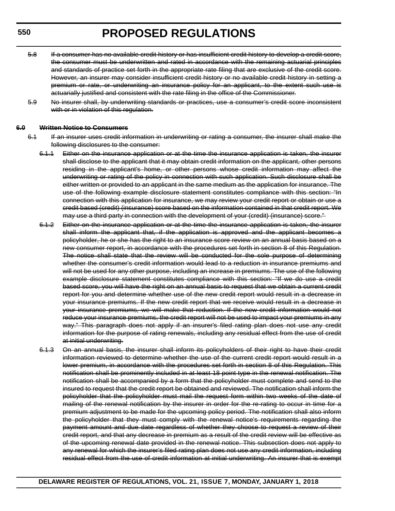- 5.8 If a consumer has no available credit history or has insufficient credit history to develop a credit score, the consumer must be underwritten and rated in accordance with the remaining actuarial principles and standards of practice set forth in the appropriate rate filing that are exclusive of the credit score. However, an insurer may consider insufficient credit history or no available credit history in setting a premium or rate, or underwriting an insurance policy for an applicant, to the extent such use is actuarially justified and consistent with the rate filing in the office of the Commissioner.
- 5.9 No insurer shall, by underwriting standards or practices, use a consumer's credit score inconsistent with or in violation of this regulation.

#### **6.0 Written Notice to Consumers**

- 6.1 If an insurer uses credit information in underwriting or rating a consumer, the insurer shall make the following disclosures to the consumer:
	- 6.1.1 Either on the insurance application or at the time the insurance application is taken, the insurer shall disclose to the applicant that it may obtain credit information on the applicant, other persons residing in the applicant's home, or other persons whose credit information may affect the underwriting or rating of the policy in connection with such application. Such disclosure shall be either written or provided to an applicant in the same medium as the application for insurance. The use of the following example disclosure statement constitutes compliance with this section: "In connection with this application for insurance, we may review your credit report or obtain or use a credit based (credit) (insurance) score based on the information contained in that credit report. We may use a third party in connection with the development of your (credit) (insurance) score."
	- 6.1.2 Either on the insurance application or at the time the insurance application is taken, the insurer shall inform the applicant that, if the application is approved and the applicant becomes a policyholder, he or she has the right to an insurance score review on an annual basis based on a new consumer report, in accordance with the procedures set forth in section 8 of this Regulation. The notice shall state that the review will be conducted for the sole purpose of determining whether the consumer's credit information would lead to a reduction in insurance premiums and will not be used for any other purpose, including an increase in premiums. The use of the following example disclosure statement constitutes compliance with this section: "If we do use a credit based score, you will have the right on an annual basis to request that we obtain a current credit report for you and determine whether use of the new credit report would result in a decrease in your insurance premiums. If the new credit report that we receive would result in a decrease in your insurance premiums, we will make that reduction. If the new credit information would not reduce your insurance premiums, the credit report will not be used to impact your premiums in any way." This paragraph does not apply if an insurer's filed rating plan does not use any credit information for the purpose of rating renewals, including any residual effect from the use of credit at initial underwriting.
	- 6.1.3 On an annual basis, the insurer shall inform its policyholders of their right to have their credit information reviewed to determine whether the use of the current credit report would result in a lower premium, in accordance with the procedures set forth in section 8 of this Regulation. This notification shall be prominently included in at least 18 point type in the renewal notification. The notification shall be accompanied by a form that the policyholder must complete and send to the insured to request that the credit report be obtained and reviewed. The notification shall inform the policyholder that the policyholder must mail the request form within two weeks of the date of mailing of the renewal notification by the insurer in order for the re-rating to occur in time for a premium adjustment to be made for the upcoming policy period. The notification shall also inform the policyholder that they must comply with the renewal notice's requirements regarding the payment amount and due date regardless of whether they choose to request a review of their credit report, and that any decrease in premium as a result of the credit review will be effective as of the upcoming renewal date provided in the renewal notice. This subsection does not apply to any renewal for which the insurer's filed rating plan does not use any credit information, including residual effect from the use of credit information at initial underwriting. An insurer that is exempt

```
550
```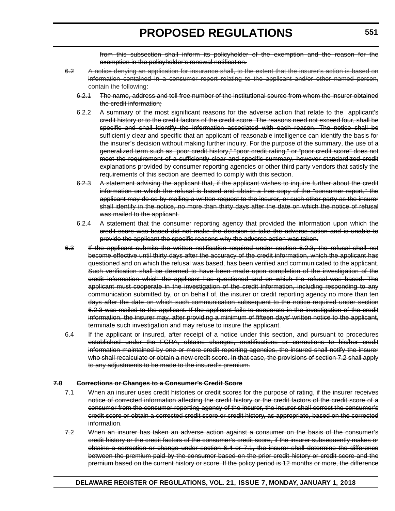from this subsection shall inform its policyholder of the exemption and the reason for the exemption in the policyholder's renewal notification.

- 6.2 A notice denying an application for insurance shall, to the extent that the insurer's action is based on information contained in a consumer report relating to the applicant and/or other named person, contain the following:
	- 6.2.1 The name, address and toll free number of the institutional source from whom the insurer obtained the credit information;
	- 6.2.2 A summary of the most significant reasons for the adverse action that relate to the applicant's credit history or to the credit factors of the credit score. The reasons need not exceed four, shall be specific and shall identify the information associated with each reason. The notice shall be sufficiently clear and specific that an applicant of reasonable intelligence can identify the basis for the insurer's decision without making further inquiry. For the purpose of the summary, the use of a generalized term such as "poor credit history," "poor credit rating," or "poor credit score" does not meet the requirement of a sufficiently clear and specific summary, however standardized credit explanations provided by consumer reporting agencies or other third party vendors that satisfy the requirements of this section are deemed to comply with this section.
	- 6.2.3 A statement advising the applicant that, if the applicant wishes to inquire further about the credit information on which the refusal is based and obtain a free copy of the "consumer report," the applicant may do so by mailing a written request to the insurer, or such other party as the insurer shall identify in the notice, no more than thirty days after the date on which the notice of refusal was mailed to the applicant.
	- 6.2.4 A statement that the consumer reporting agency that provided the information upon which the credit score was based did not make the decision to take the adverse action and is unable to provide the applicant the specific reasons why the adverse action was taken.
- 6.3 If the applicant submits the written notification required under section 6.2.3, the refusal shall not become effective until thirty days after the accuracy of the credit information, which the applicant has questioned and on which the refusal was based, has been verified and communicated to the applicant. Such verification shall be deemed to have been made upon completion of the investigation of the credit information which the applicant has questioned and on which the refusal was based. The applicant must cooperate in the investigation of the credit information, including responding to any communication submitted by, or on behalf of, the insurer or credit reporting agency no more than ten days after the date on which such communication subsequent to the notice required under section 6.2.3 was mailed to the applicant. If the applicant fails to cooperate in the investigation of the credit information, the insurer may, after providing a minimum of fifteen days' written notice to the applicant, terminate such investigation and may refuse to insure the applicant.
- 6.4 If the applicant or insured, after receipt of a notice under this section, and pursuant to procedures established under the FCRA, obtains changes, modifications or corrections to his/her credit information maintained by one or more credit reporting agencies, the insured shall notify the insurer who shall recalculate or obtain a new credit score. In that case, the provisions of section 7.2 shall apply to any adjustments to be made to the insured's premium.

#### **7.0 Corrections or Changes to a Consumer's Credit Score**

- 7.1 When an insurer uses credit histories or credit scores for the purpose of rating, if the insurer receives notice of corrected information affecting the credit history or the credit factors of the credit score of a consumer from the consumer reporting agency of the insurer, the insurer shall correct the consumer's credit score or obtain a corrected credit score or credit history, as appropriate, based on the corrected information.
- 7.2 When an insurer has taken an adverse action against a consumer on the basis of the consumer's credit history or the credit factors of the consumer's credit score, if the insurer subsequently makes or obtains a correction or change under section 6.4 or 7.1, the insurer shall determine the difference between the premium paid by the consumer based on the prior credit history or credit score and the premium based on the current history or score. If the policy period is 12 months or more, the difference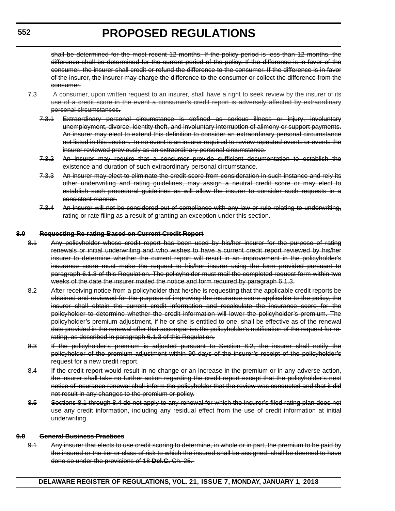shall be determined for the most recent 12 months. If the policy period is less than 12 months, the difference shall be determined for the current period of the policy. If the difference is in favor of the consumer, the insurer shall credit or refund the difference to the consumer. If the difference is in favor of the insurer, the insurer may charge the difference to the consumer or collect the difference from the consumer.

- 7.3 A consumer, upon written request to an insurer, shall have a right to seek review by the insurer of its use of a credit score in the event a consumer's credit report is adversely affected by extraordinary personal circumstances.
	- 7.3.1 Extraordinary personal circumstance is defined as serious illness or injury, involuntary unemployment, divorce, identity theft, and involuntary interruption of alimony or support payments. An insurer may elect to extend this definition to consider an extraordinary personal circumstance not listed in this section. In no event is an insurer required to review repeated events or events the insurer reviewed previously as an extraordinary personal circumstance.
	- 7.3.2 An insurer may require that a consumer provide sufficient documentation to establish the existence and duration of such extraordinary personal circumstance.
	- 7.3.3 An insurer may elect to eliminate the credit score from consideration in such instance and rely its other underwriting and rating guidelines, may assign a neutral credit score or may elect to establish such procedural guidelines as will allow the insurer to consider such requests in a consistent manner.
	- 7.3.4 An insurer will not be considered out of compliance with any law or rule relating to underwriting, rating or rate filing as a result of granting an exception under this section.

### **8.0 Requesting Re-rating Based on Current Credit Report**

- 8.1 Any policyholder whose credit report has been used by his/her insurer for the purpose of rating renewals or initial underwriting and who wishes to have a current credit report reviewed by his/her insurer to determine whether the current report will result in an improvement in the policyholder's insurance score must make the request to his/her insurer using the form provided pursuant to paragraph 6.1.3 of this Regulation. The policyholder must mail the completed request form within two weeks of the date the insurer mailed the notice and form required by paragraph 6.1.3.
- 8.2 After receiving notice from a policyholder that he/she is requesting that the applicable credit reports be obtained and reviewed for the purpose of improving the insurance score applicable to the policy, the insurer shall obtain the current credit information and recalculate the insurance score for the policyholder to determine whether the credit information will lower the policyholder's premium. The policyholder's premium adjustment, if he or she is entitled to one, shall be effective as of the renewal date provided in the renewal offer that accompanies the policyholder's notification of the request for rerating, as described in paragraph 6.1.3 of this Regulation.
- 8.3 If the policyholder's premium is adjusted pursuant to Section 8.2, the insurer shall notify the policyholder of the premium adjustment within 90 days of the insurer's receipt of the policyholder's request for a new credit report.
- 8.4 If the credit report would result in no change or an increase in the premium or in any adverse action, the insurer shall take no further action regarding the credit report except that the policyholder's next notice of insurance renewal shall inform the policyholder that the review was conducted and that it did not result in any changes to the premium or policy.
- 8.5 Sections 8.1 through 8.4 do not apply to any renewal for which the insurer's filed rating plan does not use any credit information, including any residual effect from the use of credit information at initial underwriting.

#### **9.0 General Business Practices**

9.1 Any insurer that elects to use credit scoring to determine, in whole or in part, the premium to be paid by the insured or the tier or class of risk to which the insured shall be assigned, shall be deemed to have done so under the provisions of 18 **Del.C.** Ch. 25.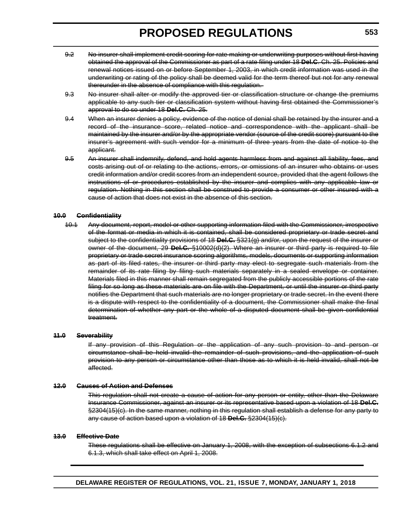- 9.2 No insurer shall implement credit scoring for rate making or underwriting purposes without first having obtained the approval of the Commissioner as part of a rate filing under 18 **Del.C**. Ch. 25. Policies and renewal notices issued on or before September 1, 2003, in which credit information was used in the underwriting or rating of the policy shall be deemed valid for the term thereof but not for any renewal thereunder in the absence of compliance with this regulation.
- 9.3 No insurer shall alter or modify the approved tier or classification structure or change the premiums applicable to any such tier or classification system without having first obtained the Commissioner's approval to do so under 18 **Del.C.** Ch. 25.
- 9.4 When an insurer denies a policy, evidence of the notice of denial shall be retained by the insurer and a record of the insurance score, related notice and correspondence with the applicant shall be maintained by the insurer and/or by the appropriate vendor (source of the credit score) pursuant to the insurer's agreement with such vendor for a minimum of three years from the date of notice to the applicant.
- 9.5 An insurer shall indemnify, defend, and hold agents harmless from and against all liability, fees, and costs arising out of or relating to the actions, errors, or omissions of an insurer who obtains or uses credit information and/or credit scores from an independent source, provided that the agent follows the instructions of or procedures established by the insurer and complies with any applicable law or regulation. Nothing in this section shall be construed to provide a consumer or other insured with a cause of action that does not exist in the absence of this section.

#### **10.0 Confidentiality**

10.1 Any document, report, model or other supporting information filed with the Commissioner, irrespective of the format or media in which it is contained, shall be considered proprietary or trade secret and subject to the confidentiality provisions of 18 **Del.C.** §321(g) and/or, upon the request of the insurer or owner of the document, 29 **Del.C.** §10002(d)(2). Where an insurer or third party is required to file proprietary or trade secret insurance scoring algorithms, models, documents or supporting information as part of its filed rates, the insurer or third party may elect to segregate such materials from the remainder of its rate filing by filing such materials separately in a sealed envelope or container. Materials filed in this manner shall remain segregated from the publicly accessible portions of the rate filing for so long as these materials are on file with the Department, or until the insurer or third party notifies the Department that such materials are no longer proprietary or trade secret. In the event there is a dispute with respect to the confidentiality of a document, the Commissioner shall make the final determination of whether any part or the whole of a disputed document shall be given confidential treatment.

#### **11.0 Severability**

If any provision of this Regulation or the application of any such provision to and person or circumstance shall be held invalid the remainder of such provisions, and the application of such provision to any person or circumstance other than those as to which it is held invalid, shall not be affected.

#### **12.0 Causes of Action and Defenses**

This regulation shall not create a cause of action for any person or entity, other than the Delaware Insurance Commissioner, against an insurer or its representative based upon a violation of 18 **Del.C.** §2304(15)(c). In the same manner, nothing in this regulation shall establish a defense for any party to any cause of action based upon a violation of 18 **Del.C.** §2304(15)(c).

#### **13.0 Effective Date**

These regulations shall be effective on January 1, 2008, with the exception of subsections 6.1.2 and 6.1.3, which shall take effect on April 1, 2008.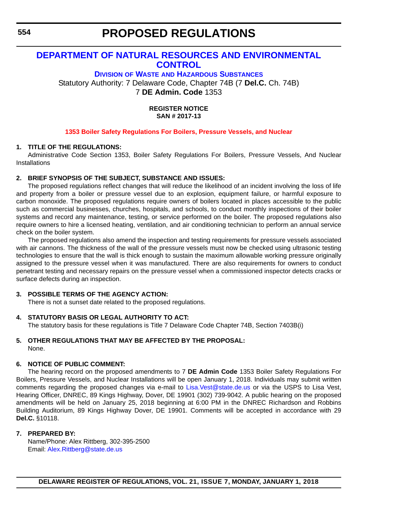## **[DEPARTMENT OF NATURAL RESOURCES AND ENVIRONMENTAL](http://www.dnrec.delaware.gov/dwhs/Pages/default.aspx)  CONTROL**

**DIVISION OF WASTE AND HAZARDOUS SUBSTANCES** Statutory Authority: 7 Delaware Code, Chapter 74B (7 **Del.C.** Ch. 74B) 7 **DE Admin. Code** 1353

> **REGISTER NOTICE SAN # 2017-13**

## **[1353 Boiler Safety Regulations For Boilers, Pressure Vessels, and Nuclear](#page-3-0)**

#### **1. TITLE OF THE REGULATIONS:**

Administrative Code Section 1353, Boiler Safety Regulations For Boilers, Pressure Vessels, And Nuclear **Installations** 

#### **2. BRIEF SYNOPSIS OF THE SUBJECT, SUBSTANCE AND ISSUES:**

The proposed regulations reflect changes that will reduce the likelihood of an incident involving the loss of life and property from a boiler or pressure vessel due to an explosion, equipment failure, or harmful exposure to carbon monoxide. The proposed regulations require owners of boilers located in places accessible to the public such as commercial businesses, churches, hospitals, and schools, to conduct monthly inspections of their boiler systems and record any maintenance, testing, or service performed on the boiler. The proposed regulations also require owners to hire a licensed heating, ventilation, and air conditioning technician to perform an annual service check on the boiler system.

The proposed regulations also amend the inspection and testing requirements for pressure vessels associated with air cannons. The thickness of the wall of the pressure vessels must now be checked using ultrasonic testing technologies to ensure that the wall is thick enough to sustain the maximum allowable working pressure originally assigned to the pressure vessel when it was manufactured. There are also requirements for owners to conduct penetrant testing and necessary repairs on the pressure vessel when a commissioned inspector detects cracks or surface defects during an inspection.

## **3. POSSIBLE TERMS OF THE AGENCY ACTION:**

There is not a sunset date related to the proposed regulations.

## **4. STATUTORY BASIS OR LEGAL AUTHORITY TO ACT:**

The statutory basis for these regulations is Title 7 Delaware Code Chapter 74B, Section 7403B(i)

#### **5. OTHER REGULATIONS THAT MAY BE AFFECTED BY THE PROPOSAL:** None.

#### **6. NOTICE OF PUBLIC COMMENT:**

The hearing record on the proposed amendments to 7 **DE Admin Code** 1353 Boiler Safety Regulations For Boilers, Pressure Vessels, and Nuclear Installations will be open January 1, 2018. Individuals may submit written comments regarding the proposed changes via e-mail to [Lisa.Vest@state.de.us](mailto:Lisa.Vest@state.de.us) or via the USPS to Lisa Vest, Hearing Officer, DNREC, 89 Kings Highway, Dover, DE 19901 (302) 739-9042. A public hearing on the proposed amendments will be held on January 25, 2018 beginning at 6:00 PM in the DNREC Richardson and Robbins Building Auditorium, 89 Kings Highway Dover, DE 19901. Comments will be accepted in accordance with 29 **Del.C.** §10118.

#### **7. PREPARED BY:**

Name/Phone: Alex Rittberg, 302-395-2500 Email: [Alex.Rittberg@state.de.us](mailto:Alex.Rittberg@state.de.us)

**554**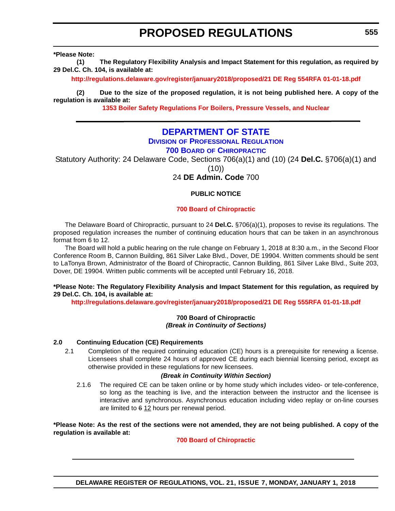**\*Please Note:** 

**(1) The Regulatory Flexibility Analysis and Impact Statement for this regulation, as required by 29 Del.C. Ch. 104, is available at:**

**<http://regulations.delaware.gov/register/january2018/proposed/21 DE Reg 554RFA 01-01-18.pdf>**

**(2) Due to the size of the proposed regulation, it is not being published here. A copy of the regulation is available at:**

**[1353 Boiler Safety Regulations For Boilers, Pressure Vessels, and Nuclear](http://regulations.delaware.gov/register/january2018/proposed/21 DE Reg 554 01-01-18.htm)** 

## **[DEPARTMENT OF STATE](https://dpr.delaware.gov/boards/chiropractic/)**

## **DIVISION OF PROFESSIONAL REGULATION**

**700 BOARD OF CHIROPRACTIC**

Statutory Authority: 24 Delaware Code, Sections 706(a)(1) and (10) (24 **Del.C.** §706(a)(1) and (10))

24 **DE Admin. Code** 700

## **PUBLIC NOTICE**

#### **[700 Board of Chiropractic](#page-3-0)**

The Delaware Board of Chiropractic, pursuant to 24 **Del.C.** §706(a)(1), proposes to revise its regulations. The proposed regulation increases the number of continuing education hours that can be taken in an asynchronous format from 6 to 12.

The Board will hold a public hearing on the rule change on February 1, 2018 at 8:30 a.m., in the Second Floor Conference Room B, Cannon Building, 861 Silver Lake Blvd., Dover, DE 19904. Written comments should be sent to LaTonya Brown, Administrator of the Board of Chiropractic, Cannon Building, 861 Silver Lake Blvd., Suite 203, Dover, DE 19904. Written public comments will be accepted until February 16, 2018.

### **\*Please Note: The Regulatory Flexibility Analysis and Impact Statement for this regulation, as required by 29 Del.C. Ch. 104, is available at:**

**<http://regulations.delaware.gov/register/january2018/proposed/21 DE Reg 555RFA 01-01-18.pdf>**

#### **700 Board of Chiropractic** *(Break in Continuity of Sections)*

#### **2.0 Continuing Education (CE) Requirements**

2.1 Completion of the required continuing education (CE) hours is a prerequisite for renewing a license. Licensees shall complete 24 hours of approved CE during each biennial licensing period, except as otherwise provided in these regulations for new licensees.

#### *(Break in Continuity Within Section)*

2.1.6 The required CE can be taken online or by home study which includes video- or tele-conference, so long as the teaching is live, and the interaction between the instructor and the licensee is interactive and synchronous. Asynchronous education including video replay or on-line courses are limited to  $612$  hours per renewal period.

**\*Please Note: As the rest of the sections were not amended, they are not being published. A copy of the regulation is available at:**

#### **[700 Board of Chiropractic](http://regulations.delaware.gov/register/january2018/proposed/21 DE Reg 555 01-01-18.htm)**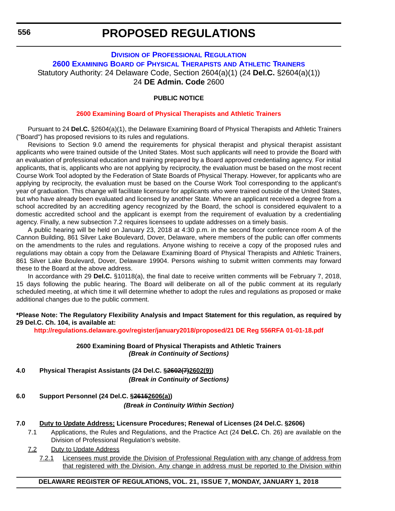## **DIVISION [OF PROFESSIONAL REGULATION](https://dpr.delaware.gov/boards/physicaltherapy/) 2600 EXAMINING BOARD OF PHYSICAL THERAPISTS AND ATHLETIC TRAINERS** Statutory Authority: 24 Delaware Code, Section 2604(a)(1) (24 **Del.C.** §2604(a)(1)) 24 **DE Admin. Code** 2600

## **PUBLIC NOTICE**

#### **[2600 Examining Board of Physical Therapists and Athletic Trainers](#page-3-0)**

Pursuant to 24 **Del.C.** §2604(a)(1), the Delaware Examining Board of Physical Therapists and Athletic Trainers ("Board") has proposed revisions to its rules and regulations.

Revisions to Section 9.0 amend the requirements for physical therapist and physical therapist assistant applicants who were trained outside of the United States. Most such applicants will need to provide the Board with an evaluation of professional education and training prepared by a Board approved credentialing agency. For initial applicants, that is, applicants who are not applying by reciprocity, the evaluation must be based on the most recent Course Work Tool adopted by the Federation of State Boards of Physical Therapy. However, for applicants who are applying by reciprocity, the evaluation must be based on the Course Work Tool corresponding to the applicant's year of graduation. This change will facilitate licensure for applicants who were trained outside of the United States, but who have already been evaluated and licensed by another State. Where an applicant received a degree from a school accredited by an accrediting agency recognized by the Board, the school is considered equivalent to a domestic accredited school and the applicant is exempt from the requirement of evaluation by a credentialing agency. Finally, a new subsection 7.2 requires licensees to update addresses on a timely basis.

A public hearing will be held on January 23, 2018 at 4:30 p.m. in the second floor conference room A of the Cannon Building, 861 Silver Lake Boulevard, Dover, Delaware, where members of the public can offer comments on the amendments to the rules and regulations. Anyone wishing to receive a copy of the proposed rules and regulations may obtain a copy from the Delaware Examining Board of Physical Therapists and Athletic Trainers, 861 Silver Lake Boulevard, Dover, Delaware 19904. Persons wishing to submit written comments may forward these to the Board at the above address.

In accordance with 29 **Del.C.** §10118(a), the final date to receive written comments will be February 7, 2018, 15 days following the public hearing. The Board will deliberate on all of the public comment at its regularly scheduled meeting, at which time it will determine whether to adopt the rules and regulations as proposed or make additional changes due to the public comment.

### **\*Please Note: The Regulatory Flexibility Analysis and Impact Statement for this regulation, as required by 29 Del.C. Ch. 104, is available at:**

**<http://regulations.delaware.gov/register/january2018/proposed/21 DE Reg 556RFA 01-01-18.pdf>**

#### **2600 Examining Board of Physical Therapists and Athletic Trainers** *(Break in Continuity of Sections)*

- **4.0 Physical Therapist Assistants (24 Del.C. §2602(7)2602(9))** *(Break in Continuity of Sections)*
- **6.0 Support Personnel (24 Del.C. §26152606(a))**

*(Break in Continuity Within Section)*

#### **7.0 Duty to Update Address; Licensure Procedures; Renewal of Licenses (24 Del.C. §2606)**

- 7.1 Applications, the Rules and Regulations, and the Practice Act (24 **Del.C.** Ch. 26) are available on the Division of Professional Regulation's website.
- 7.2 Duty to Update Address
	- 7.2.1 Licensees must provide the Division of Professional Regulation with any change of address from that registered with the Division. Any change in address must be reported to the Division within

## **DELAWARE REGISTER OF REGULATIONS, VOL. 21, ISSUE 7, MONDAY, JANUARY 1, 2018**

**556**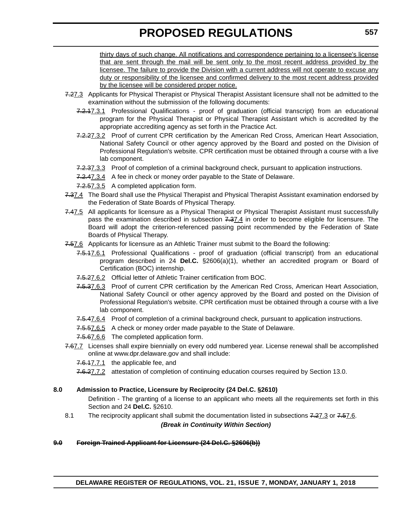thirty days of such change. All notifications and correspondence pertaining to a licensee's license that are sent through the mail will be sent only to the most recent address provided by the licensee. The failure to provide the Division with a current address will not operate to excuse any duty or responsibility of the licensee and confirmed delivery to the most recent address provided by the licensee will be considered proper notice.

- 7.27.3 Applicants for Physical Therapist or Physical Therapist Assistant licensure shall not be admitted to the examination without the submission of the following documents:
	- 7.2.17.3.1 Professional Qualifications proof of graduation (official transcript) from an educational program for the Physical Therapist or Physical Therapist Assistant which is accredited by the appropriate accrediting agency as set forth in the Practice Act.
	- 7.2.27.3.2 Proof of current CPR certification by the American Red Cross, American Heart Association, National Safety Council or other agency approved by the Board and posted on the Division of Professional Regulation's website. CPR certification must be obtained through a course with a live lab component.
	- 7.2.37.3.3 Proof of completion of a criminal background check, pursuant to application instructions.
	- 7.2.47.3.4 A fee in check or money order payable to the State of Delaware.
	- 7.2.57.3.5 A completed application form.
- 7.37.4 The Board shall use the Physical Therapist and Physical Therapist Assistant examination endorsed by the Federation of State Boards of Physical Therapy.
- 7.47.5 All applicants for licensure as a Physical Therapist or Physical Therapist Assistant must successfully pass the examination described in subsection 7.37.4 in order to become eligible for licensure. The Board will adopt the criterion-referenced passing point recommended by the Federation of State Boards of Physical Therapy.
- 7.57.6 Applicants for licensure as an Athletic Trainer must submit to the Board the following:
	- 7.5.17.6.1 Professional Qualifications proof of graduation (official transcript) from an educational program described in 24 **Del.C.** §2606(a)(1), whether an accredited program or Board of Certification (BOC) internship.
	- 7.5.27.6.2 Official letter of Athletic Trainer certification from BOC.
	- 7.5.37.6.3 Proof of current CPR certification by the American Red Cross, American Heart Association, National Safety Council or other agency approved by the Board and posted on the Division of Professional Regulation's website. CPR certification must be obtained through a course with a live lab component.
	- 7.5.47.6.4 Proof of completion of a criminal background check, pursuant to application instructions.
	- 7.5.57.6.5 A check or money order made payable to the State of Delaware.
	- 7.5.67.6.6 The completed application form.
- 7.67.7 Licenses shall expire biennially on every odd numbered year. License renewal shall be accomplished online at www.dpr.delaware.gov and shall include:
	- 7.6.17.7.1 the applicable fee, and
	- 7.6.27.7.2 attestation of completion of continuing education courses required by Section 13.0.

## **8.0 Admission to Practice, Licensure by Reciprocity (24 Del.C. §2610)**

Definition - The granting of a license to an applicant who meets all the requirements set forth in this Section and 24 **Del.C.** §2610.

8.1 The reciprocity applicant shall submit the documentation listed in subsections 7.27.3 or 7.57.6. *(Break in Continuity Within Section)*

## **9.0 Foreign Trained Applicant for Licensure (24 Del.C. §2606(b))**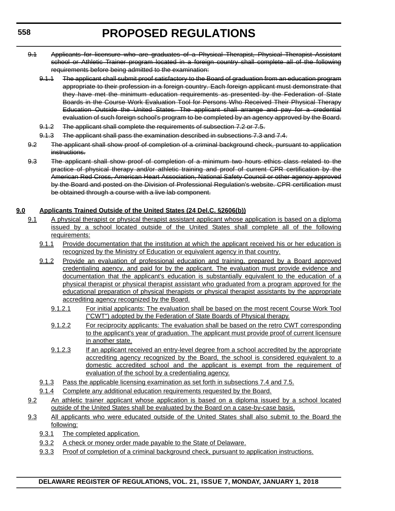- 9.1 Applicants for licensure who are graduates of a Physical Therapist, Physical Therapist Assistant school or Athletic Trainer program located in a foreign country shall complete all of the following requirements before being admitted to the examination:
	- 9.1.1 The applicant shall submit proof satisfactory to the Board of graduation from an education program appropriate to their profession in a foreign country. Each foreign applicant must demonstrate that they have met the minimum education requirements as presented by the Federation of State Boards in the Course Work Evaluation Tool for Persons Who Received Their Physical Therapy Education Outside the United States. The applicant shall arrange and pay for a credential evaluation of such foreign school's program to be completed by an agency approved by the Board.
	- 9.1.2 The applicant shall complete the requirements of subsection 7.2 or 7.5.
	- 9.1.3 The applicant shall pass the examination described in subsections 7.3 and 7.4.
- 9.2 The applicant shall show proof of completion of a criminal background check, pursuant to application instructions.
- 9.3 The applicant shall show proof of completion of a minimum two hours ethics class related to the practice of physical therapy and/or athletic training and proof of current CPR certification by the American Red Cross, American Heart Association, National Safety Council or other agency approved by the Board and posted on the Division of Professional Regulation's website. CPR certification must be obtained through a course with a live lab component.

## **9.0 Applicants Trained Outside of the United States (24 Del.C. §2606(b))**

- 9.1 A physical therapist or physical therapist assistant applicant whose application is based on a diploma issued by a school located outside of the United States shall complete all of the following requirements:
	- 9.1.1 Provide documentation that the institution at which the applicant received his or her education is recognized by the Ministry of Education or equivalent agency in that country.
	- 9.1.2 Provide an evaluation of professional education and training, prepared by a Board approved credentialing agency, and paid for by the applicant. The evaluation must provide evidence and documentation that the applicant's education is substantially equivalent to the education of a physical therapist or physical therapist assistant who graduated from a program approved for the educational preparation of physical therapists or physical therapist assistants by the appropriate accrediting agency recognized by the Board.
		- 9.1.2.1 For initial applicants: The evaluation shall be based on the most recent Course Work Tool ("CWT") adopted by the Federation of State Boards of Physical therapy.
		- 9.1.2.2 For reciprocity applicants: The evaluation shall be based on the retro CWT corresponding to the applicant's year of graduation. The applicant must provide proof of current licensure in another state.
		- 9.1.2.3 If an applicant received an entry-level degree from a school accredited by the appropriate accrediting agency recognized by the Board, the school is considered equivalent to a domestic accredited school and the applicant is exempt from the requirement of evaluation of the school by a credentialing agency.
	- 9.1.3 Pass the applicable licensing examination as set forth in subsections 7.4 and 7.5.
	- 9.1.4 Complete any additional education requirements requested by the Board.
- 9.2 An athletic trainer applicant whose application is based on a diploma issued by a school located outside of the United States shall be evaluated by the Board on a case-by-case basis.
- 9.3 All applicants who were educated outside of the United States shall also submit to the Board the following:
	- 9.3.1 The completed application.
	- 9.3.2 A check or money order made payable to the State of Delaware.
	- 9.3.3 Proof of completion of a criminal background check, pursuant to application instructions.

**558**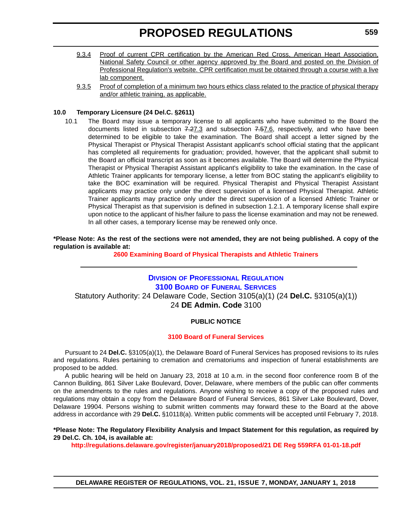- 9.3.4 Proof of current CPR certification by the American Red Cross, American Heart Association, National Safety Council or other agency approved by the Board and posted on the Division of Professional Regulation's website. CPR certification must be obtained through a course with a live lab component.
- 9.3.5 Proof of completion of a minimum two hours ethics class related to the practice of physical therapy and/or athletic training, as applicable.

## **10.0 Temporary Licensure (24 Del.C. §2611)**

10.1 The Board may issue a temporary license to all applicants who have submitted to the Board the documents listed in subsection  $7.27.3$  and subsection  $7.57.6$ , respectively, and who have been determined to be eligible to take the examination. The Board shall accept a letter signed by the Physical Therapist or Physical Therapist Assistant applicant's school official stating that the applicant has completed all requirements for graduation; provided, however, that the applicant shall submit to the Board an official transcript as soon as it becomes available. The Board will determine the Physical Therapist or Physical Therapist Assistant applicant's eligibility to take the examination. In the case of Athletic Trainer applicants for temporary license, a letter from BOC stating the applicant's eligibility to take the BOC examination will be required. Physical Therapist and Physical Therapist Assistant applicants may practice only under the direct supervision of a licensed Physical Therapist. Athletic Trainer applicants may practice only under the direct supervision of a licensed Athletic Trainer or Physical Therapist as that supervision is defined in subsection 1.2.1. A temporary license shall expire upon notice to the applicant of his/her failure to pass the license examination and may not be renewed. In all other cases, a temporary license may be renewed only once.

## **\*Please Note: As the rest of the sections were not amended, they are not being published. A copy of the regulation is available at:**

**[2600 Examining Board of Physical Therapists and Athletic Trainers](http://regulations.delaware.gov/register/january2018/proposed/21 DE Reg 556 01-01-18.htm)** 

## **DIVISION [OF PROFESSIONAL REGULATION](https://dpr.delaware.gov/boards/funeralservices/) 3100 BOARD OF FUNERAL SERVICES** Statutory Authority: 24 Delaware Code, Section 3105(a)(1) (24 **Del.C.** §3105(a)(1)) 24 **DE Admin. Code** 3100

## **PUBLIC NOTICE**

## **[3100 Board of Funeral Services](#page-3-0)**

Pursuant to 24 **Del.C.** §3105(a)(1), the Delaware Board of Funeral Services has proposed revisions to its rules and regulations. Rules pertaining to cremation and crematoriums and inspection of funeral establishments are proposed to be added.

A public hearing will be held on January 23, 2018 at 10 a.m. in the second floor conference room B of the Cannon Building, 861 Silver Lake Boulevard, Dover, Delaware, where members of the public can offer comments on the amendments to the rules and regulations. Anyone wishing to receive a copy of the proposed rules and regulations may obtain a copy from the Delaware Board of Funeral Services, 861 Silver Lake Boulevard, Dover, Delaware 19904. Persons wishing to submit written comments may forward these to the Board at the above address in accordance with 29 **Del.C.** §10118(a). Written public comments will be accepted until February 7, 2018.

### **\*Please Note: The Regulatory Flexibility Analysis and Impact Statement for this regulation, as required by 29 Del.C. Ch. 104, is available at:**

**<http://regulations.delaware.gov/register/january2018/proposed/21 DE Reg 559RFA 01-01-18.pdf>**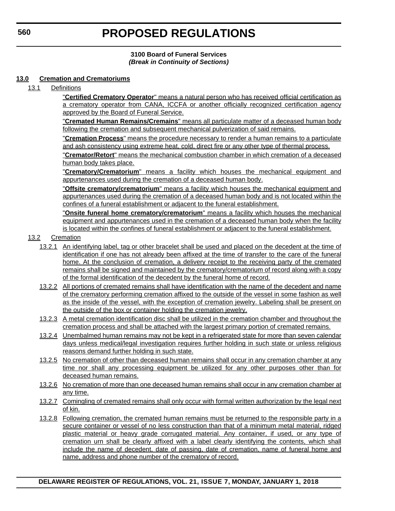## **3100 Board of Funeral Services** *(Break in Continuity of Sections)*

### **13.0 Cremation and Crematoriums**

13.1 Definitions

"**Certified Crematory Operator**" means a natural person who has received official certification as a crematory operator from CANA, ICCFA or another officially recognized certification agency approved by the Board of Funeral Service.

"**Cremated Human Remains/Cremains**" means all particulate matter of a deceased human body following the cremation and subsequent mechanical pulverization of said remains.

"**Cremation Process**" means the procedure necessary to render a human remains to a particulate and ash consistency using extreme heat, cold, direct fire or any other type of thermal process.

"**Cremator/Retort**" means the mechanical combustion chamber in which cremation of a deceased human body takes place.

"**Crematory/Crematorium**" means a facility which houses the mechanical equipment and appurtenances used during the cremation of a deceased human body.

"**Offsite crematory/crematorium**" means a facility which houses the mechanical equipment and appurtenances used during the cremation of a deceased human body and is not located within the confines of a funeral establishment or adjacent to the funeral establishment.

"**Onsite funeral home crematory/crematorium**" means a facility which houses the mechanical equipment and appurtenances used in the cremation of a deceased human body when the facility is located within the confines of funeral establishment or adjacent to the funeral establishment.

- 13.2 Cremation
	- 13.2.1 An identifying label, tag or other bracelet shall be used and placed on the decedent at the time of identification if one has not already been affixed at the time of transfer to the care of the funeral home. At the conclusion of cremation, a delivery receipt to the receiving party of the cremated remains shall be signed and maintained by the crematory/crematorium of record along with a copy of the formal identification of the decedent by the funeral home of record.
	- 13.2.2 All portions of cremated remains shall have identification with the name of the decedent and name of the crematory performing cremation affixed to the outside of the vessel in some fashion as well as the inside of the vessel, with the exception of cremation jewelry. Labeling shall be present on the outside of the box or container holding the cremation jewelry.
	- 13.2.3 A metal cremation identification disc shall be utilized in the cremation chamber and throughout the cremation process and shall be attached with the largest primary portion of cremated remains.
	- 13.2.4 Unembalmed human remains may not be kept in a refrigerated state for more than seven calendar days unless medical/legal investigation requires further holding in such state or unless religious reasons demand further holding in such state.
	- 13.2.5 No cremation of other than deceased human remains shall occur in any cremation chamber at any time nor shall any processing equipment be utilized for any other purposes other than for deceased human remains.
	- 13.2.6 No cremation of more than one deceased human remains shall occur in any cremation chamber at any time.
	- 13.2.7 Comingling of cremated remains shall only occur with formal written authorization by the legal next of kin.
	- 13.2.8 Following cremation, the cremated human remains must be returned to the responsible party in a secure container or vessel of no less construction than that of a minimum metal material, ridged plastic material or heavy grade corrugated material. Any container, if used, or any type of cremation urn shall be clearly affixed with a label clearly identifying the contents, which shall include the name of decedent, date of passing, date of cremation, name of funeral home and name, address and phone number of the crematory of record.

**560**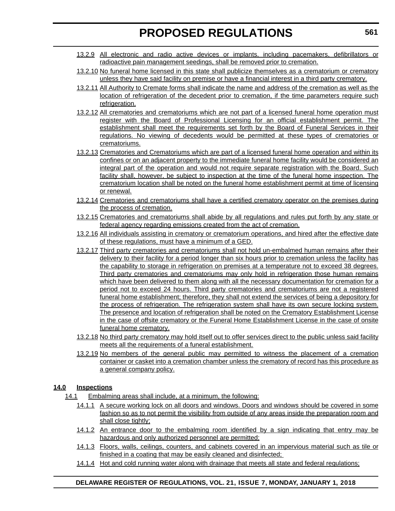- 13.2.9 All electronic and radio active devices or implants, including pacemakers, defibrillators or radioactive pain management seedings, shall be removed prior to cremation.
- 13.2.10 No funeral home licensed in this state shall publicize themselves as a crematorium or crematory unless they have said facility on premise or have a financial interest in a third party crematory.
- 13.2.11 All Authority to Cremate forms shall indicate the name and address of the cremation as well as the location of refrigeration of the decedent prior to cremation, if the time parameters require such refrigeration.
- 13.2.12 All crematories and crematoriums which are not part of a licensed funeral home operation must register with the Board of Professional Licensing for an official establishment permit. The establishment shall meet the requirements set forth by the Board of Funeral Services in their regulations. No viewing of decedents would be permitted at these types of crematories or crematoriums.
- 13.2.13 Crematories and Crematoriums which are part of a licensed funeral home operation and within its confines or on an adjacent property to the immediate funeral home facility would be considered an integral part of the operation and would not require separate registration with the Board. Such facility shall, however, be subject to inspection at the time of the funeral home inspection. The crematorium location shall be noted on the funeral home establishment permit at time of licensing or renewal.
- 13.2.14 Crematories and crematoriums shall have a certified crematory operator on the premises during the process of cremation.
- 13.2.15 Crematories and crematoriums shall abide by all regulations and rules put forth by any state or federal agency regarding emissions created from the act of cremation.
- 13.2.16 All individuals assisting in crematory or crematorium operations, and hired after the effective date of these regulations, must have a minimum of a GED.
- 13.2.17 Third party crematories and crematoriums shall not hold un-embalmed human remains after their delivery to their facility for a period longer than six hours prior to cremation unless the facility has the capability to storage in refrigeration on premises at a temperature not to exceed 38 degrees. Third party crematories and crematoriums may only hold in refrigeration those human remains which have been delivered to them along with all the necessary documentation for cremation for a period not to exceed 24 hours. Third party crematories and crematoriums are not a registered funeral home establishment; therefore, they shall not extend the services of being a depository for the process of refrigeration. The refrigeration system shall have its own secure locking system. The presence and location of refrigeration shall be noted on the Crematory Establishment License in the case of offsite crematory or the Funeral Home Establishment License in the case of onsite funeral home crematory.
- 13.2.18 No third party crematory may hold itself out to offer services direct to the public unless said facility meets all the requirements of a funeral establishment.
- 13.2.19 No members of the general public may permitted to witness the placement of a cremation container or casket into a cremation chamber unless the crematory of record has this procedure as a general company policy.

## **14.0 Inspections**

- 14.1 Embalming areas shall include, at a minimum, the following:
	- 14.1.1 A secure working lock on all doors and windows. Doors and windows should be covered in some fashion so as to not permit the visibility from outside of any areas inside the preparation room and shall close tightly;
	- 14.1.2 An entrance door to the embalming room identified by a sign indicating that entry may be hazardous and only authorized personnel are permitted;
	- 14.1.3 Floors, walls, ceilings, counters, and cabinets covered in an impervious material such as tile or finished in a coating that may be easily cleaned and disinfected;
	- 14.1.4 Hot and cold running water along with drainage that meets all state and federal regulations;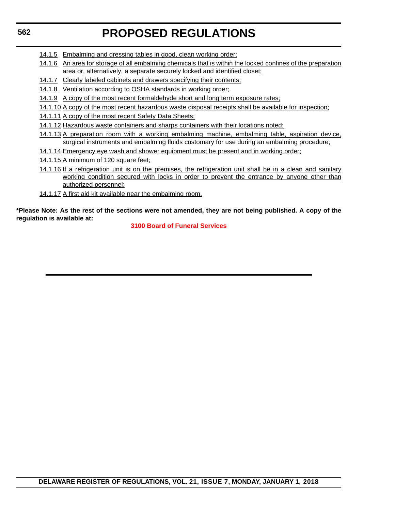## **562**

# **PROPOSED REGULATIONS**

- 14.1.5 Embalming and dressing tables in good, clean working order;
- 14.1.6 An area for storage of all embalming chemicals that is within the locked confines of the preparation area or, alternatively, a separate securely locked and identified closet;
- 14.1.7 Clearly labeled cabinets and drawers specifying their contents;
- 14.1.8 Ventilation according to OSHA standards in working order;
- 14.1.9 A copy of the most recent formaldehyde short and long term exposure rates;
- 14.1.10 A copy of the most recent hazardous waste disposal receipts shall be available for inspection;
- 14.1.11 A copy of the most recent Safety Data Sheets;
- 14.1.12 Hazardous waste containers and sharps containers with their locations noted;
- 14.1.13 A preparation room with a working embalming machine, embalming table, aspiration device, surgical instruments and embalming fluids customary for use during an embalming procedure;
- 14.1.14 Emergency eye wash and shower equipment must be present and in working order;
- 14.1.15 A minimum of 120 square feet;
- 14.1.16 If a refrigeration unit is on the premises, the refrigeration unit shall be in a clean and sanitary working condition secured with locks in order to prevent the entrance by anyone other than authorized personnel;
- 14.1.17 A first aid kit available near the embalming room.

**\*Please Note: As the rest of the sections were not amended, they are not being published. A copy of the regulation is available at:**

## **[3100 Board of Funeral Services](http://regulations.delaware.gov/register/january2018/proposed/21 DE Reg 559 01-01-18.htm)**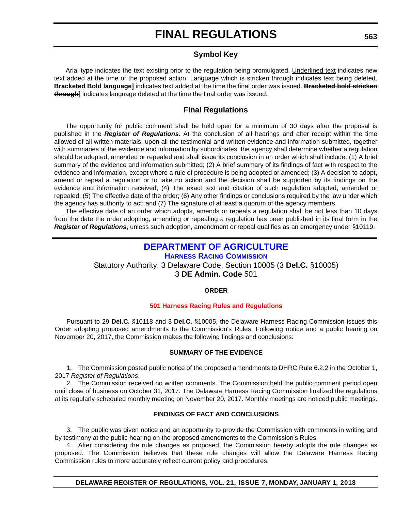## **Symbol Key**

Arial type indicates the text existing prior to the regulation being promulgated. Underlined text indicates new text added at the time of the proposed action. Language which is stricken through indicates text being deleted. **Bracketed Bold language]** indicates text added at the time the final order was issued. **Bracketed bold stricken through]** indicates language deleted at the time the final order was issued.

## **Final Regulations**

The opportunity for public comment shall be held open for a minimum of 30 days after the proposal is published in the *Register of Regulations*. At the conclusion of all hearings and after receipt within the time allowed of all written materials, upon all the testimonial and written evidence and information submitted, together with summaries of the evidence and information by subordinates, the agency shall determine whether a regulation should be adopted, amended or repealed and shall issue its conclusion in an order which shall include: (1) A brief summary of the evidence and information submitted; (2) A brief summary of its findings of fact with respect to the evidence and information, except where a rule of procedure is being adopted or amended; (3) A decision to adopt, amend or repeal a regulation or to take no action and the decision shall be supported by its findings on the evidence and information received; (4) The exact text and citation of such regulation adopted, amended or repealed; (5) The effective date of the order; (6) Any other findings or conclusions required by the law under which the agency has authority to act; and (7) The signature of at least a quorum of the agency members.

The effective date of an order which adopts, amends or repeals a regulation shall be not less than 10 days from the date the order adopting, amending or repealing a regulation has been published in its final form in the *Register of Regulations*, unless such adoption, amendment or repeal qualifies as an emergency under §10119.

## **[DEPARTMENT OF AGRICULTURE](https://dda.delaware.gov/harness/index.shtml)**

**HARNESS RACING COMMISSION** Statutory Authority: 3 Delaware Code, Section 10005 (3 **Del.C.** §10005) 3 **DE Admin. Code** 501

## **ORDER**

#### **[501 Harness Racing Rules and Regulations](#page-4-0)**

Pursuant to 29 **Del.C.** §10118 and 3 **Del.C.** §10005, the Delaware Harness Racing Commission issues this Order adopting proposed amendments to the Commission's Rules. Following notice and a public hearing on November 20, 2017, the Commission makes the following findings and conclusions:

#### **SUMMARY OF THE EVIDENCE**

1. The Commission posted public notice of the proposed amendments to DHRC Rule 6.2.2 in the October 1, 2017 *Register of Regulations*.

2. The Commission received no written comments. The Commission held the public comment period open until close of business on October 31, 2017. The Delaware Harness Racing Commission finalized the regulations at its regularly scheduled monthly meeting on November 20, 2017. Monthly meetings are noticed public meetings.

#### **FINDINGS OF FACT AND CONCLUSIONS**

3. The public was given notice and an opportunity to provide the Commission with comments in writing and by testimony at the public hearing on the proposed amendments to the Commission's Rules.

4. After considering the rule changes as proposed, the Commission hereby adopts the rule changes as proposed. The Commission believes that these rule changes will allow the Delaware Harness Racing Commission rules to more accurately reflect current policy and procedures.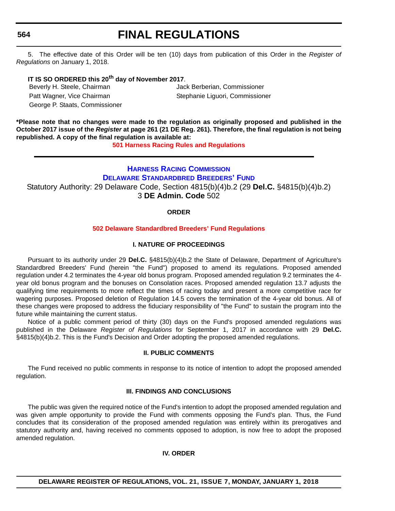**564**

## **FINAL REGULATIONS**

5. The effective date of this Order will be ten (10) days from publication of this Order in the *Register of Regulations* on January 1, 2018.

## **IT IS SO ORDERED this 20th day of November 2017**.

Beverly H. Steele, Chairman Jack Berberian, Commissioner Patt Wagner, Vice Chairman Stephanie Liguori, Commissioner George P. Staats, Commissioner

**\*Please note that no changes were made to the regulation as originally proposed and published in the October 2017 issue of the** *Register* **at page 261 (21 DE Reg. 261). Therefore, the final regulation is not being republished. A copy of the final regulation is available at:**

**[501 Harness Racing Rules and Regulations](http://regulations.delaware.gov/register/january2018/final/21 DE Reg 563 01-01-18.htm)** 

## **HARNESS RACING COMMISSION**

**[DELAWARE STANDARDBRED BREEDERS' FUND](https://desbf.delaware.gov/)**

Statutory Authority: 29 Delaware Code, Section 4815(b)(4)b.2 (29 **Del.C.** §4815(b)(4)b.2)

3 **DE Admin. Code** 502

### **ORDER**

## **502 Delaware [Standardbred Breeders' Fund Regulations](#page-4-0)**

### **I. NATURE OF PROCEEDINGS**

Pursuant to its authority under 29 **Del.C.** §4815(b)(4)b.2 the State of Delaware, Department of Agriculture's Standardbred Breeders' Fund (herein "the Fund") proposed to amend its regulations. Proposed amended regulation under 4.2 terminates the 4-year old bonus program. Proposed amended regulation 9.2 terminates the 4 year old bonus program and the bonuses on Consolation races. Proposed amended regulation 13.7 adjusts the qualifying time requirements to more reflect the times of racing today and present a more competitive race for wagering purposes. Proposed deletion of Regulation 14.5 covers the termination of the 4-year old bonus. All of these changes were proposed to address the fiduciary responsibility of "the Fund" to sustain the program into the future while maintaining the current status.

Notice of a public comment period of thirty (30) days on the Fund's proposed amended regulations was published in the Delaware *Register of Regulations* for September 1, 2017 in accordance with 29 **Del.C.** §4815(b)(4)b.2. This is the Fund's Decision and Order adopting the proposed amended regulations.

#### **II. PUBLIC COMMENTS**

The Fund received no public comments in response to its notice of intention to adopt the proposed amended regulation.

### **III. FINDINGS AND CONCLUSIONS**

The public was given the required notice of the Fund's intention to adopt the proposed amended regulation and was given ample opportunity to provide the Fund with comments opposing the Fund's plan. Thus, the Fund concludes that its consideration of the proposed amended regulation was entirely within its prerogatives and statutory authority and, having received no comments opposed to adoption, is now free to adopt the proposed amended regulation.

#### **IV. ORDER**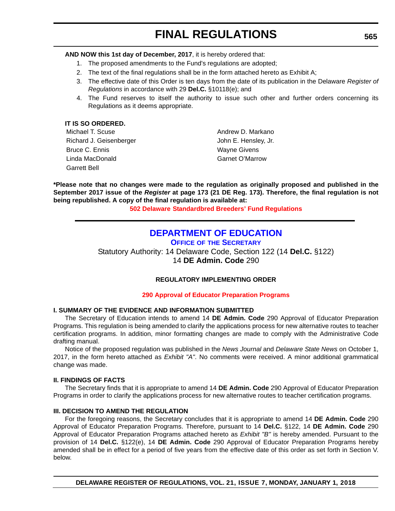**AND NOW this 1st day of December, 2017**, it is hereby ordered that:

- 1. The proposed amendments to the Fund's regulations are adopted;
- 2. The text of the final regulations shall be in the form attached hereto as Exhibit A;
- 3. The effective date of this Order is ten days from the date of its publication in the Delaware *Register of Regulations* in accordance with 29 **Del.C.** §10118(e); and
- 4. The Fund reserves to itself the authority to issue such other and further orders concerning its Regulations as it deems appropriate.

| IT IS SO ORDERED.       |                        |
|-------------------------|------------------------|
| Michael T. Scuse        | Andrew D. Markano      |
| Richard J. Geisenberger | John E. Hensley, Jr.   |
| Bruce C. Ennis          | <b>Wayne Givens</b>    |
| Linda MacDonald         | <b>Garnet O'Marrow</b> |
| <b>Garrett Bell</b>     |                        |

**\*Please note that no changes were made to the regulation as originally proposed and published in the September 2017 issue of the** *Register* **at page 173 (21 DE Reg. 173). Therefore, the final regulation is not being republished. A copy of the final regulation is available at:**

**502 Delaware [Standardbred Breeders' Fund Regulations](http://regulations.delaware.gov/register/january2018/final/21 DE Reg 564 01-01-18.htm)** 

## **[DEPARTMENT OF EDUCATION](https://pubapps.doe.k12.de.us/EducationalDirectoryPublic/pages/DDOE/Branches.aspx?page=branches&BID=1)**

**OFFICE OF THE SECRETARY**

Statutory Authority: 14 Delaware Code, Section 122 (14 **Del.C.** §122) 14 **DE Admin. Code** 290

## **REGULATORY IMPLEMENTING ORDER**

## **[290 Approval of Educator Preparation Programs](#page-4-0)**

## **I. SUMMARY OF THE EVIDENCE AND INFORMATION SUBMITTED**

The Secretary of Education intends to amend 14 **DE Admin. Code** 290 Approval of Educator Preparation Programs. This regulation is being amended to clarify the applications process for new alternative routes to teacher certification programs. In addition, minor formatting changes are made to comply with the Administrative Code drafting manual.

Notice of the proposed regulation was published in the *News Journal* and *Delaware State News* on October 1, 2017, in the form hereto attached as *Exhibit "A"*. No comments were received. A minor additional grammatical change was made.

#### **II. FINDINGS OF FACTS**

The Secretary finds that it is appropriate to amend 14 **DE Admin. Code** 290 Approval of Educator Preparation Programs in order to clarify the applications process for new alternative routes to teacher certification programs.

#### **III. DECISION TO AMEND THE REGULATION**

For the foregoing reasons, the Secretary concludes that it is appropriate to amend 14 **DE Admin. Code** 290 Approval of Educator Preparation Programs. Therefore, pursuant to 14 **Del.C.** §122, 14 **DE Admin. Code** 290 Approval of Educator Preparation Programs attached hereto as *Exhibit "B"* is hereby amended. Pursuant to the provision of 14 **Del.C.** §122(e), 14 **DE Admin. Code** 290 Approval of Educator Preparation Programs hereby amended shall be in effect for a period of five years from the effective date of this order as set forth in Section V. below.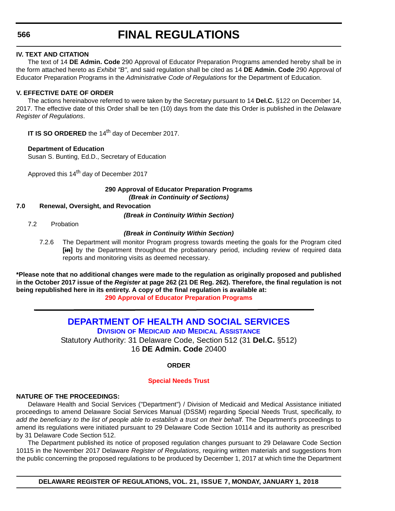## **566**

## **FINAL REGULATIONS**

### **IV. TEXT AND CITATION**

The text of 14 **DE Admin. Code** 290 Approval of Educator Preparation Programs amended hereby shall be in the form attached hereto as *Exhibit "B"*, and said regulation shall be cited as 14 **DE Admin. Code** 290 Approval of Educator Preparation Programs in the *Administrative Code of Regulations* for the Department of Education.

## **V. EFFECTIVE DATE OF ORDER**

The actions hereinabove referred to were taken by the Secretary pursuant to 14 **Del.C.** §122 on December 14, 2017. The effective date of this Order shall be ten (10) days from the date this Order is published in the *Delaware Register of Regulations*.

**IT IS SO ORDERED** the 14<sup>th</sup> day of December 2017.

## **Department of Education**

Susan S. Bunting, Ed.D., Secretary of Education

Approved this 14<sup>th</sup> day of December 2017

#### **290 Approval of Educator Preparation Programs** *(Break in Continuity of Sections)*

### **7.0 Renewal, Oversight, and Revocation**

*(Break in Continuity Within Section)*

7.2 Probation

### *(Break in Continuity Within Section)*

7.2.6 The Department will monitor Program progress towards meeting the goals for the Program cited **[in]** by the Department throughout the probationary period, including review of required data reports and monitoring visits as deemed necessary.

**\*Please note that no additional changes were made to the regulation as originally proposed and published in the October 2017 issue of the** *Register* **at page 262 (21 DE Reg. 262). Therefore, the final regulation is not being republished here in its entirety. A copy of the final regulation is available at: [290 Approval of Educator Preparation Programs](http://regulations.delaware.gov/register/january2018/final/21 DE Reg 565 01-01-18.htm)** 

> **[DEPARTMENT OF HEALTH AND SOCIAL SERVICES](http://www.dhss.delaware.gov/dhss/dmma/) DIVISION OF MEDICAID AND MEDICAL ASSISTANCE** Statutory Authority: 31 Delaware Code, Section 512 (31 **Del.C.** §512) 16 **DE Admin. Code** 20400

## **ORDER**

#### **[Special Needs Trust](#page-4-0)**

## **NATURE OF THE PROCEEDINGS:**

Delaware Health and Social Services ("Department") / Division of Medicaid and Medical Assistance initiated proceedings to amend Delaware Social Services Manual (DSSM) regarding Special Needs Trust, specifically, *to add the beneficiary to the list of people able to establish a trust on their behalf*. The Department's proceedings to amend its regulations were initiated pursuant to 29 Delaware Code Section 10114 and its authority as prescribed by 31 Delaware Code Section 512.

The Department published its notice of proposed regulation changes pursuant to 29 Delaware Code Section 10115 in the November 2017 Delaware *Register of Regulations*, requiring written materials and suggestions from the public concerning the proposed regulations to be produced by December 1, 2017 at which time the Department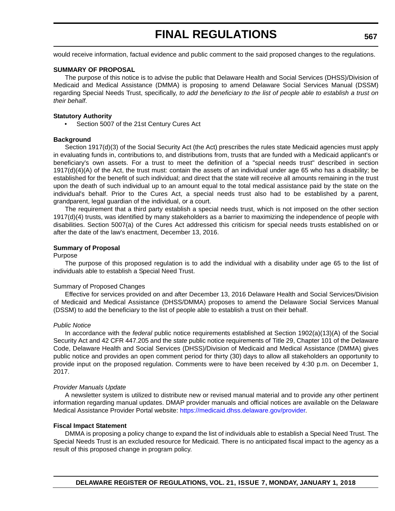would receive information, factual evidence and public comment to the said proposed changes to the regulations.

#### **SUMMARY OF PROPOSAL**

The purpose of this notice is to advise the public that Delaware Health and Social Services (DHSS)/Division of Medicaid and Medical Assistance (DMMA) is proposing to amend Delaware Social Services Manual (DSSM) regarding Special Needs Trust, specifically, *to add the beneficiary to the list of people able to establish a trust on their behalf*.

#### **Statutory Authority**

• Section 5007 of the 21st Century Cures Act

#### **Background**

Section 1917(d)(3) of the Social Security Act (the Act) prescribes the rules state Medicaid agencies must apply in evaluating funds in, contributions to, and distributions from, trusts that are funded with a Medicaid applicant's or beneficiary's own assets. For a trust to meet the definition of a "special needs trust" described in section 1917(d)(4)(A) of the Act, the trust must: contain the assets of an individual under age 65 who has a disability; be established for the benefit of such individual; and direct that the state will receive all amounts remaining in the trust upon the death of such individual up to an amount equal to the total medical assistance paid by the state on the individual's behalf. Prior to the Cures Act, a special needs trust also had to be established by a parent, grandparent, legal guardian of the individual, or a court.

The requirement that a third party establish a special needs trust, which is not imposed on the other section 1917(d)(4) trusts, was identified by many stakeholders as a barrier to maximizing the independence of people with disabilities. Section 5007(a) of the Cures Act addressed this criticism for special needs trusts established on or after the date of the law's enactment, December 13, 2016.

#### **Summary of Proposal**

#### Purpose

The purpose of this proposed regulation is to add the individual with a disability under age 65 to the list of individuals able to establish a Special Need Trust.

#### Summary of Proposed Changes

Effective for services provided on and after December 13, 2016 Delaware Health and Social Services/Division of Medicaid and Medical Assistance (DHSS/DMMA) proposes to amend the Delaware Social Services Manual (DSSM) to add the beneficiary to the list of people able to establish a trust on their behalf.

#### *Public Notice*

In accordance with the *federal* public notice requirements established at Section 1902(a)(13)(A) of the Social Security Act and 42 CFR 447.205 and the *state* public notice requirements of Title 29, Chapter 101 of the Delaware Code, Delaware Health and Social Services (DHSS)/Division of Medicaid and Medical Assistance (DMMA) gives public notice and provides an open comment period for thirty (30) days to allow all stakeholders an opportunity to provide input on the proposed regulation. Comments were to have been received by 4:30 p.m. on December 1, 2017.

#### *Provider Manuals Update*

A newsletter system is utilized to distribute new or revised manual material and to provide any other pertinent information regarding manual updates. DMAP provider manuals and official notices are available on the Delaware Medical Assistance Provider Portal website: [https://medicaid.dhss.delaware.gov/provider.](https://medicaid.dhss.delaware.gov/provider)

#### **Fiscal Impact Statement**

DMMA is proposing a policy change to expand the list of individuals able to establish a Special Need Trust. The Special Needs Trust is an excluded resource for Medicaid. There is no anticipated fiscal impact to the agency as a result of this proposed change in program policy.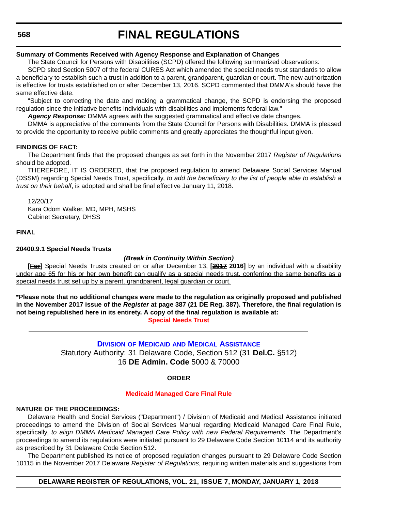### **Summary of Comments Received with Agency Response and Explanation of Changes**

The State Council for Persons with Disabilities (SCPD) offered the following summarized observations:

SCPD sited Section 5007 of the federal CURES Act which amended the special needs trust standards to allow a beneficiary to establish such a trust in addition to a parent, grandparent, guardian or court. The new authorization is effective for trusts established on or after December 13, 2016. SCPD commented that DMMA's should have the same effective date.

"Subject to correcting the date and making a grammatical change, the SCPD is endorsing the proposed regulation since the initiative benefits individuals with disabilities and implements federal law."

*Agency Response:* DMMA agrees with the suggested grammatical and effective date changes.

DMMA is appreciative of the comments from the State Council for Persons with Disabilities. DMMA is pleased to provide the opportunity to receive public comments and greatly appreciates the thoughtful input given.

### **FINDINGS OF FACT:**

The Department finds that the proposed changes as set forth in the November 2017 *Register of Regulations* should be adopted.

THEREFORE, IT IS ORDERED, that the proposed regulation to amend Delaware Social Services Manual (DSSM) regarding Special Needs Trust, specifically, *to add the beneficiary to the list of people able to establish a trust on their behalf*, is adopted and shall be final effective January 11, 2018.

12/20/17

Kara Odom Walker, MD, MPH, MSHS Cabinet Secretary, DHSS

### **FINAL**

### **20400.9.1 Special Needs Trusts**

## *(Break in Continuity Within Section)*

**[For]** Special Needs Trusts created on or after December 13, **[2017 2016]** by an individual with a disability under age 65 for his or her own benefit can qualify as a special needs trust, conferring the same benefits as a special needs trust set up by a parent, grandparent, legal guardian or court.

**\*Please note that no additional changes were made to the regulation as originally proposed and published in the November 2017 issue of the** *Register* **at page 387 (21 DE Reg. 387). Therefore, the final regulation is not being republished here in its entirety. A copy of the final regulation is available at: [Special Needs Trust](http://regulations.delaware.gov/register/january2018/final/21 DE Reg 566 01-01-18.htm)** 

## **DIVISION OF MEDICAID [AND MEDICAL ASSISTANCE](http://www.dhss.delaware.gov/dhss/dmma/)**

Statutory Authority: 31 Delaware Code, Section 512 (31 **Del.C.** §512) 16 **DE Admin. Code** 5000 & 70000

#### **ORDER**

#### **[Medicaid Managed Care Final Rule](#page-4-0)**

#### **NATURE OF THE PROCEEDINGS:**

Delaware Health and Social Services ("Department") / Division of Medicaid and Medical Assistance initiated proceedings to amend the Division of Social Services Manual regarding Medicaid Managed Care Final Rule, specifically, *to align DMMA Medicaid Managed Care Policy with new Federal Requirements*. The Department's proceedings to amend its regulations were initiated pursuant to 29 Delaware Code Section 10114 and its authority as prescribed by 31 Delaware Code Section 512.

The Department published its notice of proposed regulation changes pursuant to 29 Delaware Code Section 10115 in the November 2017 Delaware *Register of Regulations*, requiring written materials and suggestions from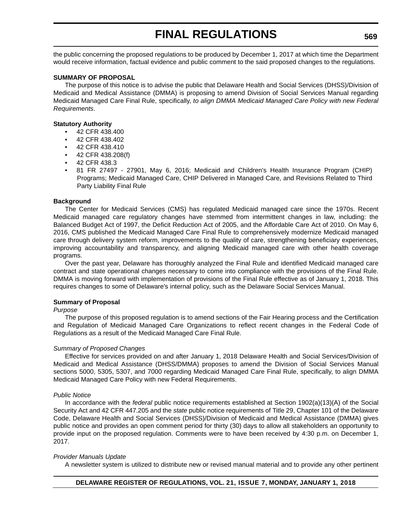the public concerning the proposed regulations to be produced by December 1, 2017 at which time the Department would receive information, factual evidence and public comment to the said proposed changes to the regulations.

### **SUMMARY OF PROPOSAL**

The purpose of this notice is to advise the public that Delaware Health and Social Services (DHSS)/Division of Medicaid and Medical Assistance (DMMA) is proposing to amend Division of Social Services Manual regarding Medicaid Managed Care Final Rule, specifically, *to align DMMA Medicaid Managed Care Policy with new Federal Requirements*.

#### **Statutory Authority**

- 42 CFR 438.400
- 42 CFR 438.402
- 42 CFR 438.410
- 42 CFR 438.208(f)
- 42 CFR 438.3
- 81 FR 27497 27901, May 6, 2016; Medicaid and Children's Health Insurance Program (CHIP) Programs; Medicaid Managed Care, CHIP Delivered in Managed Care, and Revisions Related to Third Party Liability Final Rule

#### **Background**

The Center for Medicaid Services (CMS) has regulated Medicaid managed care since the 1970s. Recent Medicaid managed care regulatory changes have stemmed from intermittent changes in law, including: the Balanced Budget Act of 1997, the Deficit Reduction Act of 2005, and the Affordable Care Act of 2010. On May 6, 2016, CMS published the Medicaid Managed Care Final Rule to comprehensively modernize Medicaid managed care through delivery system reform, improvements to the quality of care, strengthening beneficiary experiences, improving accountability and transparency, and aligning Medicaid managed care with other health coverage programs.

Over the past year, Delaware has thoroughly analyzed the Final Rule and identified Medicaid managed care contract and state operational changes necessary to come into compliance with the provisions of the Final Rule. DMMA is moving forward with implementation of provisions of the Final Rule effective as of January 1, 2018. This requires changes to some of Delaware's internal policy, such as the Delaware Social Services Manual.

#### **Summary of Proposal**

#### *Purpose*

The purpose of this proposed regulation is to amend sections of the Fair Hearing process and the Certification and Regulation of Medicaid Managed Care Organizations to reflect recent changes in the Federal Code of Regulations as a result of the Medicaid Managed Care Final Rule.

#### *Summary of Proposed Changes*

Effective for services provided on and after January 1, 2018 Delaware Health and Social Services/Division of Medicaid and Medical Assistance (DHSS/DMMA) proposes to amend the Division of Social Services Manual sections 5000, 5305, 5307, and 7000 regarding Medicaid Managed Care Final Rule, specifically, to align DMMA Medicaid Managed Care Policy with new Federal Requirements.

#### *Public Notice*

In accordance with the *federal* public notice requirements established at Section 1902(a)(13)(A) of the Social Security Act and 42 CFR 447.205 and the *state* public notice requirements of Title 29, Chapter 101 of the Delaware Code, Delaware Health and Social Services (DHSS)/Division of Medicaid and Medical Assistance (DMMA) gives public notice and provides an open comment period for thirty (30) days to allow all stakeholders an opportunity to provide input on the proposed regulation. Comments were to have been received by 4:30 p.m. on December 1, 2017.

#### *Provider Manuals Update*

A newsletter system is utilized to distribute new or revised manual material and to provide any other pertinent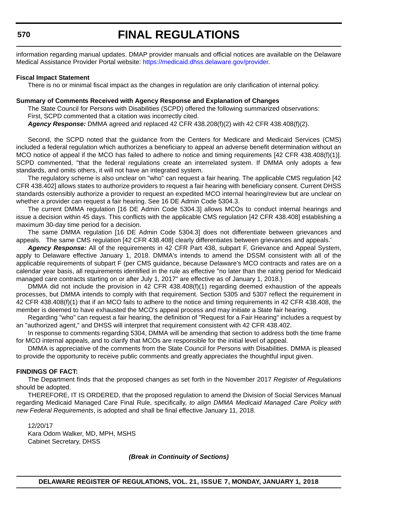information regarding manual updates. DMAP provider manuals and official notices are available on the Delaware Medical Assistance Provider Portal website: [https://medicaid.dhss.delaware.gov/provider.](https://medicaid.dhss.delaware.gov/provider)

#### **Fiscal Impact Statement**

There is no or minimal fiscal impact as the changes in regulation are only clarification of internal policy.

#### **Summary of Comments Received with Agency Response and Explanation of Changes**

The State Council for Persons with Disabilities (SCPD) offered the following summarized observations: First, SCPD commented that a citation was incorrectly cited.

*Agency Response:* DMMA agreed and replaced 42 CFR 438.208(f)(2) with 42 CFR 438.408(f)(2).

Second, the SCPD noted that the guidance from the Centers for Medicare and Medicaid Services (CMS) included a federal regulation which authorizes a beneficiary to appeal an adverse benefit determination without an MCO notice of appeal if the MCO has failed to adhere to notice and timing requirements [42 CFR 438.408(f)(1)]. SCPD commented, "that the federal regulations create an interrelated system. If DMMA only adopts a few standards, and omits others, it will not have an integrated system.

The regulatory scheme is also unclear on "who" can request a fair hearing. The applicable CMS regulation [42 CFR 438.402] allows states to authorize providers to request a fair hearing with beneficiary consent. Current DHSS standards ostensibly authorize a provider to request an expedited MCO internal hearing/review but are unclear on whether a provider can request a fair hearing. See 16 DE Admin Code 5304.3.

The current DMMA regulation [16 DE Admin Code 5304.3] allows MCOs to conduct internal hearings and issue a decision within 45 days. This conflicts with the applicable CMS regulation [42 CFR 438.408] establishing a maximum 30-day time period for a decision.

The same DMMA regulation [16 DE Admin Code 5304.3] does not differentiate between grievances and appeals. The same CMS regulation [42 CFR 438.408] clearly differentiates between grievances and appeals.'

*Agency Response:* All of the requirements in 42 CFR Part 438, subpart F, Grievance and Appeal System, apply to Delaware effective January 1, 2018. DMMA's intends to amend the DSSM consistent with all of the applicable requirements of subpart F (per CMS guidance, because Delaware's MCO contracts and rates are on a calendar year basis, all requirements identified in the rule as effective "no later than the rating period for Medicaid managed care contracts starting on or after July 1, 2017" are effective as of January 1, 2018.)

DMMA did not include the provision in 42 CFR 438.408(f)(1) regarding deemed exhaustion of the appeals processes, but DMMA intends to comply with that requirement. Section 5305 and 5307 reflect the requirement in 42 CFR 438.408(f)(1) that if an MCO fails to adhere to the notice and timing requirements in 42 CFR 438.408, the member is deemed to have exhausted the MCO's appeal process and may initiate a State fair hearing.

Regarding "who" can request a fair hearing, the definition of "Request for a Fair Hearing" includes a request by an "authorized agent," and DHSS will interpret that requirement consistent with 42 CFR 438.402.

In response to comments regarding 5304, DMMA will be amending that section to address both the time frame for MCO internal appeals, and to clarify that MCOs are responsible for the initial level of appeal.

DMMA is appreciative of the comments from the State Council for Persons with Disabilities. DMMA is pleased to provide the opportunity to receive public comments and greatly appreciates the thoughtful input given.

#### **FINDINGS OF FACT:**

The Department finds that the proposed changes as set forth in the November 2017 *Register of Regulations* should be adopted.

THEREFORE, IT IS ORDERED, that the proposed regulation to amend the Division of Social Services Manual regarding Medicaid Managed Care Final Rule, specifically, *to align DMMA Medicaid Managed Care Policy with new Federal Requirements*, is adopted and shall be final effective January 11, 2018.

12/20/17 Kara Odom Walker, MD, MPH, MSHS Cabinet Secretary, DHSS

*(Break in Continuity of Sections)*

## **570**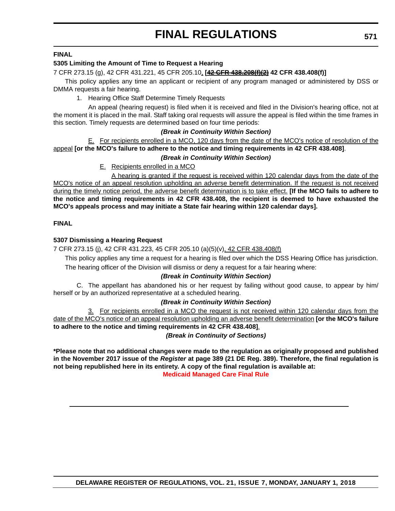## **FINAL**

## **5305 Limiting the Amount of Time to Request a Hearing**

## 7 CFR 273.15 (g), 42 CFR 431.221, 45 CFR 205.10, **[42 CFR 438.208(f)(2) 42 CFR 438.408(f)]**

This policy applies any time an applicant or recipient of any program managed or administered by DSS or DMMA requests a fair hearing.

1. Hearing Office Staff Determine Timely Requests

An appeal (hearing request) is filed when it is received and filed in the Division's hearing office, not at the moment it is placed in the mail. Staff taking oral requests will assure the appeal is filed within the time frames in this section. Timely requests are determined based on four time periods:

## *(Break in Continuity Within Section)*

E. For recipients enrolled in a MCO, 120 days from the date of the MCO's notice of resolution of the appeal **[or the MCO's failure to adhere to the notice and timing requirements in 42 CFR 438.408]**. *(Break in Continuity Within Section)*

E. Recipients enrolled in a MCO

A hearing is granted if the request is received within 120 calendar days from the date of the MCO's notice of an appeal resolution upholding an adverse benefit determination. If the request is not received during the timely notice period, the adverse benefit determination is to take effect. **[If the MCO fails to adhere to the notice and timing requirements in 42 CFR 438.408, the recipient is deemed to have exhausted the MCO's appeals process and may initiate a State fair hearing within 120 calendar days].**

## **FINAL**

## **5307 Dismissing a Hearing Request**

7 CFR 273.15 (j), 42 CFR 431.223, 45 CFR 205.10 (a)(5)(v), 42 CFR 438.408(f)

This policy applies any time a request for a hearing is filed over which the DSS Hearing Office has jurisdiction. The hearing officer of the Division will dismiss or deny a request for a fair hearing where:

## *(Break in Continuity Within Section)*

C. The appellant has abandoned his or her request by failing without good cause, to appear by him/ herself or by an authorized representative at a scheduled hearing.

## *(Break in Continuity Within Section)*

3. For recipients enrolled in a MCO the request is not received within 120 calendar days from the date of the MCO's notice of an appeal resolution upholding an adverse benefit determination **[or the MCO's failure to adhere to the notice and timing requirements in 42 CFR 438.408]**. *(Break in Continuity of Sections)*

**\*Please note that no additional changes were made to the regulation as originally proposed and published in the November 2017 issue of the** *Register* **at page 389 (21 DE Reg. 389). Therefore, the final regulation is not being republished here in its entirety. A copy of the final regulation is available at: [Medicaid Managed Care Final Rule](http://regulations.delaware.gov/register/january2018/final/21 DE Reg 568 01-01-18.htm)**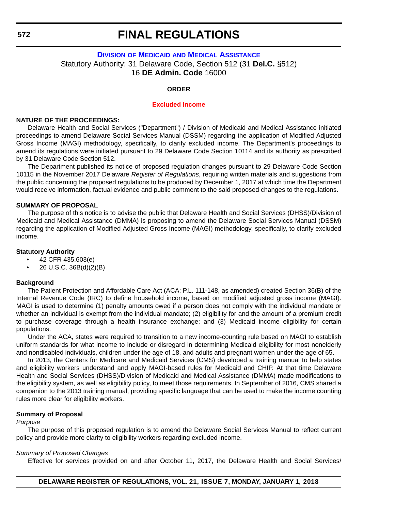## **DIVISION OF MEDICAID [AND MEDICAL ASSISTANCE](http://www.dhss.delaware.gov/dhss/dmma/)** Statutory Authority: 31 Delaware Code, Section 512 (31 **Del.C.** §512) 16 **DE Admin. Code** 16000

### **ORDER**

### **[Excluded Income](#page-4-0)**

#### **NATURE OF THE PROCEEDINGS:**

Delaware Health and Social Services ("Department") / Division of Medicaid and Medical Assistance initiated proceedings to amend Delaware Social Services Manual (DSSM) regarding the application of Modified Adjusted Gross Income (MAGI) methodology, specifically, to clarify excluded income. The Department's proceedings to amend its regulations were initiated pursuant to 29 Delaware Code Section 10114 and its authority as prescribed by 31 Delaware Code Section 512.

The Department published its notice of proposed regulation changes pursuant to 29 Delaware Code Section 10115 in the November 2017 Delaware *Register of Regulations*, requiring written materials and suggestions from the public concerning the proposed regulations to be produced by December 1, 2017 at which time the Department would receive information, factual evidence and public comment to the said proposed changes to the regulations.

#### **SUMMARY OF PROPOSAL**

The purpose of this notice is to advise the public that Delaware Health and Social Services (DHSS)/Division of Medicaid and Medical Assistance (DMMA) is proposing to amend the Delaware Social Services Manual (DSSM) regarding the application of Modified Adjusted Gross Income (MAGI) methodology, specifically, to clarify excluded income.

#### **Statutory Authority**

- 42 CFR 435.603(e)
- 26 U.S.C.  $36B(d)(2)(B)$

#### **Background**

The Patient Protection and Affordable Care Act (ACA; P.L. 111-148, as amended) created Section 36(B) of the Internal Revenue Code (IRC) to define household income, based on modified adjusted gross income (MAGI). MAGI is used to determine (1) penalty amounts owed if a person does not comply with the individual mandate or whether an individual is exempt from the individual mandate; (2) eligibility for and the amount of a premium credit to purchase coverage through a health insurance exchange; and (3) Medicaid income eligibility for certain populations.

Under the ACA, states were required to transition to a new income-counting rule based on MAGI to establish uniform standards for what income to include or disregard in determining Medicaid eligibility for most nonelderly and nondisabled individuals, children under the age of 18, and adults and pregnant women under the age of 65.

In 2013, the Centers for Medicare and Medicaid Services (CMS) developed a training manual to help states and eligibility workers understand and apply MAGI-based rules for Medicaid and CHIP. At that time Delaware Health and Social Services (DHSS)/Division of Medicaid and Medical Assistance (DMMA) made modifications to the eligibility system, as well as eligibility policy, to meet those requirements. In September of 2016, CMS shared a companion to the 2013 training manual, providing specific language that can be used to make the income counting rules more clear for eligibility workers.

#### **Summary of Proposal**

#### *Purpose*

The purpose of this proposed regulation is to amend the Delaware Social Services Manual to reflect current policy and provide more clarity to eligibility workers regarding excluded income.

#### *Summary of Proposed Changes*

Effective for services provided on and after October 11, 2017, the Delaware Health and Social Services/

**572**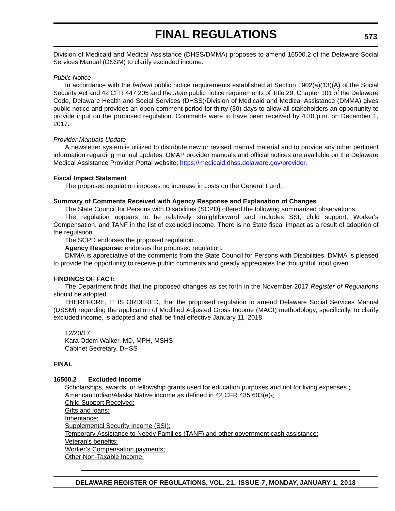Division of Medicaid and Medical Assistance (DHSS/DMMA) proposes to amend 16500.2 of the Delaware Social Services Manual (DSSM) to clarify excluded income.

#### *Public Notice*

In accordance with the *federal* public notice requirements established at Section 1902(a)(13)(A) of the Social Security Act and 42 CFR 447.205 and the *state* public notice requirements of Title 29, Chapter 101 of the Delaware Code, Delaware Health and Social Services (DHSS)/Division of Medicaid and Medical Assistance (DMMA) gives public notice and provides an open comment period for thirty (30) days to allow all stakeholders an opportunity to provide input on the proposed regulation. Comments were to have been received by 4:30 p.m. on December 1, 2017.

### *Provider Manuals Update*

A newsletter system is utilized to distribute new or revised manual material and to provide any other pertinent information regarding manual updates. DMAP provider manuals and official notices are available on the Delaware Medical Assistance Provider Portal website: [https://medicaid.dhss.delaware.gov/provider.](https://medicaid.dhss.delaware.gov/provider)

### **Fiscal Impact Statement**

The proposed regulation imposes no increase in costs on the General Fund.

### **Summary of Comments Received with Agency Response and Explanation of Changes**

The State Council for Persons with Disabilities (SCPD) offered the following summarized observations:

The regulation appears to be relatively straightforward and includes SSI, child support, Worker's Compensation, and TANF in the list of excluded income. There is no State fiscal impact as a result of adoption of the regulation.

The SCPD endorses the proposed regulation.

**Agency Response:** endorses the proposed regulation.

DMMA is appreciative of the comments from the State Council for Persons with Disabilities. DMMA is pleased to provide the opportunity to receive public comments and greatly appreciates the thoughtful input given.

## **FINDINGS OF FACT:**

The Department finds that the proposed changes as set forth in the November 2017 *Register of Regulations* should be adopted.

THEREFORE, IT IS ORDERED, that the proposed regulation to amend Delaware Social Services Manual (DSSM) regarding the application of Modified Adjusted Gross Income (MAGI) methodology, specifically, to clarify excluded income, is adopted and shall be final effective January 11, 2018.

12/20/17 Kara Odom Walker, MD, MPH, MSHS Cabinet Secretary, DHSS

## **FINAL**

## **16500.2 Excluded Income**

Scholarships, awards, or fellowship grants used for education purposes and not for living expenses.; American Indian/Alaska Native income as defined in 42 CFR 435.603(e).; Child Support Received; Gifts and loans; Inheritance; Supplemental Security Income (SSI); Temporary Assistance to Needy Families (TANF) and other government cash assistance; Veteran's benefits; Worker's Compensation payments; Other Non-Taxable Income.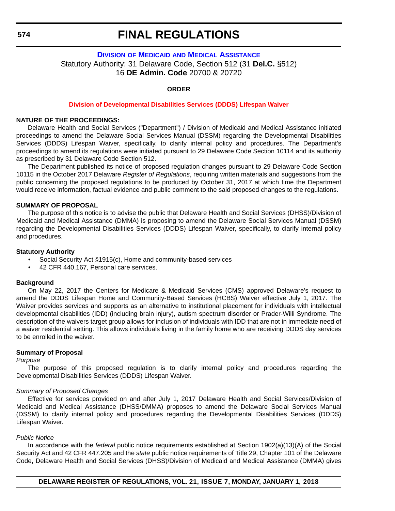## **574**

## **FINAL REGULATIONS**

## **DIVISION OF MEDICAID [AND MEDICAL ASSISTANCE](http://www.dhss.delaware.gov/dhss/dmma/)** Statutory Authority: 31 Delaware Code, Section 512 (31 **Del.C.** §512) 16 **DE Admin. Code** 20700 & 20720

### **ORDER**

### **[Division of Developmental Disabilities Services \(DDDS\) Lifespan Waiver](#page-4-0)**

#### **NATURE OF THE PROCEEDINGS:**

Delaware Health and Social Services ("Department") / Division of Medicaid and Medical Assistance initiated proceedings to amend the Delaware Social Services Manual (DSSM) regarding the Developmental Disabilities Services (DDDS) Lifespan Waiver, specifically, to clarify internal policy and procedures. The Department's proceedings to amend its regulations were initiated pursuant to 29 Delaware Code Section 10114 and its authority as prescribed by 31 Delaware Code Section 512.

The Department published its notice of proposed regulation changes pursuant to 29 Delaware Code Section 10115 in the October 2017 Delaware *Register of Regulations*, requiring written materials and suggestions from the public concerning the proposed regulations to be produced by October 31, 2017 at which time the Department would receive information, factual evidence and public comment to the said proposed changes to the regulations.

#### **SUMMARY OF PROPOSAL**

The purpose of this notice is to advise the public that Delaware Health and Social Services (DHSS)/Division of Medicaid and Medical Assistance (DMMA) is proposing to amend the Delaware Social Services Manual (DSSM) regarding the Developmental Disabilities Services (DDDS) Lifespan Waiver, specifically, to clarify internal policy and procedures.

#### **Statutory Authority**

- Social Security Act §1915(c), Home and community-based services
- 42 CFR 440.167, Personal care services.

#### **Background**

On May 22, 2017 the Centers for Medicare & Medicaid Services (CMS) approved Delaware's request to amend the DDDS Lifespan Home and Community-Based Services (HCBS) Waiver effective July 1, 2017. The Waiver provides services and supports as an alternative to institutional placement for individuals with intellectual developmental disabilities (IDD) (including brain injury), autism spectrum disorder or Prader-Willi Syndrome. The description of the waivers target group allows for inclusion of individuals with IDD that are not in immediate need of a waiver residential setting. This allows individuals living in the family home who are receiving DDDS day services to be enrolled in the waiver.

#### **Summary of Proposal**

#### *Purpose*

The purpose of this proposed regulation is to clarify internal policy and procedures regarding the Developmental Disabilities Services (DDDS) Lifespan Waiver.

#### *Summary of Proposed Changes*

Effective for services provided on and after July 1, 2017 Delaware Health and Social Services/Division of Medicaid and Medical Assistance (DHSS/DMMA) proposes to amend the Delaware Social Services Manual (DSSM) to clarify internal policy and procedures regarding the Developmental Disabilities Services (DDDS) Lifespan Waiver.

#### *Public Notice*

In accordance with the *federal* public notice requirements established at Section 1902(a)(13)(A) of the Social Security Act and 42 CFR 447.205 and the *state* public notice requirements of Title 29, Chapter 101 of the Delaware Code, Delaware Health and Social Services (DHSS)/Division of Medicaid and Medical Assistance (DMMA) gives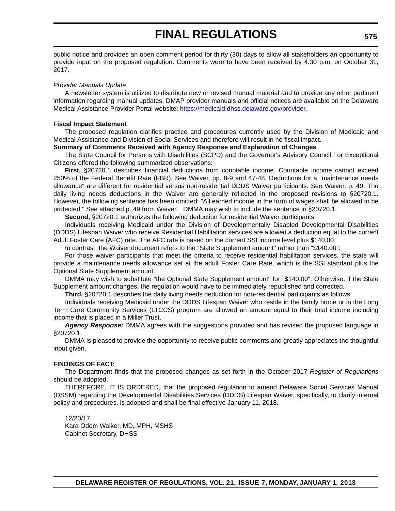public notice and provides an open comment period for thirty (30) days to allow all stakeholders an opportunity to provide input on the proposed regulation. Comments were to have been received by 4:30 p.m. on October 31, 2017.

#### *Provider Manuals Update*

A newsletter system is utilized to distribute new or revised manual material and to provide any other pertinent information regarding manual updates. DMAP provider manuals and official notices are available on the Delaware Medical Assistance Provider Portal website: [https://medicaid.dhss.delaware.gov/provider.](https://medicaid.dhss.delaware.gov/provider)

#### **Fiscal Impact Statement**

The proposed regulation clarifies practice and procedures currently used by the Division of Medicaid and Medical Assistance and Division of Social Services and therefore will result in no fiscal impact.

## **Summary of Comments Received with Agency Response and Explanation of Changes**

The State Council for Persons with Disabilities (SCPD) and the Governor's Advisory Council For Exceptional Citizens offered the following summarized observations:

**First,** §20720.1 describes financial deductions from countable income. Countable income cannot exceed 250% of the Federal Benefit Rate (FBR). See Waiver, pp. 8-9 and 47-48. Deductions for a "maintenance needs allowance" are different for residential versus non-residential DDDS Waiver participants. See Waiver, p. 49. The daily living needs deductions in the Waiver are generally reflected in the proposed revisions to §20720.1. However, the following sentence has been omitted: "All earned income in the form of wages shall be allowed to be protected." See attached p. 49 from Waiver. DMMA may wish to include the sentence in §20720.1.

**Second,** §20720.1 authorizes the following deduction for residential Waiver participants:

Individuals receiving Medicaid under the Division of Developmentally Disabled Developmental Disabilities (DDDS) Lifespan Waiver who receive Residential Habilitation services are allowed a deduction equal to the current Adult Foster Care (AFC) rate. The AFC rate is based on the current SSI income level plus \$140.00.

In contrast, the Waiver document refers to the "State Supplement amount" rather than "\$140.00":

For those waiver participants that meet the criteria to receive residential habilitation services, the state will provide a maintenance needs allowance set at the adult Foster Care Rate, which is the SSI standard plus the Optional State Supplement amount.

DMMA may wish to substitute "the Optional State Supplement amount" for "\$140.00". Otherwise, if the State Supplement amount changes, the regulation would have to be immediately republished and corrected.

**Third,** §20720.1 describes the daily living needs deduction for non-residential participants as follows:

Individuals receiving Medicaid under the DDDS Lifespan Waiver who reside in the family home or in the Long Term Care Community Services (LTCCS) program are allowed an amount equal to their total income including income that is placed in a Miller Trust.

*Agency Response:* DMMA agrees with the suggestions provided and has revised the proposed language in §20720.1.

DMMA is pleased to provide the opportunity to receive public comments and greatly appreciates the thoughtful input given.

## **FINDINGS OF FACT:**

The Department finds that the proposed changes as set forth in the October 2017 *Register of Regulations* should be adopted.

THEREFORE, IT IS ORDERED, that the proposed regulation to amend Delaware Social Services Manual (DSSM) regarding the Developmental Disabilities Services (DDDS) Lifespan Waiver, specifically, to clarify internal policy and procedures, is adopted and shall be final effective January 11, 2018.

#### 12/20/17 Kara Odom Walker, MD, MPH, MSHS Cabinet Secretary, DHSS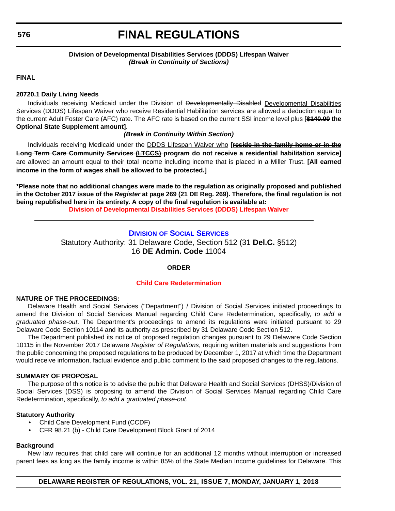**576**

## **FINAL REGULATIONS**

## **Division of Developmental Disabilities Services (DDDS) Lifespan Waiver** *(Break in Continuity of Sections)*

**FINAL**

### **20720.1 Daily Living Needs**

Individuals receiving Medicaid under the Division of Developmentally Disabled Developmental Disabilities Services (DDDS) Lifespan Waiver who receive Residential Habilitation services are allowed a deduction equal to the current Adult Foster Care (AFC) rate. The AFC rate is based on the current SSI income level plus **[\$140.00 the Optional State Supplement amount]**.

### *(Break in Continuity Within Section)*

Individuals receiving Medicaid under the DDDS Lifespan Waiver who **[reside in the family home or in the Long Term Care Community Services (LTCCS) program do not receive a residential habilitation service]** are allowed an amount equal to their total income including income that is placed in a Miller Trust. **[All earned income in the form of wages shall be allowed to be protected.]**

**\*Please note that no additional changes were made to the regulation as originally proposed and published in the October 2017 issue of the** *Register* **at page 269 (21 DE Reg. 269). Therefore, the final regulation is not being republished here in its entirety. A copy of the final regulation is available at: [Division of Developmental Disabilities Services \(DDDS\) Lifespan Waiver](http://regulations.delaware.gov/register/january2018/final/21 DE Reg 574 01-01-18.htm)** 

## **DIVISION [OF SOCIAL SERVICES](http://www.dhss.delaware.gov/dhss/dss/)**

Statutory Authority: 31 Delaware Code, Section 512 (31 **Del.C.** §512) 16 **DE Admin. Code** 11004

## **ORDER**

## **[Child Care Redetermination](#page-4-0)**

## **NATURE OF THE PROCEEDINGS:**

Delaware Health and Social Services ("Department") / Division of Social Services initiated proceedings to amend the Division of Social Services Manual regarding Child Care Redetermination, specifically, *to add a graduated phase-out*. The Department's proceedings to amend its regulations were initiated pursuant to 29 Delaware Code Section 10114 and its authority as prescribed by 31 Delaware Code Section 512.

The Department published its notice of proposed regulation changes pursuant to 29 Delaware Code Section 10115 in the November 2017 Delaware *Register of Regulations*, requiring written materials and suggestions from the public concerning the proposed regulations to be produced by December 1, 2017 at which time the Department would receive information, factual evidence and public comment to the said proposed changes to the regulations.

### **SUMMARY OF PROPOSAL**

The purpose of this notice is to advise the public that Delaware Health and Social Services (DHSS)/Division of Social Services (DSS) is proposing to amend the Division of Social Services Manual regarding Child Care Redetermination, specifically, *to add a graduated phase-out*.

## **Statutory Authority**

- Child Care Development Fund (CCDF)
- CFR 98.21 (b) Child Care Development Block Grant of 2014

## **Background**

New law requires that child care will continue for an additional 12 months without interruption or increased parent fees as long as the family income is within 85% of the State Median Income guidelines for Delaware. This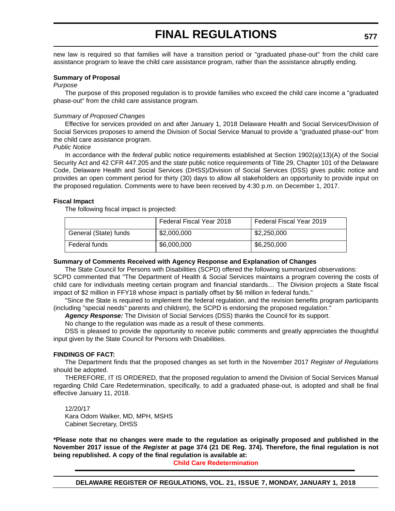new law is required so that families will have a transition period or "graduated phase-out" from the child care assistance program to leave the child care assistance program, rather than the assistance abruptly ending.

#### **Summary of Proposal**

#### *Purpose*

The purpose of this proposed regulation is to provide families who exceed the child care income a "graduated phase-out" from the child care assistance program.

### *Summary of Proposed Changes*

Effective for services provided on and after January 1, 2018 Delaware Health and Social Services/Division of Social Services proposes to amend the Division of Social Service Manual to provide a "graduated phase-out" from the child care assistance program.

*Public Notice*

In accordance with the *federal* public notice requirements established at Section 1902(a)(13)(A) of the Social Security Act and 42 CFR 447.205 and the *state* public notice requirements of Title 29, Chapter 101 of the Delaware Code, Delaware Health and Social Services (DHSS)/Division of Social Services (DSS) gives public notice and provides an open comment period for thirty (30) days to allow all stakeholders an opportunity to provide input on the proposed regulation. Comments were to have been received by 4:30 p.m. on December 1, 2017.

### **Fiscal Impact**

The following fiscal impact is projected:

|                       | Federal Fiscal Year 2018 | Federal Fiscal Year 2019 |
|-----------------------|--------------------------|--------------------------|
| General (State) funds | \$2,000,000              | \$2,250,000              |
| Federal funds         | \$6,000,000              | \$6,250,000              |

## **Summary of Comments Received with Agency Response and Explanation of Changes**

The State Council for Persons with Disabilities (SCPD) offered the following summarized observations:

SCPD commented that "The Department of Health & Social Services maintains a program covering the costs of child care for individuals meeting certain program and financial standards… The Division projects a State fiscal impact of \$2 million in FFY18 whose impact is partially offset by \$6 million in federal funds."

"Since the State is required to implement the federal regulation, and the revision benefits program participants (including "special needs" parents and children), the SCPD is endorsing the proposed regulation."

*Agency Response:* The Division of Social Services (DSS) thanks the Council for its support.

No change to the regulation was made as a result of these comments.

DSS is pleased to provide the opportunity to receive public comments and greatly appreciates the thoughtful input given by the State Council for Persons with Disabilities.

## **FINDINGS OF FACT:**

The Department finds that the proposed changes as set forth in the November 2017 *Register of Regulations* should be adopted.

THEREFORE, IT IS ORDERED, that the proposed regulation to amend the Division of Social Services Manual regarding Child Care Redetermination, specifically, to add a graduated phase-out, is adopted and shall be final effective January 11, 2018.

12/20/17 Kara Odom Walker, MD, MPH, MSHS Cabinet Secretary, DHSS

**\*Please note that no changes were made to the regulation as originally proposed and published in the November 2017 issue of the** *Register* **at page 374 (21 DE Reg. 374). Therefore, the final regulation is not being republished. A copy of the final regulation is available at:**

**[Child Care Redetermination](http://regulations.delaware.gov/register/january2018/final/21 DE Reg 576 01-01-18.htm)**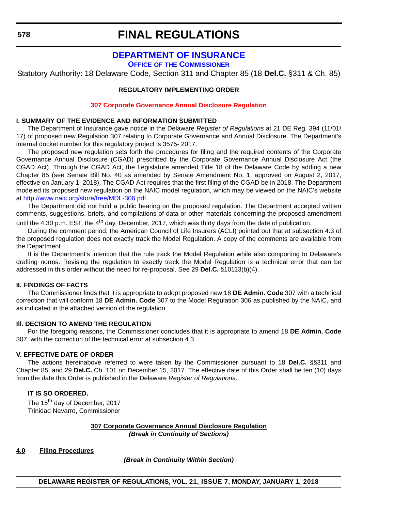## **[DEPARTMENT OF INSURANCE](https://insurance.delaware.gov/)**

**OFFICE OF THE COMMISSIONER**

Statutory Authority: 18 Delaware Code, Section 311 and Chapter 85 (18 **Del.C.** §311 & Ch. 85)

## **REGULATORY IMPLEMENTING ORDER**

#### **[307 Corporate Governance Annual Disclosure Regulation](#page-4-0)**

#### **I. SUMMARY OF THE EVIDENCE AND INFORMATION SUBMITTED**

The Department of Insurance gave notice in the Delaware *Register of Regulations* at 21 DE Reg. 394 (11/01/ 17) of proposed new Regulation 307 relating to Corporate Governance and Annual Disclosure. The Department's internal docket number for this regulatory project is 3575- 2017.

The proposed new regulation sets forth the procedures for filing and the required contents of the Corporate Governance Annual Disclosure (CGAD) prescribed by the Corporate Governance Annual Disclosure Act (the CGAD Act). Through the CGAD Act, the Legislature amended Title 18 of the Delaware Code by adding a new Chapter 85 (see Senate Bill No. 40 as amended by Senate Amendment No. 1, approved on August 2, 2017, effective on January 1, 2018). The CGAD Act requires that the first filing of the CGAD be in 2018. The Department modeled its proposed new regulation on the NAIC model regulation, which may be viewed on the NAIC's website at<http://www.naic.org/store/free/MDL-306.pdf>.

The Department did not hold a public hearing on the proposed regulation. The Department accepted written comments, suggestions, briefs, and compilations of data or other materials concerning the proposed amendment

until the 4:30 p.m. EST, the 4<sup>th</sup> day, December, 2017, which was thirty days from the date of publication.

During the comment period, the American Council of Life Insurers (ACLI) pointed out that at subsection 4.3 of the proposed regulation does not exactly track the Model Regulation. A copy of the comments are available from the Department.

It is the Department's intention that the rule track the Model Regulation while also comporting to Delaware's drafting norms. Revising the regulation to exactly track the Model Regulation is a technical error that can be addressed in this order without the need for re-proposal. See 29 **Del.C.** §10113(b)(4).

#### **II. FINDINGS OF FACTS**

The Commissioner finds that it is appropriate to adopt proposed new 18 **DE Admin. Code** 307 with a technical correction that will conform 18 **DE Admin. Code** 307 to the Model Regulation 306 as published by the NAIC, and as indicated in the attached version of the regulation.

#### **Ill. DECISION TO AMEND THE REGULATION**

For the foregoing reasons, the Commissioner concludes that it is appropriate to amend 18 **DE Admin. Code** 307, with the correction of the technical error at subsection 4.3.

### **V. EFFECTIVE DATE OF ORDER**

The actions hereinabove referred to were taken by the Commissioner pursuant to 18 **Del.C.** §§311 and Chapter 85, and 29 **Del.C.** Ch. 101 on December 15, 2017. The effective date of this Order shall be ten (10) days from the date this Order is published in the Delaware *Register of Regulations*.

## **IT IS SO ORDERED.**

The 15<sup>th</sup> day of December, 2017 Trinidad Navarro, Commissioner

### **307 Corporate Governance Annual Disclosure Regulation** *(Break in Continuity of Sections)*

#### **4.0 Filing Procedures**

*(Break in Continuity Within Section)*

**578**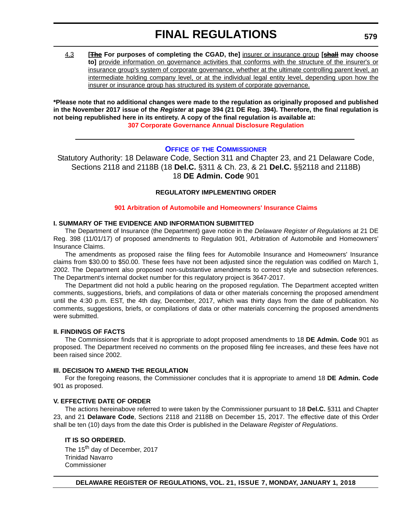4.3 **[The For purposes of completing the CGAD, the]** insurer or insurance group **[shall may choose to]** provide information on governance activities that conforms with the structure of the insurer's or insurance group's system of corporate governance, whether at the ultimate controlling parent level, an intermediate holding company level, or at the individual legal entity level, depending upon how the insurer or insurance group has structured its system of corporate governance.

**\*Please note that no additional changes were made to the regulation as originally proposed and published in the November 2017 issue of the** *Register* **at page 394 (21 DE Reg. 394). Therefore, the final regulation is not being republished here in its entirety. A copy of the final regulation is available at: [307 Corporate Governance Annual Disclosure Regulation](http://regulations.delaware.gov/register/january2018/final/21 DE Reg 578 01-01-18.htm)** 

## **OFFICE OF [THE COMMISSIONER](https://insurance.delaware.gov/)**

Statutory Authority: 18 Delaware Code, Section 311 and Chapter 23, and 21 Delaware Code, Sections 2118 and 2118B (18 **Del.C.** §311 & Ch. 23, & 21 **Del.C.** §§2118 and 2118B) 18 **DE Admin. Code** 901

#### **REGULATORY IMPLEMENTING ORDER**

#### **[901 Arbitration of Automobile and Homeowners' Insurance Claims](#page-4-0)**

### **I. SUMMARY OF THE EVIDENCE AND INFORMATION SUBMITTED**

The Department of Insurance (the Department) gave notice in the *Delaware Register of Regulations* at 21 DE Reg. 398 (11/01/17) of proposed amendments to Regulation 901, Arbitration of Automobile and Homeowners' Insurance Claims.

The amendments as proposed raise the filing fees for Automobile Insurance and Homeowners' Insurance claims from \$30.00 to \$50.00. These fees have not been adjusted since the regulation was codified on March 1, 2002. The Department also proposed non-substantive amendments to correct style and subsection references. The Department's internal docket number for this regulatory project is 3647-2017.

The Department did not hold a public hearing on the proposed regulation. The Department accepted written comments, suggestions, briefs, and compilations of data or other materials concerning the proposed amendment until the 4:30 p.m. EST, the 4th day, December, 2017, which was thirty days from the date of publication. No comments, suggestions, briefs, or compilations of data or other materials concerning the proposed amendments were submitted.

#### **II. FINDINGS OF FACTS**

The Commissioner finds that it is appropriate to adopt proposed amendments to 18 **DE Admin. Code** 901 as proposed. The Department received no comments on the proposed filing fee increases, and these fees have not been raised since 2002.

#### **Ill. DECISION TO AMEND THE REGULATION**

For the foregoing reasons, the Commissioner concludes that it is appropriate to amend 18 **DE Admin. Code** 901 as proposed.

#### **V. EFFECTIVE DATE OF ORDER**

The actions hereinabove referred to were taken by the Commissioner pursuant to 18 **Del.C.** §311 and Chapter 23, and 21 **Delaware Code**, Sections 2118 and 2118B on December 15, 2017. The effective date of this Order shall be ten (10) days from the date this Order is published in the Delaware *Register of Regulations*.

## **IT IS SO ORDERED.**

The 15<sup>th</sup> day of December, 2017 Trinidad Navarro Commissioner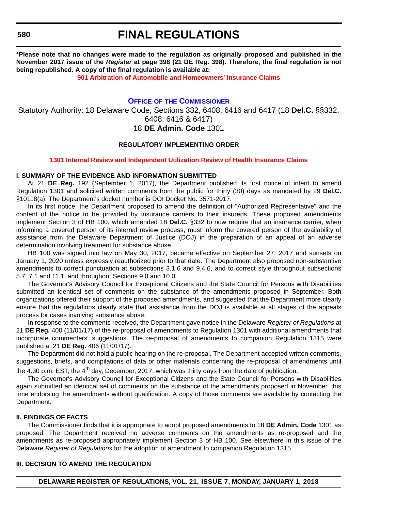**580**

## **FINAL REGULATIONS**

**\*Please note that no changes were made to the regulation as originally proposed and published in the November 2017 issue of the** *Register* **at page 398 (21 DE Reg. 398). Therefore, the final regulation is not being republished. A copy of the final regulation is available at:**

**[901 Arbitration of Automobile and Homeowners' Insurance Claims](http://regulations.delaware.gov/register/january2018/final/21 DE Reg 579 01-01-18.htm)** 

## **OFFICE OF [THE COMMISSIONER](https://insurance.delaware.gov/)**

Statutory Authority: 18 Delaware Code, Sections 332, 6408, 6416 and 6417 (18 **Del.C.** §§332, 6408, 6416 & 6417) 18 **DE Admin. Code** 1301

### **REGULATORY IMPLEMENTING ORDER**

#### **[1301 Internal Review and Independent Utilization Review of Health Insurance Claims](#page-4-0)**

#### **I. SUMMARY OF THE EVIDENCE AND INFORMATION SUBMITTED**

At 21 **DE Reg.** 192 (September 1, 2017), the Department published its first notice of intent to amend Regulation 1301 and solicited written comments from the public for thirty (30) days as mandated by 29 **Del.C.** §10118(a). The Department's docket number is DOI Docket No. 3571-2017.

In its first notice, the Department proposed to amend the definition of "Authorized Representative" and the content of the notice to be provided by insurance carriers to their insureds. These proposed amendments implement Section 3 of HB 100, which amended 18 **Del.C.** §332 to now require that an insurance carrier, when informing a covered person of its internal review process, must inform the covered person of the availability of assistance from the Delaware Department of Justice (DOJ) in the preparation of an appeal of an adverse determination involving treatment for substance abuse.

HB 100 was signed into law on May 30, 2017, became effective on September 27, 2017 and sunsets on January 1, 2020 unless expressly reauthorized prior to that date. The Department also proposed non-substantive amendments to correct punctuation at subsections 3.1.6 and 9.4.6, and to correct style throughout subsections 5.7, 7.1 and 11.1, and throughout Sections 9.0 and 10.0.

The Governor's Advisory Council for Exceptional Citizens and the State Council for Persons with Disabilities submitted an identical set of comments on the substance of the amendments proposed in September. Both organizations offered their support of the proposed amendments, and suggested that the Department more clearly ensure that the regulations clearly state that assistance from the DOJ is available at all stages of the appeals process for cases involving substance abuse.

In response to the comments received, the Department gave notice in the Delaware *Register of Regulations* at 21 **DE Reg.** 400 (11/01/17) of the re-proposal of amendments to Regulation 1301 with additional amendments that incorporate commenters' suggestions. The re-proposal of amendments to companion Regulation 1315 were published at 21 **DE Reg.** 406 (11/01/17).

The Department did not hold a public hearing on the re-proposal. The Department accepted written comments, suggestions, briefs, and compilations of data or other materials concerning the re-proposal of amendments until the 4:30 p.m. EST, the  $4<sup>th</sup>$  day, December, 2017, which was thirty days from the date of publication.

The Governor's Advisory Council for Exceptional Citizens and the State Council for Persons with Disabilities again submitted an identical set of comments on the substance of the amendments proposed in November, this time endorsing the amendments without qualification. A copy of those comments are available by contacting the Department.

#### **II. FINDINGS OF FACTS**

The Commissioner finds that it is appropriate to adopt proposed amendments to 18 **DE Admin. Code** 1301 as proposed. The Department received no adverse comments on the amendments as re-proposed and the amendments as re-proposed appropriately implement Section 3 of HB 100. See elsewhere in this issue of the Delaware *Register of Regulations* for the adoption of amendment to companion Regulation 1315.

#### **III. DECISION TO AMEND THE REGULATION**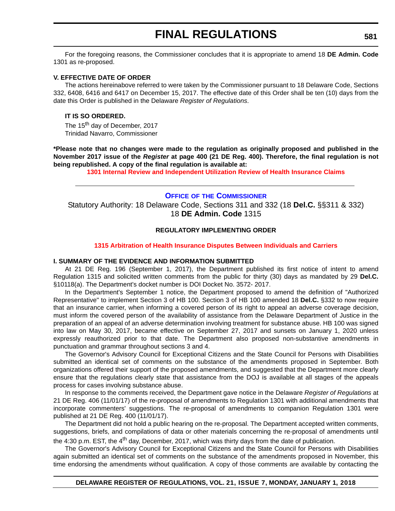For the foregoing reasons, the Commissioner concludes that it is appropriate to amend 18 **DE Admin. Code** 1301 as re-proposed.

#### **V. EFFECTIVE DATE OF ORDER**

The actions hereinabove referred to were taken by the Commissioner pursuant to 18 Delaware Code, Sections 332, 6408, 6416 and 6417 on December 15, 2017. The effective date of this Order shall be ten (10) days from the date this Order is published in the Delaware *Register of Regulations*.

#### **IT IS SO ORDERED.**

The 15<sup>th</sup> day of December, 2017 Trinidad Navarro, Commissioner

**\*Please note that no changes were made to the regulation as originally proposed and published in the November 2017 issue of the** *Register* **at page 400 (21 DE Reg. 400). Therefore, the final regulation is not being republished. A copy of the final regulation is available at:**

**[1301 Internal Review and Independent Utilization Review of Health Insurance Claims](http://regulations.delaware.gov/register/january2018/final/21 DE Reg 580 01-01-18.htm)** 

#### **OFFICE OF [THE COMMISSIONER](https://insurance.delaware.gov/)**

Statutory Authority: 18 Delaware Code, Sections 311 and 332 (18 **Del.C.** §§311 & 332) 18 **DE Admin. Code** 1315

#### **REGULATORY IMPLEMENTING ORDER**

#### **[1315 Arbitration of Health Insurance Disputes Between Individuals and Carriers](#page-4-0)**

#### **I. SUMMARY OF THE EVIDENCE AND INFORMATION SUBMITTED**

At 21 DE Reg. 196 (September 1, 2017), the Department published its first notice of intent to amend Regulation 1315 and solicited written comments from the public for thirty (30) days as mandated by 29 **Del.C.** §10118(a). The Department's docket number is DOI Docket No. 3572- 2017.

In the Department's September 1 notice, the Department proposed to amend the definition of "Authorized Representative" to implement Section 3 of HB 100. Section 3 of HB 100 amended 18 **Del.C.** §332 to now require that an insurance carrier, when informing a covered person of its right to appeal an adverse coverage decision, must inform the covered person of the availability of assistance from the Delaware Department of Justice in the preparation of an appeal of an adverse determination involving treatment for substance abuse. HB 100 was signed into law on May 30, 2017, became effective on September 27, 2017 and sunsets on January 1, 2020 unless expressly reauthorized prior to that date. The Department also proposed non-substantive amendments in punctuation and grammar throughout sections 3 and 4.

The Governor's Advisory Council for Exceptional Citizens and the State Council for Persons with Disabilities submitted an identical set of comments on the substance of the amendments proposed in September. Both organizations offered their support of the proposed amendments, and suggested that the Department more clearly ensure that the regulations clearly state that assistance from the DOJ is available at all stages of the appeals process for cases involving substance abuse.

In response to the comments received, the Department gave notice in the Delaware *Register of Regulations* at 21 DE Reg. 406 (11/01/17) of the re-proposal of amendments to Regulation 1301 with additional amendments that incorporate commenters' suggestions. The re-proposal of amendments to companion Regulation 1301 were published at 21 DE Reg. 400 (11/01/17).

The Department did not hold a public hearing on the re-proposal. The Department accepted written comments, suggestions, briefs, and compilations of data or other materials concerning the re-proposal of amendments until the 4:30 p.m. EST, the  $4<sup>th</sup>$  day, December, 2017, which was thirty days from the date of publication.

The Governor's Advisory Council for Exceptional Citizens and the State Council for Persons with Disabilities again submitted an identical set of comments on the substance of the amendments proposed in November, this time endorsing the amendments without qualification. A copy of those comments are available by contacting the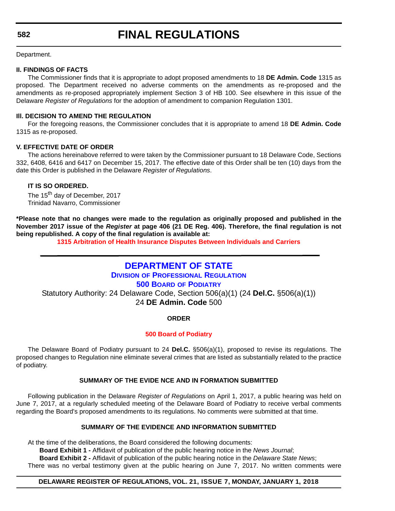# **FINAL REGULATIONS**

Department.

## **II. FINDINGS OF FACTS**

The Commissioner finds that it is appropriate to adopt proposed amendments to 18 **DE Admin. Code** 1315 as proposed. The Department received no adverse comments on the amendments as re-proposed and the amendments as re-proposed appropriately implement Section 3 of HB 100. See elsewhere in this issue of the Delaware *Register of Regulations* for the adoption of amendment to companion Regulation 1301.

## **Ill. DECISION TO AMEND THE REGULATION**

For the foregoing reasons, the Commissioner concludes that it is appropriate to amend 18 **DE Admin. Code** 1315 as re-proposed.

## **V. EFFECTIVE DATE OF ORDER**

The actions hereinabove referred to were taken by the Commissioner pursuant to 18 Delaware Code, Sections 332, 6408, 6416 and 6417 on December 15, 2017. The effective date of this Order shall be ten (10) days from the date this Order is published in the Delaware *Register of Regulations*.

## **IT IS SO ORDERED.**

The 15<sup>th</sup> day of December, 2017 Trinidad Navarro, Commissioner

**\*Please note that no changes were made to the regulation as originally proposed and published in the November 2017 issue of the** *Register* **at page 406 (21 DE Reg. 406). Therefore, the final regulation is not being republished. A copy of the final regulation is available at:**

**[1315 Arbitration of Health Insurance Disputes Between Individuals and Carriers](http://regulations.delaware.gov/register/january2018/final/21 DE Reg 581 01-01-18.htm)** 

## **[DEPARTMENT OF STATE](https://dpr.delaware.gov/boards/podiatry/)**

**DIVISION OF PROFESSIONAL REGULATION**

**500 BOARD OF PODIATRY**

Statutory Authority: 24 Delaware Code, Section 506(a)(1) (24 **Del.C.** §506(a)(1)) 24 **DE Admin. Code** 500

## **ORDER**

## **[500 Board of Podiatry](#page-4-0)**

The Delaware Board of Podiatry pursuant to 24 **Del.C.** §506(a)(1), proposed to revise its regulations. The proposed changes to Regulation nine eliminate several crimes that are listed as substantially related to the practice of podiatry.

## **SUMMARY OF THE EVIDE NCE AND IN FORMATION SUBMITTED**

Following publication in the Delaware *Register of Regulations* on April 1, 2017, a public hearing was held on June 7, 2017, at a regularly scheduled meeting of the Delaware Board of Podiatry to receive verbal comments regarding the Board's proposed amendments to its regulations. No comments were submitted at that time.

## **SUMMARY OF THE EVIDENCE AND INFORMATION SUBMITTED**

At the time of the deliberations, the Board considered the following documents:

**Board Exhibit 1 -** Affidavit of publication of the public hearing notice in the *News Journal*;

**Board Exhibit 2 -** Affidavit of publication of the public hearing notice in the *Delaware State News*; There was no verbal testimony given at the public hearing on June 7, 2017. No written comments were

## **DELAWARE REGISTER OF REGULATIONS, VOL. 21, ISSUE 7, MONDAY, JANUARY 1, 2018**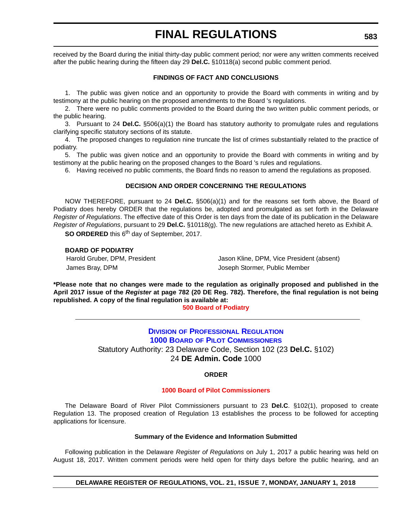# **FINAL REGULATIONS**

received by the Board during the initial thirty-day public comment period; nor were any written comments received after the public hearing during the fifteen day 29 **Del.C.** §10118(a) second public comment period.

### **FINDINGS OF FACT AND CONCLUSIONS**

1. The public was given notice and an opportunity to provide the Board with comments in writing and by testimony at the public hearing on the proposed amendments to the Board 's regulations.

2. There were no public comments provided to the Board during the two written public comment periods, or the public hearing.

3. Pursuant to 24 **Del.C.** §506(a)(1) the Board has statutory authority to promulgate rules and regulations clarifying specific statutory sections of its statute.

4. The proposed changes to regulation nine truncate the list of crimes substantially related to the practice of podiatry.

5. The public was given notice and an opportunity to provide the Board with comments in writing and by testimony at the public hearing on the proposed changes to the Board 's rules and regulations.

6. Having received no public comments, the Board finds no reason to amend the regulations as proposed.

### **DECISION AND ORDER CONCERNING THE REGULATIONS**

NOW THEREFORE, pursuant to 24 **Del.C.** §506(a)(1) and for the reasons set forth above, the Board of Podiatry does hereby ORDER that the regulations be, adopted and promulgated as set forth in the Delaware *Register of Regulations*. The effective date of this Order is ten days from the date of its publication in the Delaware *Register of Regulations*, pursuant to 29 **Del.C.** §10118(g). The new regulations are attached hereto as Exhibit A.

**SO ORDERED** this 6<sup>th</sup> day of September, 2017.

**BOARD OF PODIATRY**

Harold Gruber, DPM, President **Internal Cluber, DPM, Vice President (absent)** James Bray, DPM Joseph Stormer, Public Member

**\*Please note that no changes were made to the regulation as originally proposed and published in the April 2017 issue of the** *Register* **at page 782 (20 DE Reg. 782). Therefore, the final regulation is not being republished. A copy of the final regulation is available at:**

**[500 Board of Podiatry](http://regulations.delaware.gov/register/january2018/final/21 DE Reg 582 01-01-18.htm)** 

## **DIVISION [OF PROFESSIONAL REGULATION](https://dpr.delaware.gov/boards/riverpilots/) 1000 BOARD OF PILOT COMMISSIONERS** Statutory Authority: 23 Delaware Code, Section 102 (23 **Del.C.** §102)

24 **DE Admin. Code** 1000

## **ORDER**

#### **[1000 Board of Pilot Commissioners](#page-4-0)**

The Delaware Board of River Pilot Commissioners pursuant to 23 **Del.C**. §102(1), proposed to create Regulation 13. The proposed creation of Regulation 13 establishes the process to be followed for accepting applications for licensure.

#### **Summary of the Evidence and Information Submitted**

Following publication in the Delaware *Register of Regulations* on July 1, 2017 a public hearing was held on August 18, 2017. Written comment periods were held open for thirty days before the public hearing, and an

**DELAWARE REGISTER OF REGULATIONS, VOL. 21, ISSUE 7, MONDAY, JANUARY 1, 2018**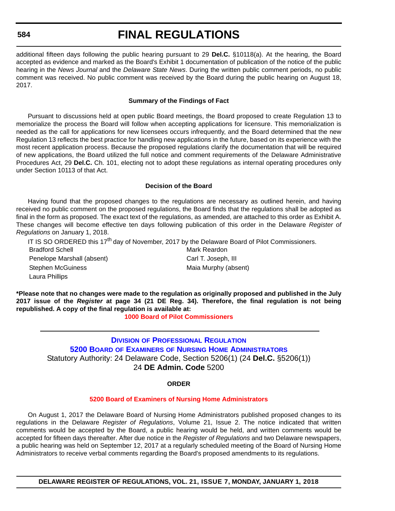#### **584**

# **FINAL REGULATIONS**

additional fifteen days following the public hearing pursuant to 29 **Del.C.** §10118(a). At the hearing, the Board accepted as evidence and marked as the Board's Exhibit 1 documentation of publication of the notice of the public hearing in the *News Journal* and the *Delaware State News*. During the written public comment periods, no public comment was received. No public comment was received by the Board during the public hearing on August 18, 2017.

#### **Summary of the Findings of Fact**

Pursuant to discussions held at open public Board meetings, the Board proposed to create Regulation 13 to memorialize the process the Board will follow when accepting applications for licensure. This memorialization is needed as the call for applications for new licensees occurs infrequently, and the Board determined that the new Regulation 13 reflects the best practice for handling new applications in the future, based on its experience with the most recent application process. Because the proposed regulations clarify the documentation that will be required of new applications, the Board utilized the full notice and comment requirements of the Delaware Administrative Procedures Act, 29 **Del.C.** Ch. 101, electing not to adopt these regulations as internal operating procedures only under Section 10113 of that Act.

#### **Decision of the Board**

Having found that the proposed changes to the regulations are necessary as outlined herein, and having received no public comment on the proposed regulations, the Board finds that the regulations shall be adopted as final in the form as proposed. The exact text of the regulations, as amended, are attached to this order as Exhibit A. These changes will become effective ten days following publication of this order in the Delaware *Register of Regulations* on January 1, 2018.

IT IS SO ORDERED this 17<sup>th</sup> day of November, 2017 by the Delaware Board of Pilot Commissioners.

**Bradford Schell Mark Reardon** Penelope Marshall (absent) Carl T. Joseph, III Stephen McGuiness Maia Murphy (absent) Laura Phillips

**\*Please note that no changes were made to the regulation as originally proposed and published in the July 2017 issue of the** *Register* **at page 34 (21 DE Reg. 34). Therefore, the final regulation is not being republished. A copy of the final regulation is available at:**

**[1000 Board of Pilot Commissioners](http://regulations.delaware.gov/register/january2018/final/21 DE Reg 583 01-01-18.htm)** 

## **DIVISION OF PROFESSIONAL REGULATION 5200 BOARD OF EXAMINERS [OF NURSING HOME ADMINISTRATORS](https://dpr.delaware.gov/boards/nursinghomeadmin/)** Statutory Authority: 24 Delaware Code, Section 5206(1) (24 **Del.C.** §5206(1)) 24 **DE Admin. Code** 5200

#### **ORDER**

#### **[5200 Board of Examiners of Nursing Home Administrators](#page-4-0)**

On August 1, 2017 the Delaware Board of Nursing Home Administrators published proposed changes to its regulations in the Delaware *Register of Regulations*, Volume 21, Issue 2. The notice indicated that written comments would be accepted by the Board, a public hearing would be held, and written comments would be accepted for fifteen days thereafter. After due notice in the *Register of Regulations* and two Delaware newspapers, a public hearing was held on September 12, 2017 at a regularly scheduled meeting of the Board of Nursing Home Administrators to receive verbal comments regarding the Board's proposed amendments to its regulations.

**DELAWARE REGISTER OF REGULATIONS, VOL. 21, ISSUE 7, MONDAY, JANUARY 1, 2018**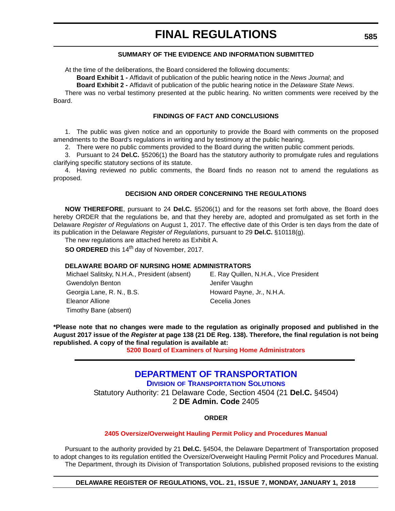## **SUMMARY OF THE EVIDENCE AND INFORMATION SUBMITTED**

At the time of the deliberations, the Board considered the following documents:

**Board Exhibit 1 -** Affidavit of publication of the public hearing notice in the *News Journal*; and

**Board Exhibit 2 -** Affidavit of publication of the public hearing notice in the *Delaware State News*.

There was no verbal testimony presented at the public hearing. No written comments were received by the Board.

#### **FINDINGS OF FACT AND CONCLUSIONS**

1. The public was given notice and an opportunity to provide the Board with comments on the proposed amendments to the Board's regulations in writing and by testimony at the public hearing.

2. There were no public comments provided to the Board during the written public comment periods.

3. Pursuant to 24 **Del.C.** §5206(1) the Board has the statutory authority to promulgate rules and regulations clarifying specific statutory sections of its statute.

4. Having reviewed no public comments, the Board finds no reason not to amend the regulations as proposed.

## **DECISION AND ORDER CONCERNING THE REGULATIONS**

**NOW THEREFORE**, pursuant to 24 **Del.C.** §5206(1) and for the reasons set forth above, the Board does hereby ORDER that the regulations be, and that they hereby are, adopted and promulgated as set forth in the Delaware *Register of Regulations* on August 1, 2017. The effective date of this Order is ten days from the date of its publication in the Delaware *Register of Regulations*, pursuant to 29 **Del.C.** §10118(g).

The new regulations are attached hereto as Exhibit A.

**SO ORDERED** this 14<sup>th</sup> day of November, 2017.

## **DELAWARE BOARD OF NURSING HOME ADMINISTRATORS**

Michael Salitsky, N.H.A., President (absent) E. Ray Quillen, N.H.A., Vice President Gwendolyn Benton **Gwendolyn Benton** Jenifer Vaughn Georgia Lane, R. N., B.S. **Howard Payne, Jr., N.H.A.** Eleanor Allione Cecelia Jones Timothy Bane (absent)

**\*Please note that no changes were made to the regulation as originally proposed and published in the August 2017 issue of the** *Register* **at page 138 (21 DE Reg. 138). Therefore, the final regulation is not being republished. A copy of the final regulation is available at:**

**[5200 Board of Examiners of Nursing Home Administrators](http://regulations.delaware.gov/register/january2018/final/21 DE Reg 584 01-01-18.htm)** 

## **[DEPARTMENT OF TRANSPORTATION](https://www.deldot.gov/index.shtml)**

**DIVISION OF TRANSPORTATION SOLUTIONS** Statutory Authority: 21 Delaware Code, Section 4504 (21 **Del.C.** §4504) 2 **DE Admin. Code** 2405

## **ORDER**

## **[2405 Oversize/Overweight Hauling Permit Policy and Procedures Manual](#page-4-0)**

Pursuant to the authority provided by 21 **Del.C.** §4504, the Delaware Department of Transportation proposed to adopt changes to its regulation entitled the Oversize/Overweight Hauling Permit Policy and Procedures Manual. The Department, through its Division of Transportation Solutions, published proposed revisions to the existing

**DELAWARE REGISTER OF REGULATIONS, VOL. 21, ISSUE 7, MONDAY, JANUARY 1, 2018**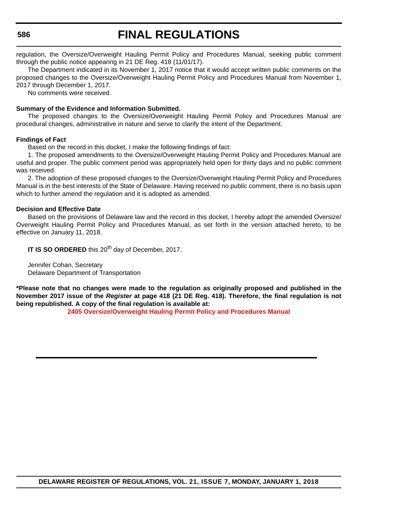**586**

# **FINAL REGULATIONS**

regulation, the Oversize/Overweight Hauling Permit Policy and Procedures Manual, seeking public comment through the public notice appearing in 21 DE Reg. 418 (11/01/17).

The Department indicated in its November 1, 2017 notice that it would accept written public comments on the proposed changes to the Oversize/Overweight Hauling Permit Policy and Procedures Manual from November 1, 2017 through December 1, 2017.

No comments were received.

## **Summary of the Evidence and Information Submitted.**

The proposed changes to the Oversize/Overweight Hauling Permit Policy and Procedures Manual are procedural changes, administrative in nature and serve to clarify the intent of the Department.

## **Findings of Fact**

Based on the record in this docket, I make the following findings of fact:

1. The proposed amendments to the Oversize/Overweight Hauling Permit Policy and Procedures Manual are useful and proper. The public comment period was appropriately held open for thirty days and no public comment was received.

2. The adoption of these proposed changes to the Oversize/Overweight Hauling Permit Policy and Procedures Manual is in the best interests of the State of Delaware. Having received no public comment, there is no basis upon which to further amend the regulation and it is adopted as amended.

## **Decision and Effective Date**

Based on the provisions of Delaware law and the record in this docket, I hereby adopt the amended Oversize/ Overweight Hauling Permit Policy and Procedures Manual, as set forth in the version attached hereto, to be effective on January 11, 2018.

**IT IS SO ORDERED** this 20<sup>th</sup> day of December, 2017.

Jennifer Cohan, Secretary Delaware Department of Transportation

**\*Please note that no changes were made to the regulation as originally proposed and published in the November 2017 issue of the** *Register* **at page 418 (21 DE Reg. 418). Therefore, the final regulation is not being republished. A copy of the final regulation is available at:**

**[2405 Oversize/Overweight Hauling Permit Policy and Procedures Manual](http://regulations.delaware.gov/register/january2018/final/21 DE Reg 585 01-01-18.htm)**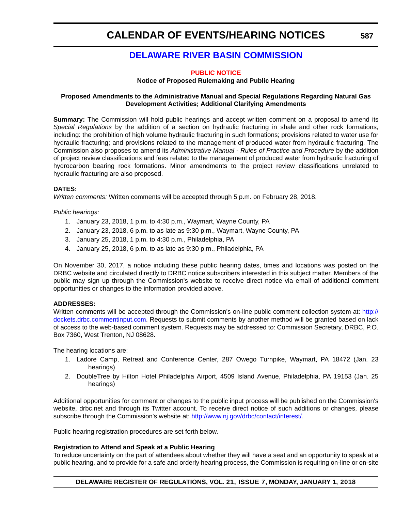## **[DELAWARE RIVER BASIN COMMISSION](http://www.state.nj.us/drbc/)**

### **[PUBLIC NOTICE](#page-4-0)**

#### **Notice of Proposed Rulemaking and Public Hearing**

### **Proposed Amendments to the Administrative Manual and Special Regulations Regarding Natural Gas Development Activities; Additional Clarifying Amendments**

**Summary:** The Commission will hold public hearings and accept written comment on a proposal to amend its *Special Regulations* by the addition of a section on hydraulic fracturing in shale and other rock formations, including: the prohibition of high volume hydraulic fracturing in such formations; provisions related to water use for hydraulic fracturing; and provisions related to the management of produced water from hydraulic fracturing. The Commission also proposes to amend its *Administrative Manual - Rules of Practice and Procedure* by the addition of project review classifications and fees related to the management of produced water from hydraulic fracturing of hydrocarbon bearing rock formations. Minor amendments to the project review classifications unrelated to hydraulic fracturing are also proposed.

### **DATES:**

*Written comments:* Written comments will be accepted through 5 p.m. on February 28, 2018.

*Public hearings:*

- 1. January 23, 2018, 1 p.m. to 4:30 p.m., Waymart, Wayne County, PA
- 2. January 23, 2018, 6 p.m. to as late as 9:30 p.m., Waymart, Wayne County, PA
- 3. January 25, 2018, 1 p.m. to 4:30 p.m., Philadelphia, PA
- 4. January 25, 2018, 6 p.m. to as late as 9:30 p.m., Philadelphia, PA

On November 30, 2017, a notice including these public hearing dates, times and locations was posted on the DRBC website and circulated directly to DRBC notice subscribers interested in this subject matter. Members of the public may sign up through the Commission's website to receive direct notice via email of additional comment opportunities or changes to the information provided above.

## **ADDRESSES:**

Written comments will be accepted through the Commission's on-line public comment collection system at: [http://](http://dockets.drbc.commentinput.com) [dockets.drbc.commentinput.com](http://dockets.drbc.commentinput.com). Requests to submit comments by another method will be granted based on lack of access to the web-based comment system. Requests may be addressed to: Commission Secretary, DRBC, P.O. Box 7360, West Trenton, NJ 08628.

The hearing locations are:

- 1. Ladore Camp, Retreat and Conference Center, 287 Owego Turnpike, Waymart, PA 18472 (Jan. 23 hearings)
- 2. DoubleTree by Hilton Hotel Philadelphia Airport, 4509 Island Avenue, Philadelphia, PA 19153 (Jan. 25 hearings)

Additional opportunities for comment or changes to the public input process will be published on the Commission's website, drbc.net and through its Twitter account. To receive direct notice of such additions or changes, please subscribe through the Commission's website at: [http://www.nj.gov/drbc/contact/interest/.](http://www.nj.gov/drbc/contact/interest/)

Public hearing registration procedures are set forth below.

#### **Registration to Attend and Speak at a Public Hearing**

To reduce uncertainty on the part of attendees about whether they will have a seat and an opportunity to speak at a public hearing, and to provide for a safe and orderly hearing process, the Commission is requiring on-line or on-site

**DELAWARE REGISTER OF REGULATIONS, VOL. 21, ISSUE 7, MONDAY, JANUARY 1, 2018**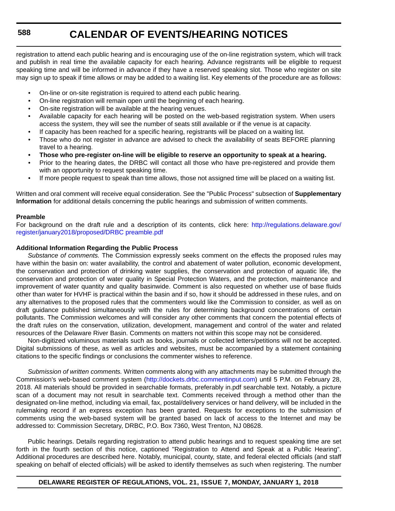registration to attend each public hearing and is encouraging use of the on-line registration system, which will track and publish in real time the available capacity for each hearing. Advance registrants will be eligible to request speaking time and will be informed in advance if they have a reserved speaking slot. Those who register on site may sign up to speak if time allows or may be added to a waiting list. Key elements of the procedure are as follows:

- On-line or on-site registration is required to attend each public hearing.
- On-line registration will remain open until the beginning of each hearing.
- On-site registration will be available at the hearing venues.
- Available capacity for each hearing will be posted on the web-based registration system. When users access the system, they will see the number of seats still available or if the venue is at capacity.
- If capacity has been reached for a specific hearing, registrants will be placed on a waiting list.
- Those who do not register in advance are advised to check the availability of seats BEFORE planning travel to a hearing.
- **Those who pre-register on-line will be eligible to reserve an opportunity to speak at a hearing.**
- Prior to the hearing dates, the DRBC will contact all those who have pre-registered and provide them with an opportunity to request speaking time.
- If more people request to speak than time allows, those not assigned time will be placed on a waiting list.

Written and oral comment will receive equal consideration. See the "Public Process" subsection of **Supplementary Information** for additional details concerning the public hearings and submission of written comments.

#### **Preamble**

For background on the draft rule and a description of its contents, click here: [http://regulations.delaware.gov/](http://regulations.delaware.gov/register/january2018/proposed/DRBC preamble.pdf) [register/january2018/proposed/DRBC preamble.pdf](http://regulations.delaware.gov/register/january2018/proposed/DRBC preamble.pdf)

### **Additional Information Regarding the Public Process**

*Substance of comments.* The Commission expressly seeks comment on the effects the proposed rules may have within the basin on: water availability, the control and abatement of water pollution, economic development, the conservation and protection of drinking water supplies, the conservation and protection of aquatic life, the conservation and protection of water quality in Special Protection Waters, and the protection, maintenance and improvement of water quantity and quality basinwide. Comment is also requested on whether use of base fluids other than water for HVHF is practical within the basin and if so, how it should be addressed in these rules, and on any alternatives to the proposed rules that the commenters would like the Commission to consider, as well as on draft guidance published simultaneously with the rules for determining background concentrations of certain pollutants. The Commission welcomes and will consider any other comments that concern the potential effects of the draft rules on the conservation, utilization, development, management and control of the water and related resources of the Delaware River Basin. Comments on matters not within this scope may not be considered.

Non-digitized voluminous materials such as books, journals or collected letters/petitions will not be accepted. Digital submissions of these, as well as articles and websites, must be accompanied by a statement containing citations to the specific findings or conclusions the commenter wishes to reference.

*Submission of written comments.* Written comments along with any attachments may be submitted through the Commission's web-based comment system ([http://dockets.drbc.commentinput.com\)](http://dockets.drbc.commentinput.com) until 5 P.M. on February 28, 2018. All materials should be provided in searchable formats, preferably in.pdf searchable text. Notably, a picture scan of a document may not result in searchable text. Comments received through a method other than the designated on-line method, including via email, fax, postal/delivery services or hand delivery, will be included in the rulemaking record if an express exception has been granted. Requests for exceptions to the submission of comments using the web-based system will be granted based on lack of access to the Internet and may be addressed to: Commission Secretary, DRBC, P.O. Box 7360, West Trenton, NJ 08628.

Public hearings. Details regarding registration to attend public hearings and to request speaking time are set forth in the fourth section of this notice, captioned "Registration to Attend and Speak at a Public Hearing". Additional procedures are described here. Notably, municipal, county, state, and federal elected officials (and staff speaking on behalf of elected officials) will be asked to identify themselves as such when registering. The number

## **DELAWARE REGISTER OF REGULATIONS, VOL. 21, ISSUE 7, MONDAY, JANUARY 1, 2018**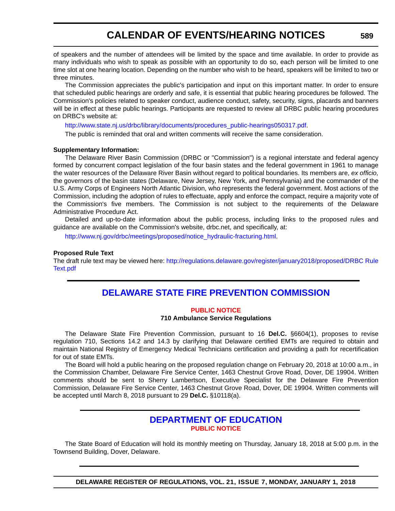of speakers and the number of attendees will be limited by the space and time available. In order to provide as many individuals who wish to speak as possible with an opportunity to do so, each person will be limited to one time slot at one hearing location. Depending on the number who wish to be heard, speakers will be limited to two or three minutes.

The Commission appreciates the public's participation and input on this important matter. In order to ensure that scheduled public hearings are orderly and safe, it is essential that public hearing procedures be followed. The Commission's policies related to speaker conduct, audience conduct, safety, security, signs, placards and banners will be in effect at these public hearings. Participants are requested to review all DRBC public hearing procedures on DRBC's website at:

[http://www.state.nj.us/drbc/library/documents/procedures\\_public-hearings050317.pdf.](http://www.state.nj.us/drbc/library/documents/procedures_public-hearings050317.pdf)

The public is reminded that oral and written comments will receive the same consideration.

#### **Supplementary Information:**

The Delaware River Basin Commission (DRBC or "Commission") is a regional interstate and federal agency formed by concurrent compact legislation of the four basin states and the federal government in 1961 to manage the water resources of the Delaware River Basin without regard to political boundaries. Its members are, *ex officio,* the governors of the basin states (Delaware, New Jersey, New York, and Pennsylvania) and the commander of the U.S. Army Corps of Engineers North Atlantic Division, who represents the federal government. Most actions of the Commission, including the adoption of rules to effectuate, apply and enforce the compact, require a majority vote of the Commission's five members. The Commission is not subject to the requirements of the Delaware Administrative Procedure Act.

Detailed and up-to-date information about the public process, including links to the proposed rules and guidance are available on the Commission's website, drbc.net, and specifically, at:

[http://www.nj.gov/drbc/meetings/proposed/notice\\_hydraulic-fracturing.html.](http://www.nj.gov/drbc/meetings/proposed/notice_hydraulic-fracturing.html)

#### **Proposed Rule Text**

The draft rule text may be viewed here: [http://regulations.delaware.gov/register/january2018/proposed/DRBC Rule](http://regulations.delaware.gov/register/january2018/proposed/DRBC Rule Text.pdf) [Text.pdf](http://regulations.delaware.gov/register/january2018/proposed/DRBC Rule Text.pdf)

## **[DELAWARE STATE FIRE PREVENTION COMMISSION](https://statefirecommission.delaware.gov/)**

#### **[PUBLIC NOTICE](#page-4-0)**

#### **710 Ambulance Service Regulations**

The Delaware State Fire Prevention Commission, pursuant to 16 **Del.C.** §6604(1), proposes to revise regulation 710, Sections 14.2 and 14.3 by clarifying that Delaware certified EMTs are required to obtain and maintain National Registry of Emergency Medical Technicians certification and providing a path for recertification for out of state EMTs.

The Board will hold a public hearing on the proposed regulation change on February 20, 2018 at 10:00 a.m., in the Commission Chamber, Delaware Fire Service Center, 1463 Chestnut Grove Road, Dover, DE 19904. Written comments should be sent to Sherry Lambertson, Executive Specialist for the Delaware Fire Prevention Commission, Delaware Fire Service Center, 1463 Chestnut Grove Road, Dover, DE 19904. Written comments will be accepted until March 8, 2018 pursuant to 29 **Del.C.** §10118(a).

## **[DEPARTMENT OF EDUCATION](https://www.doe.k12.de.us/) [PUBLIC NOTICE](#page-4-0)**

The State Board of Education will hold its monthly meeting on Thursday, January 18, 2018 at 5:00 p.m. in the Townsend Building, Dover, Delaware.

**DELAWARE REGISTER OF REGULATIONS, VOL. 21, ISSUE 7, MONDAY, JANUARY 1, 2018**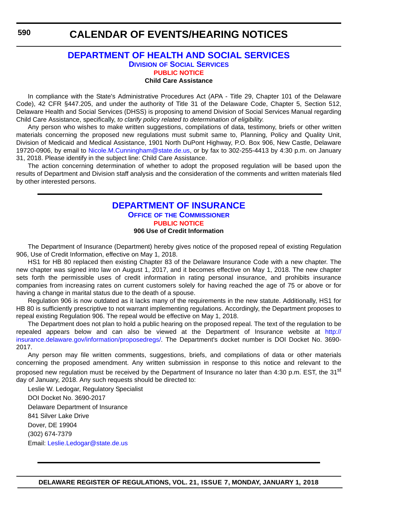## **[DEPARTMENT OF HEALTH AND SOCIAL SERVICES](http://www.dhss.delaware.gov/dhss/dss/) DIVISION OF SOCIAL SERVICES [PUBLIC NOTICE](#page-4-0) Child Care Assistance**

In compliance with the State's Administrative Procedures Act (APA - Title 29, Chapter 101 of the Delaware Code), 42 CFR §447.205, and under the authority of Title 31 of the Delaware Code, Chapter 5, Section 512, Delaware Health and Social Services (DHSS) is proposing to amend Division of Social Services Manual regarding Child Care Assistance, specifically, *to clarify policy related to determination of eligibility*.

Any person who wishes to make written suggestions, compilations of data, testimony, briefs or other written materials concerning the proposed new regulations must submit same to, Planning, Policy and Quality Unit, Division of Medicaid and Medical Assistance, 1901 North DuPont Highway, P.O. Box 906, New Castle, Delaware 19720-0906, by email to [Nicole.M.Cunningham@state.de.us](mailto:Nicole.M.Cunningham@state.de.us), or by fax to 302-255-4413 by 4:30 p.m. on January 31, 2018. Please identify in the subject line: Child Care Assistance.

The action concerning determination of whether to adopt the proposed regulation will be based upon the results of Department and Division staff analysis and the consideration of the comments and written materials filed by other interested persons.

## **[DEPARTMENT OF INSURANCE](https://insurance.delaware.gov/) OFFICE OF THE COMMISSIONER [PUBLIC NOTICE](#page-4-0)**

## **906 Use of Credit Information**

The Department of Insurance (Department) hereby gives notice of the proposed repeal of existing Regulation 906, Use of Credit Information, effective on May 1, 2018.

HS1 for HB 80 replaced then existing Chapter 83 of the Delaware Insurance Code with a new chapter. The new chapter was signed into law on August 1, 2017, and it becomes effective on May 1, 2018. The new chapter sets forth the permissible uses of credit information in rating personal insurance, and prohibits insurance companies from increasing rates on current customers solely for having reached the age of 75 or above or for having a change in marital status due to the death of a spouse.

Regulation 906 is now outdated as it lacks many of the requirements in the new statute. Additionally, HS1 for HB 80 is sufficiently prescriptive to not warrant implementing regulations. Accordingly, the Department proposes to repeal existing Regulation 906. The repeal would be effective on May 1, 2018.

The Department does not plan to hold a public hearing on the proposed repeal. The text of the regulation to be repealed appears below and can also be viewed at the Department of Insurance website at [http://](http://insurance.delaware.gov/information/proposedregs/) [insurance.delaware.gov/information/proposedregs/.](http://insurance.delaware.gov/information/proposedregs/) The Department's docket number is DOI Docket No. 3690- 2017.

Any person may file written comments, suggestions, briefs, and compilations of data or other materials concerning the proposed amendment. Any written submission in response to this notice and relevant to the proposed new regulation must be received by the Department of Insurance no later than 4:30 p.m. EST, the 31<sup>st</sup> day of January, 2018. Any such requests should be directed to:

Leslie W. Ledogar, Regulatory Specialist

DOI Docket No. 3690-2017 Delaware Department of Insurance 841 Silver Lake Drive Dover, DE 19904 (302) 674-7379 Email: [Leslie.Ledogar@state.de.us](mailto:Leslie.Ledogar@state.de.us)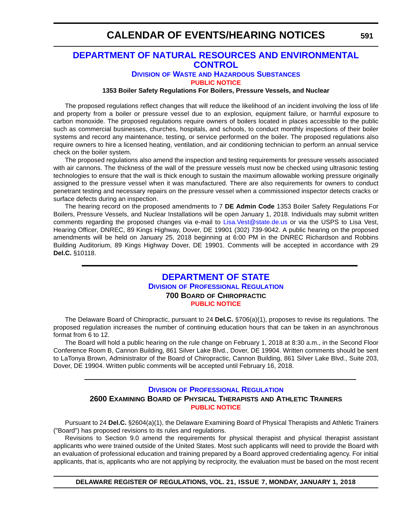## **[DEPARTMENT OF NATURAL RESOURCES AND ENVIRONMENTAL](http://www.dnrec.delaware.gov/dwhs/Pages/default.aspx)  CONTROL**

## **DIVISION OF WASTE AND HAZARDOUS SUBSTANCES**

**[PUBLIC NOTICE](#page-4-0)**

### **1353 Boiler Safety Regulations For Boilers, Pressure Vessels, and Nuclear**

The proposed regulations reflect changes that will reduce the likelihood of an incident involving the loss of life and property from a boiler or pressure vessel due to an explosion, equipment failure, or harmful exposure to carbon monoxide. The proposed regulations require owners of boilers located in places accessible to the public such as commercial businesses, churches, hospitals, and schools, to conduct monthly inspections of their boiler systems and record any maintenance, testing, or service performed on the boiler. The proposed regulations also require owners to hire a licensed heating, ventilation, and air conditioning technician to perform an annual service check on the boiler system.

The proposed regulations also amend the inspection and testing requirements for pressure vessels associated with air cannons. The thickness of the wall of the pressure vessels must now be checked using ultrasonic testing technologies to ensure that the wall is thick enough to sustain the maximum allowable working pressure originally assigned to the pressure vessel when it was manufactured. There are also requirements for owners to conduct penetrant testing and necessary repairs on the pressure vessel when a commissioned inspector detects cracks or surface defects during an inspection.

The hearing record on the proposed amendments to 7 **DE Admin Code** 1353 Boiler Safety Regulations For Boilers, Pressure Vessels, and Nuclear Installations will be open January 1, 2018. Individuals may submit written comments regarding the proposed changes via e-mail to [Lisa.Vest@state.de.us](mailto:Lisa.Vest@state.de.us) or via the USPS to Lisa Vest, Hearing Officer, DNREC, 89 Kings Highway, Dover, DE 19901 (302) 739-9042. A public hearing on the proposed amendments will be held on January 25, 2018 beginning at 6:00 PM in the DNREC Richardson and Robbins Building Auditorium, 89 Kings Highway Dover, DE 19901. Comments will be accepted in accordance with 29 **Del.C.** §10118.

## **[DEPARTMENT OF STATE](https://dpr.delaware.gov/) DIVISION OF PROFESSIONAL REGULATION 700 BOARD OF CHIROPRACTIC [PUBLIC NOTICE](#page-4-0)**

The Delaware Board of Chiropractic, pursuant to 24 **Del.C.** §706(a)(1), proposes to revise its regulations. The proposed regulation increases the number of continuing education hours that can be taken in an asynchronous format from 6 to 12.

The Board will hold a public hearing on the rule change on February 1, 2018 at 8:30 a.m., in the Second Floor Conference Room B, Cannon Building, 861 Silver Lake Blvd., Dover, DE 19904. Written comments should be sent to LaTonya Brown, Administrator of the Board of Chiropractic, Cannon Building, 861 Silver Lake Blvd., Suite 203, Dover, DE 19904. Written public comments will be accepted until February 16, 2018.

## **DIVISION [OF PROFESSIONAL REGULATION](https://dpr.delaware.gov/) 2600 EXAMINING BOARD OF PHYSICAL THERAPISTS AND ATHLETIC TRAINERS [PUBLIC NOTICE](#page-4-0)**

Pursuant to 24 **Del.C.** §2604(a)(1), the Delaware Examining Board of Physical Therapists and Athletic Trainers ("Board") has proposed revisions to its rules and regulations.

Revisions to Section 9.0 amend the requirements for physical therapist and physical therapist assistant applicants who were trained outside of the United States. Most such applicants will need to provide the Board with an evaluation of professional education and training prepared by a Board approved credentialing agency. For initial applicants, that is, applicants who are not applying by reciprocity, the evaluation must be based on the most recent

**DELAWARE REGISTER OF REGULATIONS, VOL. 21, ISSUE 7, MONDAY, JANUARY 1, 2018**